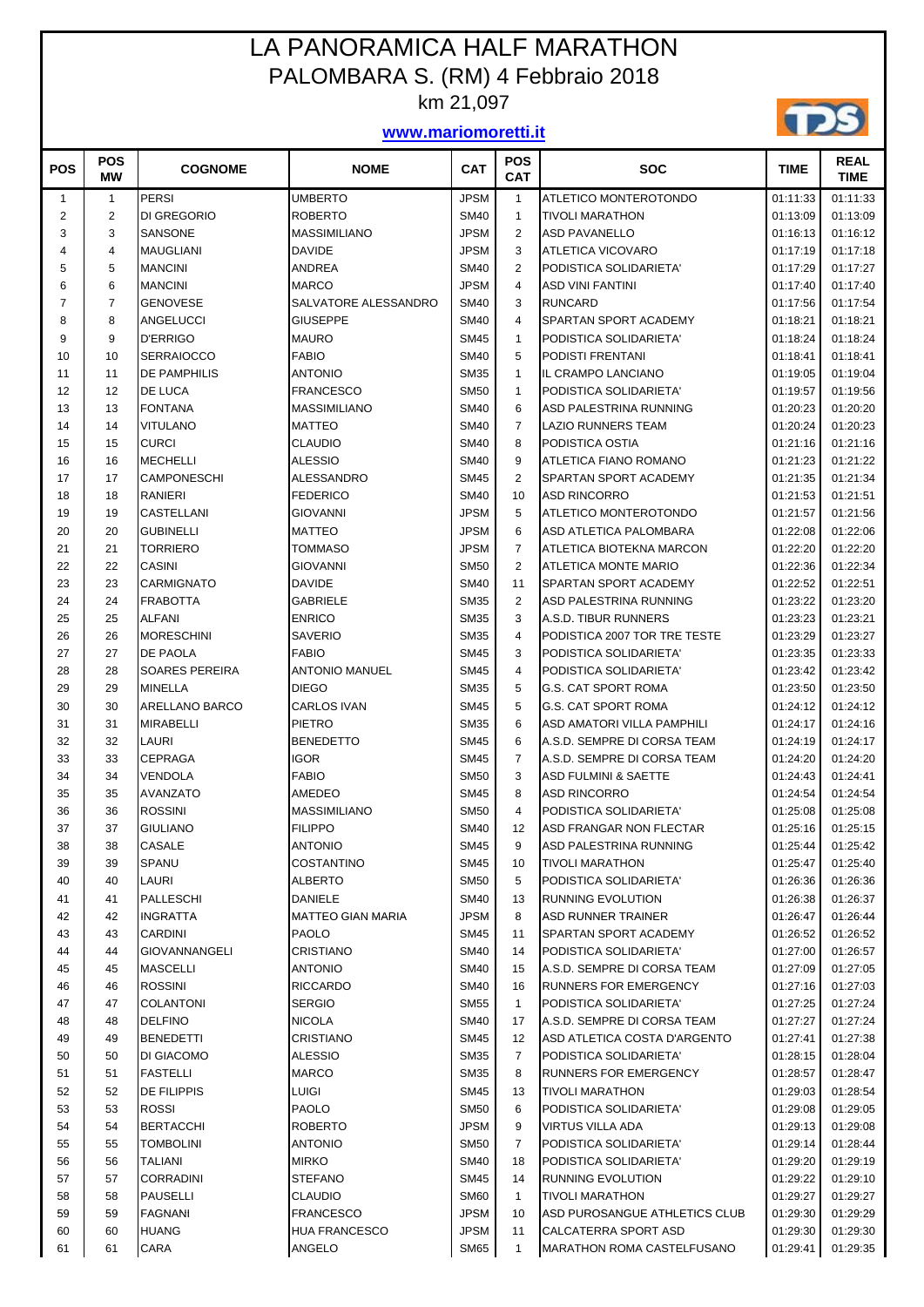## LA PANORAMICA HALF MARATHON PALOMBARA S. (RM) 4 Febbraio 2018 km 21,097

## **www.mariomoretti.it**



| <b>POS</b>     | <b>POS</b><br>МW | <b>COGNOME</b>            | <b>NOME</b>                      | <b>CAT</b>                 | <b>POS</b><br><b>CAT</b> | <b>SOC</b>                                         | <b>TIME</b>          | REAL<br><b>TIME</b>  |
|----------------|------------------|---------------------------|----------------------------------|----------------------------|--------------------------|----------------------------------------------------|----------------------|----------------------|
| $\mathbf{1}$   | 1                | <b>PERSI</b>              | <b>UMBERTO</b>                   | <b>JPSM</b>                | $\mathbf{1}$             | <b>ATLETICO MONTEROTONDO</b>                       | 01:11:33             | 01:11:33             |
| 2              | $\overline{c}$   | DI GREGORIO               | <b>ROBERTO</b>                   | <b>SM40</b>                | $\mathbf{1}$             | <b>TIVOLI MARATHON</b>                             | 01:13:09             | 01:13:09             |
| 3              | 3                | SANSONE                   | <b>MASSIMILIANO</b>              | <b>JPSM</b>                | $\overline{2}$           | <b>ASD PAVANELLO</b>                               | 01:16:13             | 01:16:12             |
| 4              | $\overline{4}$   | <b>MAUGLIANI</b>          | <b>DAVIDE</b>                    | <b>JPSM</b>                | 3                        | ATLETICA VICOVARO                                  | 01:17:19             | 01:17:18             |
| 5              | 5                | <b>MANCINI</b>            | ANDREA                           | <b>SM40</b>                | $\overline{2}$           | PODISTICA SOLIDARIETA'                             | 01:17:29             | 01:17:27             |
| 6              | 6                | <b>MANCINI</b>            | <b>MARCO</b>                     | <b>JPSM</b>                | $\overline{4}$           | <b>ASD VINI FANTINI</b>                            | 01:17:40             | 01:17:40             |
| $\overline{7}$ | $\overline{7}$   | <b>GENOVESE</b>           | SALVATORE ALESSANDRO             | <b>SM40</b>                | 3                        | <b>RUNCARD</b>                                     | 01:17:56             | 01:17:54             |
| 8              | 8                | ANGELUCCI                 | <b>GIUSEPPE</b>                  | <b>SM40</b>                | $\overline{4}$           | SPARTAN SPORT ACADEMY                              | 01:18:21             | 01:18:21             |
| 9              | 9                | <b>D'ERRIGO</b>           | <b>MAURO</b>                     | <b>SM45</b>                | $\mathbf{1}$             | PODISTICA SOLIDARIETA'                             | 01:18:24             | 01:18:24             |
| 10             | 10               | <b>SERRAIOCCO</b>         | <b>FABIO</b>                     | <b>SM40</b>                | 5                        | PODISTI FRENTANI                                   | 01:18:41             | 01:18:41             |
| 11             | 11               | <b>DE PAMPHILIS</b>       | <b>ANTONIO</b>                   | <b>SM35</b>                | $\mathbf{1}$             | IL CRAMPO LANCIANO                                 | 01:19:05             | 01:19:04             |
| 12             | 12               | DE LUCA                   | <b>FRANCESCO</b>                 | <b>SM50</b>                | $\mathbf{1}$             | PODISTICA SOLIDARIETA'                             | 01:19:57             | 01:19:56             |
| 13             | 13               | <b>FONTANA</b>            | <b>MASSIMILIANO</b>              | <b>SM40</b>                | 6                        | ASD PALESTRINA RUNNING                             | 01:20:23             | 01:20:20             |
| 14             | 14               | <b>VITULANO</b>           | <b>MATTEO</b>                    | <b>SM40</b>                | $\overline{7}$           | <b>LAZIO RUNNERS TEAM</b>                          | 01:20:24             | 01:20:23             |
| 15             | 15               | <b>CURCI</b>              | <b>CLAUDIO</b>                   | <b>SM40</b>                | 8                        | PODISTICA OSTIA                                    | 01:21:16             | 01:21:16             |
| 16             | 16               | <b>MECHELLI</b>           | <b>ALESSIO</b>                   | <b>SM40</b>                | 9                        | <b>ATLETICA FIANO ROMANO</b>                       | 01:21:23             | 01:21:22             |
| 17             | 17               | <b>CAMPONESCHI</b>        | ALESSANDRO                       | <b>SM45</b>                | $\overline{2}$           | SPARTAN SPORT ACADEMY                              | 01:21:35             | 01:21:34             |
| 18             | 18               | <b>RANIERI</b>            | <b>FEDERICO</b>                  | <b>SM40</b>                | 10                       | <b>ASD RINCORRO</b>                                | 01:21:53             | 01:21:51             |
| 19             | 19               | CASTELLANI                | <b>GIOVANNI</b>                  | <b>JPSM</b>                | 5                        | ATLETICO MONTEROTONDO                              | 01:21:57             | 01:21:56             |
| 20             | 20               | <b>GUBINELLI</b>          | <b>MATTEO</b>                    | <b>JPSM</b>                | 6                        | ASD ATLETICA PALOMBARA                             | 01:22:08             | 01:22:06             |
| 21             | 21               | <b>TORRIERO</b>           | <b>TOMMASO</b>                   | <b>JPSM</b>                | $\overline{7}$           | ATLETICA BIOTEKNA MARCON                           | 01:22:20             | 01:22:20             |
| 22             | 22               | <b>CASINI</b>             | <b>GIOVANNI</b>                  | <b>SM50</b>                | $\overline{2}$           | ATLETICA MONTE MARIO                               | 01:22:36             | 01:22:34             |
| 23             | 23               | <b>CARMIGNATO</b>         | <b>DAVIDE</b>                    | <b>SM40</b>                | 11                       | SPARTAN SPORT ACADEMY                              | 01:22:52             | 01:22:51             |
| 24             | 24               | <b>FRABOTTA</b>           | <b>GABRIELE</b>                  | <b>SM35</b>                | 2                        | ASD PALESTRINA RUNNING                             | 01:23:22             | 01:23:20             |
| 25             | 25               | <b>ALFANI</b>             | <b>ENRICO</b>                    | <b>SM35</b>                | 3                        | A.S.D. TIBUR RUNNERS                               | 01:23:23             | 01:23:21             |
| 26             | 26               | <b>MORESCHINI</b>         | <b>SAVERIO</b>                   | <b>SM35</b>                | $\overline{\mathbf{4}}$  | PODISTICA 2007 TOR TRE TESTE                       | 01:23:29             | 01:23:27             |
| 27             | 27               | <b>DE PAOLA</b>           | <b>FABIO</b>                     | <b>SM45</b>                | 3                        | PODISTICA SOLIDARIETA'                             | 01:23:35             | 01:23:33             |
| 28             | 28               | <b>SOARES PEREIRA</b>     | <b>ANTONIO MANUEL</b>            | <b>SM45</b>                | 4                        | PODISTICA SOLIDARIETA'                             | 01:23:42             | 01:23:42             |
| 29             | 29               | <b>MINELLA</b>            | <b>DIEGO</b>                     | <b>SM35</b>                | 5                        | <b>G.S. CAT SPORT ROMA</b>                         | 01:23:50             | 01:23:50             |
| 30             | 30               | ARELLANO BARCO            | <b>CARLOS IVAN</b>               | <b>SM45</b>                | 5                        | <b>G.S. CAT SPORT ROMA</b>                         | 01:24:12             | 01:24:12             |
| 31             | 31               | <b>MIRABELLI</b>          | <b>PIETRO</b>                    | <b>SM35</b>                | 6                        | ASD AMATORI VILLA PAMPHILI                         | 01:24:17             | 01:24:16             |
| 32             | 32               | LAURI                     | <b>BENEDETTO</b>                 | <b>SM45</b>                | 6                        | A.S.D. SEMPRE DI CORSA TEAM                        | 01:24:19             | 01:24:17             |
| 33             | 33               | <b>CEPRAGA</b>            | <b>IGOR</b>                      | <b>SM45</b>                | $\overline{7}$           | A.S.D. SEMPRE DI CORSA TEAM                        | 01:24:20             | 01:24:20             |
| 34             | 34               | VENDOLA                   | <b>FABIO</b>                     | <b>SM50</b>                | 3                        | <b>ASD FULMINI &amp; SAETTE</b>                    | 01:24:43             | 01:24:41             |
| 35             | 35               | <b>AVANZATO</b>           | AMEDEO                           | <b>SM45</b>                | 8                        | <b>ASD RINCORRO</b>                                | 01:24:54             | 01:24:54             |
| 36             | 36               | <b>ROSSINI</b>            | <b>MASSIMILIANO</b>              | <b>SM50</b>                | $\overline{4}$           | PODISTICA SOLIDARIETA'                             | 01:25:08             | 01:25:08             |
| 37<br>$38\,$   | 37<br>38         | <b>GIULIANO</b><br>CASALE | <b>FILIPPO</b><br><b>ANTONIO</b> | <b>SM40</b><br><b>SM45</b> | 12<br>9                  | ASD FRANGAR NON FLECTAR<br>ASD PALESTRINA RUNNING  | 01:25:16<br>01:25:44 | 01:25:15<br>01:25:42 |
| 39             | 39               | <b>SPANU</b>              | <b>COSTANTINO</b>                | <b>SM45</b>                | 10                       |                                                    | 01:25:47             |                      |
| 40             | 40               | LAURI                     | <b>ALBERTO</b>                   | <b>SM50</b>                | 5                        | <b>TIVOLI MARATHON</b>                             |                      | 01:25:40<br>01:26:36 |
| 41             | 41               | <b>PALLESCHI</b>          | <b>DANIELE</b>                   | <b>SM40</b>                | 13                       | PODISTICA SOLIDARIETA'<br><b>RUNNING EVOLUTION</b> | 01:26:36<br>01:26:38 | 01:26:37             |
| 42             | 42               | <b>INGRATTA</b>           | <b>MATTEO GIAN MARIA</b>         | <b>JPSM</b>                | 8                        | ASD RUNNER TRAINER                                 | 01:26:47             | 01:26:44             |
| 43             | 43               | <b>CARDINI</b>            | <b>PAOLO</b>                     | <b>SM45</b>                | 11                       | SPARTAN SPORT ACADEMY                              | 01:26:52             | 01:26:52             |
| 44             | 44               | <b>GIOVANNANGELI</b>      | <b>CRISTIANO</b>                 | <b>SM40</b>                | 14                       | PODISTICA SOLIDARIETA'                             | 01:27:00             | 01:26:57             |
| 45             | 45               | <b>MASCELLI</b>           | ANTONIO                          | <b>SM40</b>                | 15                       | A.S.D. SEMPRE DI CORSA TEAM                        | 01:27:09             | 01:27:05             |
| 46             | 46               | <b>ROSSINI</b>            | <b>RICCARDO</b>                  | <b>SM40</b>                | 16                       | <b>RUNNERS FOR EMERGENCY</b>                       | 01:27:16             | 01:27:03             |
| 47             | 47               | <b>COLANTONI</b>          | <b>SERGIO</b>                    | <b>SM55</b>                | $\mathbf{1}$             | PODISTICA SOLIDARIETA'                             | 01:27:25             | 01:27:24             |
| 48             | 48               | <b>DELFINO</b>            | <b>NICOLA</b>                    | <b>SM40</b>                | 17                       | A.S.D. SEMPRE DI CORSA TEAM                        | 01:27:27             | 01:27:24             |
| 49             | 49               | <b>BENEDETTI</b>          | <b>CRISTIANO</b>                 | <b>SM45</b>                | 12                       | ASD ATLETICA COSTA D'ARGENTO                       | 01:27:41             | 01:27:38             |
| 50             | 50               | DI GIACOMO                | <b>ALESSIO</b>                   | <b>SM35</b>                | $\overline{7}$           | PODISTICA SOLIDARIETA'                             | 01:28:15             | 01:28:04             |
| 51             | 51               | <b>FASTELLI</b>           | <b>MARCO</b>                     | <b>SM35</b>                | 8                        | RUNNERS FOR EMERGENCY                              | 01:28:57             | 01:28:47             |
| 52             | 52               | <b>DE FILIPPIS</b>        | <b>LUIGI</b>                     | <b>SM45</b>                | 13                       | <b>TIVOLI MARATHON</b>                             | 01:29:03             | 01:28:54             |
| 53             | 53               | <b>ROSSI</b>              | <b>PAOLO</b>                     | <b>SM50</b>                | 6                        | PODISTICA SOLIDARIETA'                             | 01:29:08             | 01:29:05             |
| 54             | 54               | <b>BERTACCHI</b>          | <b>ROBERTO</b>                   | <b>JPSM</b>                | 9                        | <b>VIRTUS VILLA ADA</b>                            | 01:29:13             | 01:29:08             |
| 55             | 55               | <b>TOMBOLINI</b>          | <b>ANTONIO</b>                   | <b>SM50</b>                | $\overline{7}$           | PODISTICA SOLIDARIETA'                             | 01:29:14             | 01:28:44             |
| 56             | 56               | <b>TALIANI</b>            | <b>MIRKO</b>                     | <b>SM40</b>                | 18                       | PODISTICA SOLIDARIETA'                             | 01:29:20             | 01:29:19             |
| 57             | 57               | <b>CORRADINI</b>          | <b>STEFANO</b>                   | <b>SM45</b>                | 14                       | <b>RUNNING EVOLUTION</b>                           | 01:29:22             | 01:29:10             |
| 58             | 58               | <b>PAUSELLI</b>           | <b>CLAUDIO</b>                   | <b>SM60</b>                | $\mathbf{1}$             | <b>TIVOLI MARATHON</b>                             | 01:29:27             | 01:29:27             |
| 59             | 59               | FAGNANI                   | <b>FRANCESCO</b>                 | <b>JPSM</b>                | 10                       | ASD PUROSANGUE ATHLETICS CLUB                      | 01:29:30             | 01:29:29             |
| 60             | 60               | <b>HUANG</b>              | <b>HUA FRANCESCO</b>             | <b>JPSM</b>                | 11                       | <b>CALCATERRA SPORT ASD</b>                        | 01:29:30             | 01:29:30             |
| 61             | 61               | CARA                      | ANGELO                           | <b>SM65</b>                | $\mathbf{1}$             | <b>MARATHON ROMA CASTELFUSANO</b>                  | 01:29:41             | 01:29:35             |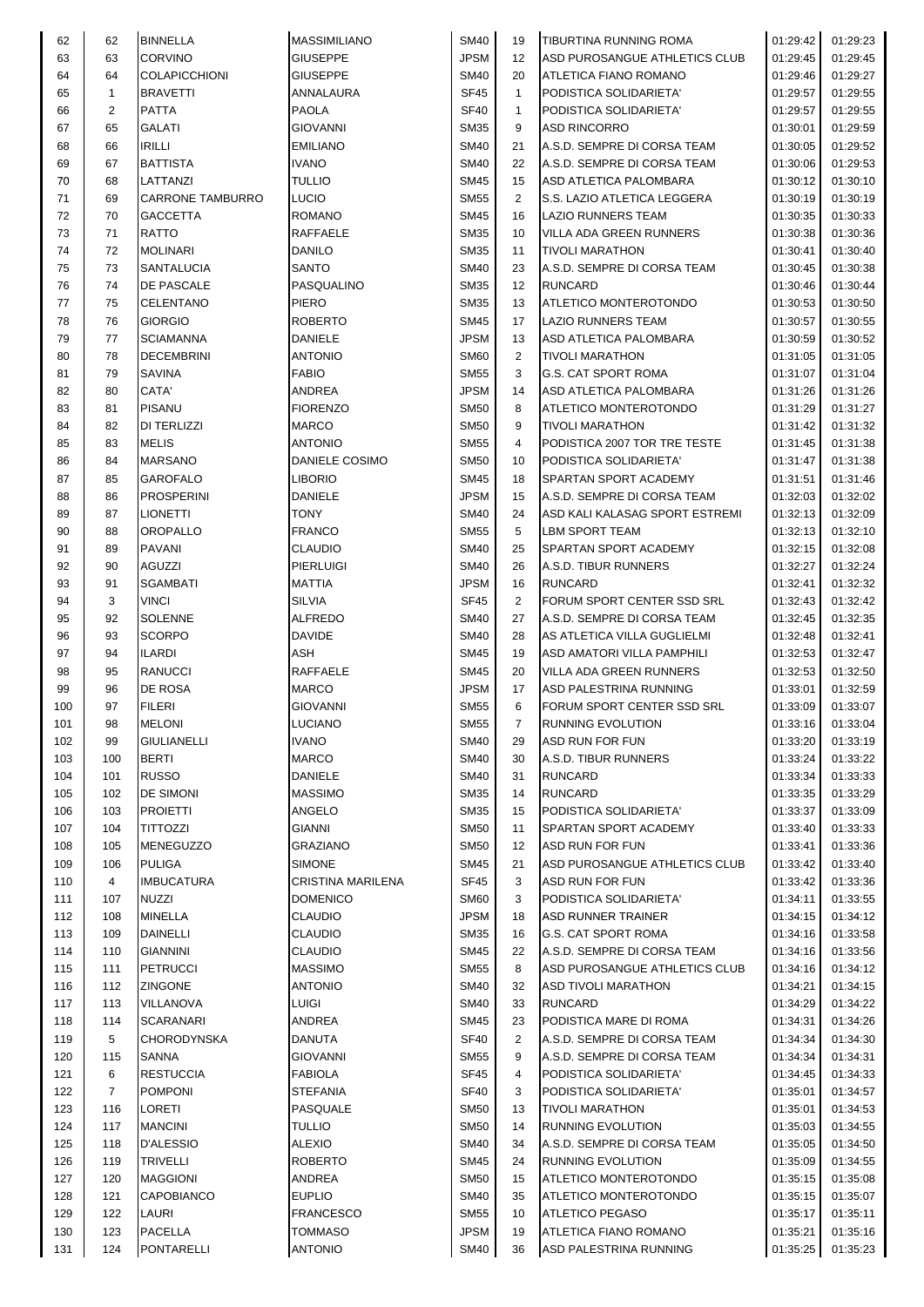| 62         | 62             | <b>BINNELLA</b>         | <b>MASSIMILIANO</b>                | <b>SM40</b>                | 19             | TIBURTINA RUNNING ROMA         | 01:29:42             | 01:29:23             |
|------------|----------------|-------------------------|------------------------------------|----------------------------|----------------|--------------------------------|----------------------|----------------------|
| 63         | 63             | <b>CORVINO</b>          | <b>GIUSEPPE</b>                    | <b>JPSM</b>                | 12             | ASD PUROSANGUE ATHLETICS CLUB  | 01:29:45             | 01:29:45             |
| 64         | 64             | <b>COLAPICCHIONI</b>    | <b>GIUSEPPE</b>                    | <b>SM40</b>                | 20             | ATLETICA FIANO ROMANO          | 01:29:46             | 01:29:27             |
| 65         | $\mathbf{1}$   | <b>BRAVETTI</b>         | ANNALAURA                          | <b>SF45</b>                | $\mathbf{1}$   | PODISTICA SOLIDARIETA'         | 01:29:57             | 01:29:55             |
| 66         | 2              | <b>PATTA</b>            | <b>PAOLA</b>                       | <b>SF40</b>                | $\mathbf{1}$   | PODISTICA SOLIDARIETA'         | 01:29:57             | 01:29:55             |
| 67         | 65             | <b>GALATI</b>           | <b>GIOVANNI</b>                    | <b>SM35</b>                | 9              | <b>ASD RINCORRO</b>            | 01:30:01             | 01:29:59             |
| 68         | 66             | <b>IRILLI</b>           | <b>EMILIANO</b>                    | <b>SM40</b>                | 21             | A.S.D. SEMPRE DI CORSA TEAM    | 01:30:05             | 01:29:52             |
| 69         | 67             | <b>BATTISTA</b>         | <b>IVANO</b>                       | <b>SM40</b>                | 22             | A.S.D. SEMPRE DI CORSA TEAM    | 01:30:06             | 01:29:53             |
| 70         | 68             | LATTANZI                | <b>TULLIO</b>                      | <b>SM45</b>                | 15             | ASD ATLETICA PALOMBARA         | 01:30:12             | 01:30:10             |
| 71         | 69             | <b>CARRONE TAMBURRO</b> | <b>LUCIO</b>                       | <b>SM55</b>                | $\overline{2}$ | S.S. LAZIO ATLETICA LEGGERA    | 01:30:19             | 01:30:19             |
| 72         | 70             | <b>GACCETTA</b>         | <b>ROMANO</b>                      | <b>SM45</b>                | 16             | <b>LAZIO RUNNERS TEAM</b>      | 01:30:35             | 01:30:33             |
| 73         | 71             | <b>RATTO</b>            | RAFFAELE                           | <b>SM35</b>                | 10             | VILLA ADA GREEN RUNNERS        | 01:30:38             | 01:30:36             |
| 74         | 72             | <b>MOLINARI</b>         | <b>DANILO</b>                      | <b>SM35</b>                | 11             | <b>TIVOLI MARATHON</b>         | 01:30:41             | 01:30:40             |
| 75         | 73             | <b>SANTALUCIA</b>       | <b>SANTO</b>                       | <b>SM40</b>                | 23             | A.S.D. SEMPRE DI CORSA TEAM    | 01:30:45             | 01:30:38             |
| 76         | 74             | <b>DE PASCALE</b>       | PASQUALINO                         | <b>SM35</b>                | 12             | <b>RUNCARD</b>                 | 01:30:46             | 01:30:44             |
| 77         | 75             | <b>CELENTANO</b>        | PIERO                              | <b>SM35</b>                | 13             | ATLETICO MONTEROTONDO          | 01:30:53             | 01:30:50             |
| 78         | 76             | <b>GIORGIO</b>          | <b>ROBERTO</b>                     | <b>SM45</b>                | 17             | <b>LAZIO RUNNERS TEAM</b>      | 01:30:57             | 01:30:55             |
| 79         | 77             | <b>SCIAMANNA</b>        | <b>DANIELE</b>                     | <b>JPSM</b>                | 13             | ASD ATLETICA PALOMBARA         | 01:30:59             | 01:30:52             |
| 80         | 78             | <b>DECEMBRINI</b>       | <b>ANTONIO</b>                     | <b>SM60</b>                | 2              | <b>TIVOLI MARATHON</b>         | 01:31:05             | 01:31:05             |
| 81         | 79             | <b>SAVINA</b>           | <b>FABIO</b>                       | <b>SM55</b>                | 3              | <b>G.S. CAT SPORT ROMA</b>     | 01:31:07             | 01:31:04             |
| 82         | 80             | CATA'                   | <b>ANDREA</b>                      | <b>JPSM</b>                | 14             | ASD ATLETICA PALOMBARA         | 01:31:26             | 01:31:26             |
| 83         | 81             | <b>PISANU</b>           | <b>FIORENZO</b>                    | <b>SM50</b>                | 8              | ATLETICO MONTEROTONDO          | 01:31:29             | 01:31:27             |
| 84         | 82             | <b>DI TERLIZZI</b>      | <b>MARCO</b>                       | <b>SM50</b>                | 9              | <b>TIVOLI MARATHON</b>         | 01:31:42             | 01:31:32             |
| 85         | 83             | <b>MELIS</b>            | <b>ANTONIO</b>                     | <b>SM55</b>                | 4              | PODISTICA 2007 TOR TRE TESTE   | 01:31:45             | 01:31:38             |
| 86         | 84             | <b>MARSANO</b>          | DANIELE COSIMO                     | <b>SM50</b>                | 10             | PODISTICA SOLIDARIETA'         | 01:31:47             | 01:31:38             |
| 87         | 85             | <b>GAROFALO</b>         | LIBORIO                            | <b>SM45</b>                | 18             | <b>SPARTAN SPORT ACADEMY</b>   | 01:31:51             | 01:31:46             |
| 88         | 86             | <b>PROSPERINI</b>       | <b>DANIELE</b>                     | <b>JPSM</b>                | 15             | A.S.D. SEMPRE DI CORSA TEAM    | 01:32:03             | 01:32:02             |
| 89         | 87             | <b>LIONETTI</b>         | <b>TONY</b>                        | <b>SM40</b>                | 24             | ASD KALI KALASAG SPORT ESTREMI | 01:32:13             | 01:32:09             |
| 90         | 88             | <b>OROPALLO</b>         | <b>FRANCO</b>                      | <b>SM55</b>                | 5              | <b>LBM SPORT TEAM</b>          | 01:32:13             | 01:32:10             |
| 91         | 89             | <b>PAVANI</b>           | <b>CLAUDIO</b>                     | <b>SM40</b>                | 25             | SPARTAN SPORT ACADEMY          | 01:32:15             | 01:32:08             |
| 92         | 90             | <b>AGUZZI</b>           | <b>PIERLUIGI</b>                   | <b>SM40</b>                | 26             | A.S.D. TIBUR RUNNERS           | 01:32:27             | 01:32:24             |
| 93         | 91             | <b>SGAMBATI</b>         | <b>MATTIA</b>                      | <b>JPSM</b>                | 16             | <b>RUNCARD</b>                 | 01:32:41             | 01:32:32             |
| 94         | 3              | <b>VINCI</b>            | SILVIA                             | <b>SF45</b>                | $\overline{2}$ | FORUM SPORT CENTER SSD SRL     | 01:32:43             | 01:32:42             |
| 95         | 92             | <b>SOLENNE</b>          | <b>ALFREDO</b>                     | <b>SM40</b>                | 27             | A.S.D. SEMPRE DI CORSA TEAM    | 01:32:45             | 01:32:35             |
| 96         | 93             | <b>SCORPO</b>           | <b>DAVIDE</b>                      | <b>SM40</b>                | 28             | AS ATLETICA VILLA GUGLIELMI    | 01:32:48             | 01:32:41             |
| 97         | 94             | <b>ILARDI</b>           | ASH                                | <b>SM45</b>                | 19             | ASD AMATORI VILLA PAMPHILI     | 01:32:53             | 01:32:47             |
| 98         | 95             | <b>RANUCCI</b>          | <b>RAFFAELE</b>                    | <b>SM45</b>                | 20             | VILLA ADA GREEN RUNNERS        | 01:32:53             | 01:32:50             |
| 99         | 96             | <b>DE ROSA</b>          | <b>MARCO</b>                       | <b>JPSM</b>                | 17             | ASD PALESTRINA RUNNING         | 01:33:01             | 01:32:59             |
| 100        | 97             | <b>FILERI</b>           | <b>GIOVANNI</b>                    | <b>SM55</b>                | 6              | FORUM SPORT CENTER SSD SRL     | 01:33:09             | 01:33:07             |
| 101        | 98             | <b>MELONI</b>           | <b>LUCIANO</b>                     | <b>SM55</b>                | 7              | <b>RUNNING EVOLUTION</b>       | 01:33:16             | 01:33:04             |
| 102        | 99             | <b>GIULIANELLI</b>      | <b>IVANO</b>                       | <b>SM40</b>                | 29             | ASD RUN FOR FUN                | 01:33:20             | 01:33:19             |
| 103        | 100            | <b>BERTI</b>            | <b>MARCO</b>                       | <b>SM40</b>                | 30             | A.S.D. TIBUR RUNNERS           | 01:33:24             | 01:33:22             |
| 104        | 101            | <b>RUSSO</b>            | DANIELE                            | <b>SM40</b>                | 31             | <b>RUNCARD</b>                 | 01:33:34             | 01:33:33             |
| 105        | 102            | <b>DE SIMONI</b>        | <b>MASSIMO</b>                     | <b>SM35</b>                | 14             | <b>RUNCARD</b>                 | 01:33:35             | 01:33:29             |
| 106        | 103            | <b>PROIETTI</b>         | ANGELO                             | <b>SM35</b>                | 15             | PODISTICA SOLIDARIETA'         | 01:33:37             | 01:33:09             |
| 107        | 104            | <b>TITTOZZI</b>         | <b>GIANNI</b>                      | <b>SM50</b>                | 11             | SPARTAN SPORT ACADEMY          | 01:33:40             | 01:33:33             |
| 108        | 105            | <b>MENEGUZZO</b>        | <b>GRAZIANO</b>                    | <b>SM50</b>                | 12             | ASD RUN FOR FUN                | 01:33:41             | 01:33:36             |
| 109        | 106            | <b>PULIGA</b>           | <b>SIMONE</b>                      | <b>SM45</b>                | 21             | ASD PUROSANGUE ATHLETICS CLUB  | 01:33:42             | 01:33:40             |
| 110        | 4              | <b>IMBUCATURA</b>       | <b>CRISTINA MARILENA</b>           | <b>SF45</b>                | 3              | <b>ASD RUN FOR FUN</b>         | 01:33:42             | 01:33:36             |
| 111        | 107            | <b>NUZZI</b>            | <b>DOMENICO</b>                    | <b>SM60</b>                | 3              | PODISTICA SOLIDARIETA'         | 01:34:11             | 01:33:55             |
| 112        | 108            | <b>MINELLA</b>          | <b>CLAUDIO</b>                     | <b>JPSM</b>                | 18             | <b>ASD RUNNER TRAINER</b>      | 01:34:15             | 01:34:12             |
| 113        | 109            | <b>DAINELLI</b>         | CLAUDIO                            | <b>SM35</b>                | 16             | <b>G.S. CAT SPORT ROMA</b>     | 01:34:16             | 01:33:58             |
| 114        | 110            | <b>GIANNINI</b>         | <b>CLAUDIO</b>                     | <b>SM45</b>                | 22             | A.S.D. SEMPRE DI CORSA TEAM    | 01:34:16             | 01:33:56             |
| 115        | 111            | <b>PETRUCCI</b>         | <b>MASSIMO</b>                     | <b>SM55</b>                | 8              | ASD PUROSANGUE ATHLETICS CLUB  | 01:34:16             | 01:34:12             |
| 116        | 112            | <b>ZINGONE</b>          | <b>ANTONIO</b>                     | <b>SM40</b>                | 32             | <b>ASD TIVOLI MARATHON</b>     | 01:34:21             | 01:34:15             |
| 117        | 113            | VILLANOVA               | <b>LUIGI</b>                       | <b>SM40</b>                | 33             | <b>RUNCARD</b>                 | 01:34:29             | 01:34:22             |
| 118        | 114            | <b>SCARANARI</b>        | ANDREA                             | <b>SM45</b>                | 23             | PODISTICA MARE DI ROMA         | 01:34:31             | 01:34:26             |
| 119        | 5              | <b>CHORODYNSKA</b>      | DANUTA                             | <b>SF40</b>                | $\overline{2}$ | A.S.D. SEMPRE DI CORSA TEAM    | 01:34:34             | 01:34:30             |
|            |                | <b>SANNA</b>            |                                    | <b>SM55</b>                | 9              | A.S.D. SEMPRE DI CORSA TEAM    |                      |                      |
| 120<br>121 | 115<br>6       | <b>RESTUCCIA</b>        | <b>GIOVANNI</b><br><b>FABIOLA</b>  | <b>SF45</b>                | $\overline{4}$ | PODISTICA SOLIDARIETA'         | 01:34:34<br>01:34:45 | 01:34:31<br>01:34:33 |
| 122        | $\overline{7}$ | <b>POMPONI</b>          | <b>STEFANIA</b>                    | <b>SF40</b>                | 3              | PODISTICA SOLIDARIETA'         | 01:35:01             | 01:34:57             |
|            |                |                         |                                    |                            |                |                                |                      |                      |
| 123        | 116            | <b>LORETI</b>           | <b>PASQUALE</b>                    | <b>SM50</b>                | 13             | <b>TIVOLI MARATHON</b>         | 01:35:01             | 01:34:53             |
| 124        | 117            | <b>MANCINI</b>          | <b>TULLIO</b>                      | <b>SM50</b>                | 14             | RUNNING EVOLUTION              | 01:35:03             | 01:34:55             |
| 125        | 118            | <b>D'ALESSIO</b>        | <b>ALEXIO</b>                      | <b>SM40</b>                | 34             | A.S.D. SEMPRE DI CORSA TEAM    | 01:35:05             | 01:34:50             |
| 126        | 119            | <b>TRIVELLI</b>         | <b>ROBERTO</b>                     | <b>SM45</b>                | 24             | <b>RUNNING EVOLUTION</b>       | 01:35:09             | 01:34:55             |
| 127        | 120            | <b>MAGGIONI</b>         | ANDREA                             | <b>SM50</b>                | 15             | ATLETICO MONTEROTONDO          | 01:35:15             | 01:35:08             |
| 128        | 121            | CAPOBIANCO              | <b>EUPLIO</b>                      | <b>SM40</b>                | 35             | ATLETICO MONTEROTONDO          | 01:35:15             | 01:35:07             |
| 129        | 122<br>123     | LAURI<br><b>PACELLA</b> | <b>FRANCESCO</b><br><b>TOMMASO</b> | <b>SM55</b><br><b>JPSM</b> | 10<br>19       | <b>ATLETICO PEGASO</b>         | 01:35:17             | 01:35:11             |
| 130        |                |                         |                                    |                            |                | ATLETICA FIANO ROMANO          | 01:35:21             | 01:35:16             |
| 131        | 124            | <b>PONTARELLI</b>       | <b>ANTONIO</b>                     | <b>SM40</b>                | 36             | ASD PALESTRINA RUNNING         | 01:35:25             | 01:35:23             |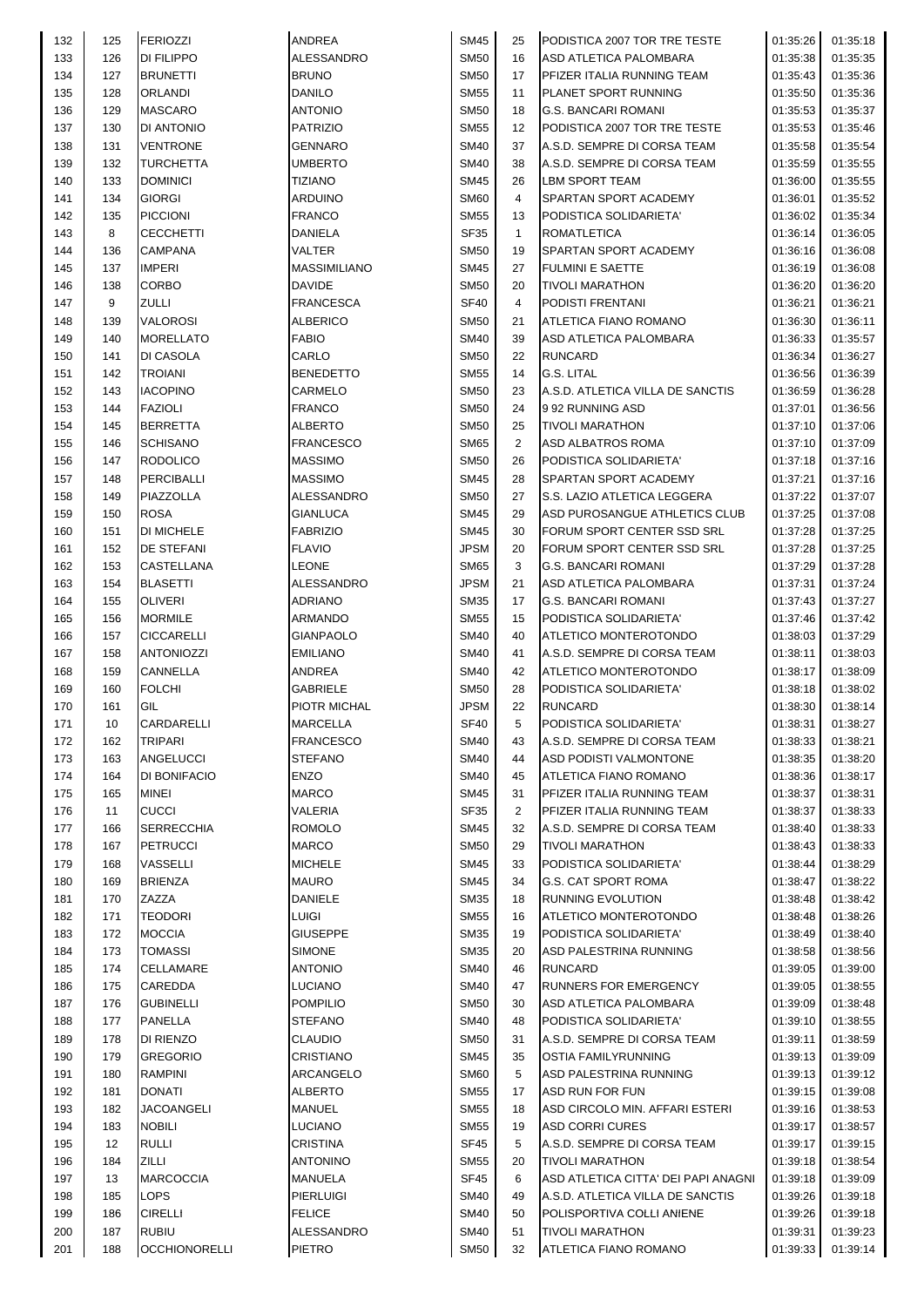| 132 | 125 | <b>FERIOZZI</b>      | ANDREA              | <b>SM45</b> | 25             | PODISTICA 2007 TOR TRE TESTE        | 01:35:26 | 01:35:18           |
|-----|-----|----------------------|---------------------|-------------|----------------|-------------------------------------|----------|--------------------|
| 133 | 126 | <b>DI FILIPPO</b>    | ALESSANDRO          | <b>SM50</b> | 16             | ASD ATLETICA PALOMBARA              | 01:35:38 | 01:35:35           |
| 134 | 127 | <b>BRUNETTI</b>      | <b>BRUNO</b>        | <b>SM50</b> | 17             | PFIZER ITALIA RUNNING TEAM          | 01:35:43 | 01:35:36           |
| 135 | 128 | <b>ORLANDI</b>       | <b>DANILO</b>       | <b>SM55</b> | 11             | PLANET SPORT RUNNING                | 01:35:50 | 01:35:36           |
| 136 | 129 | <b>MASCARO</b>       | <b>ANTONIO</b>      | <b>SM50</b> | 18             | <b>G.S. BANCARI ROMANI</b>          | 01:35:53 | 01:35:37           |
| 137 | 130 | DI ANTONIO           | <b>PATRIZIO</b>     | <b>SM55</b> | 12             | PODISTICA 2007 TOR TRE TESTE        | 01:35:53 | 01:35:46           |
| 138 | 131 | <b>VENTRONE</b>      | GENNARO             | <b>SM40</b> | 37             | A.S.D. SEMPRE DI CORSA TEAM         | 01:35:58 | 01:35:54           |
| 139 | 132 | <b>TURCHETTA</b>     | <b>UMBERTO</b>      | <b>SM40</b> | 38             | A.S.D. SEMPRE DI CORSA TEAM         | 01:35:59 | 01:35:55           |
| 140 | 133 | <b>DOMINICI</b>      | <b>TIZIANO</b>      | <b>SM45</b> | 26             | <b>LBM SPORT TEAM</b>               | 01:36:00 | 01:35:55           |
| 141 | 134 | <b>GIORGI</b>        | ARDUINO             | <b>SM60</b> | 4              | SPARTAN SPORT ACADEMY               | 01:36:01 | 01:35:52           |
| 142 | 135 | <b>PICCIONI</b>      | <b>FRANCO</b>       | <b>SM55</b> | 13             | PODISTICA SOLIDARIETA'              | 01:36:02 | 01:35:34           |
| 143 | 8   | <b>CECCHETTI</b>     | <b>DANIELA</b>      | SF35        | $\mathbf{1}$   | <b>ROMATLETICA</b>                  | 01:36:14 | 01:36:05           |
| 144 | 136 | <b>CAMPANA</b>       | VALTER              | <b>SM50</b> | 19             | SPARTAN SPORT ACADEMY               | 01:36:16 | 01:36:08           |
|     |     |                      |                     |             | 27             | <b>FULMINI E SAETTE</b>             |          |                    |
| 145 | 137 | <b>IMPERI</b>        | <b>MASSIMILIANO</b> | <b>SM45</b> |                |                                     | 01:36:19 | 01:36:08           |
| 146 | 138 | <b>CORBO</b>         | <b>DAVIDE</b>       | <b>SM50</b> | 20             | <b>TIVOLI MARATHON</b>              | 01:36:20 | 01:36:20           |
| 147 | 9   | <b>ZULLI</b>         | <b>FRANCESCA</b>    | <b>SF40</b> | $\overline{4}$ | PODISTI FRENTANI                    | 01:36:21 | 01:36:21           |
| 148 | 139 | <b>VALOROSI</b>      | ALBERICO            | <b>SM50</b> | 21             | ATLETICA FIANO ROMANO               | 01:36:30 | 01:36:11           |
| 149 | 140 | <b>MORELLATO</b>     | <b>FABIO</b>        | <b>SM40</b> | 39             | ASD ATLETICA PALOMBARA              | 01:36:33 | 01:35:57           |
| 150 | 141 | DI CASOLA            | CARLO               | <b>SM50</b> | 22             | <b>RUNCARD</b>                      | 01:36:34 | 01:36:27           |
| 151 | 142 | <b>TROIANI</b>       | <b>BENEDETTO</b>    | <b>SM55</b> | 14             | <b>G.S. LITAL</b>                   | 01:36:56 | 01:36:39           |
| 152 | 143 | <b>IACOPINO</b>      | CARMELO             | <b>SM50</b> | 23             | A.S.D. ATLETICA VILLA DE SANCTIS    | 01:36:59 | 01:36:28           |
| 153 | 144 | <b>FAZIOLI</b>       | <b>FRANCO</b>       | <b>SM50</b> | 24             | 9 92 RUNNING ASD                    | 01:37:01 | 01:36:56           |
| 154 | 145 | <b>BERRETTA</b>      | <b>ALBERTO</b>      | <b>SM50</b> | 25             | <b>TIVOLI MARATHON</b>              | 01:37:10 | 01:37:06           |
| 155 | 146 | <b>SCHISANO</b>      | <b>FRANCESCO</b>    | <b>SM65</b> | $\overline{2}$ | ASD ALBATROS ROMA                   | 01:37:10 | 01:37:09           |
| 156 | 147 | <b>RODOLICO</b>      | <b>MASSIMO</b>      | <b>SM50</b> | 26             | PODISTICA SOLIDARIETA'              | 01:37:18 | 01:37:16           |
| 157 | 148 | <b>PERCIBALLI</b>    | <b>MASSIMO</b>      | <b>SM45</b> | 28             | <b>SPARTAN SPORT ACADEMY</b>        | 01:37:21 | 01:37:16           |
| 158 | 149 | <b>PIAZZOLLA</b>     | ALESSANDRO          | <b>SM50</b> | 27             | S.S. LAZIO ATLETICA LEGGERA         | 01:37:22 | 01:37:07           |
| 159 | 150 | <b>ROSA</b>          | <b>GIANLUCA</b>     | <b>SM45</b> | 29             | ASD PUROSANGUE ATHLETICS CLUB       | 01:37:25 | 01:37:08           |
| 160 | 151 | <b>DI MICHELE</b>    | <b>FABRIZIO</b>     | <b>SM45</b> | 30             | FORUM SPORT CENTER SSD SRL          | 01:37:28 | 01:37:25           |
| 161 | 152 | <b>DE STEFANI</b>    | <b>FLAVIO</b>       | <b>JPSM</b> | 20             | FORUM SPORT CENTER SSD SRL          | 01:37:28 | 01:37:25           |
| 162 | 153 | <b>CASTELLANA</b>    | LEONE               | <b>SM65</b> | 3              | <b>G.S. BANCARI ROMANI</b>          | 01:37:29 | 01:37:28           |
| 163 | 154 | <b>BLASETTI</b>      | ALESSANDRO          | <b>JPSM</b> | 21             | ASD ATLETICA PALOMBARA              | 01:37:31 | 01:37:24           |
| 164 | 155 | <b>OLIVERI</b>       | ADRIANO             | <b>SM35</b> | 17             | <b>G.S. BANCARI ROMANI</b>          | 01:37:43 | 01:37:27           |
| 165 | 156 | <b>MORMILE</b>       | ARMANDO             | <b>SM55</b> | 15             | PODISTICA SOLIDARIETA'              | 01:37:46 | 01:37:42           |
| 166 | 157 | <b>CICCARELLI</b>    | <b>GIANPAOLO</b>    | <b>SM40</b> | 40             | ATLETICO MONTEROTONDO               | 01:38:03 | 01:37:29           |
| 167 |     | <b>ANTONIOZZI</b>    | <b>EMILIANO</b>     | <b>SM40</b> |                | A.S.D. SEMPRE DI CORSA TEAM         |          |                    |
|     | 158 |                      |                     |             | 41             |                                     | 01:38:11 | 01:38:03           |
| 168 | 159 | <b>CANNELLA</b>      | ANDREA              | <b>SM40</b> | 42             | ATLETICO MONTEROTONDO               | 01:38:17 | 01:38:09           |
| 169 | 160 | <b>FOLCHI</b>        | <b>GABRIELE</b>     | <b>SM50</b> | 28             | PODISTICA SOLIDARIETA'              | 01:38:18 | 01:38:02           |
| 170 | 161 | GIL                  | PIOTR MICHAL        | <b>JPSM</b> | 22             | <b>RUNCARD</b>                      | 01:38:30 | 01:38:14           |
| 171 | 10  | CARDARELLI           | <b>MARCELLA</b>     | SF40        | 5              | PODISTICA SOLIDARIETA'              |          | 01:38:31  01:38:27 |
| 172 | 162 | <b>TRIPARI</b>       | <b>FRANCESCO</b>    | <b>SM40</b> | 43             | A.S.D. SEMPRE DI CORSA TEAM         | 01:38:33 | 01:38:21           |
| 173 | 163 | <b>ANGELUCCI</b>     | <b>STEFANO</b>      | <b>SM40</b> | 44             | <b>ASD PODISTI VALMONTONE</b>       | 01:38:35 | 01:38:20           |
| 174 | 164 | DI BONIFACIO         | <b>ENZO</b>         | <b>SM40</b> | 45             | ATLETICA FIANO ROMANO               | 01:38:36 | 01:38:17           |
| 175 | 165 | <b>MINEI</b>         | <b>MARCO</b>        | <b>SM45</b> | 31             | PFIZER ITALIA RUNNING TEAM          | 01:38:37 | 01:38:31           |
| 176 | 11  | <b>CUCCI</b>         | VALERIA             | SF35        | $\overline{2}$ | PFIZER ITALIA RUNNING TEAM          | 01:38:37 | 01:38:33           |
| 177 | 166 | <b>SERRECCHIA</b>    | <b>ROMOLO</b>       | <b>SM45</b> | 32             | A.S.D. SEMPRE DI CORSA TEAM         | 01:38:40 | 01:38:33           |
| 178 | 167 | PETRUCCI             | <b>MARCO</b>        | <b>SM50</b> | 29             | <b>TIVOLI MARATHON</b>              | 01:38:43 | 01:38:33           |
| 179 | 168 | <b>VASSELLI</b>      | <b>MICHELE</b>      | <b>SM45</b> | 33             | PODISTICA SOLIDARIETA'              | 01:38:44 | 01:38:29           |
| 180 | 169 | <b>BRIENZA</b>       | <b>MAURO</b>        | <b>SM45</b> | 34             | <b>G.S. CAT SPORT ROMA</b>          | 01:38:47 | 01:38:22           |
| 181 | 170 | ZAZZA                | DANIELE             | <b>SM35</b> | 18             | <b>RUNNING EVOLUTION</b>            | 01:38:48 | 01:38:42           |
| 182 | 171 | <b>TEODORI</b>       | <b>LUIGI</b>        | <b>SM55</b> | 16             | ATLETICO MONTEROTONDO               | 01:38:48 | 01:38:26           |
| 183 | 172 | <b>MOCCIA</b>        | <b>GIUSEPPE</b>     | <b>SM35</b> | 19             | PODISTICA SOLIDARIETA'              | 01:38:49 | 01:38:40           |
| 184 | 173 | <b>TOMASSI</b>       | <b>SIMONE</b>       | <b>SM35</b> | 20             | ASD PALESTRINA RUNNING              | 01:38:58 | 01:38:56           |
| 185 | 174 | <b>CELLAMARE</b>     | <b>ANTONIO</b>      | <b>SM40</b> | 46             | <b>RUNCARD</b>                      | 01:39:05 | 01:39:00           |
| 186 | 175 | CAREDDA              | <b>LUCIANO</b>      | <b>SM40</b> | 47             | <b>RUNNERS FOR EMERGENCY</b>        | 01:39:05 | 01:38:55           |
| 187 | 176 | <b>GUBINELLI</b>     | <b>POMPILIO</b>     | <b>SM50</b> | 30             | ASD ATLETICA PALOMBARA              | 01:39:09 | 01:38:48           |
| 188 | 177 | PANELLA              | <b>STEFANO</b>      | <b>SM40</b> | 48             | PODISTICA SOLIDARIETA'              | 01:39:10 | 01:38:55           |
| 189 | 178 | DI RIENZO            | <b>CLAUDIO</b>      | <b>SM50</b> | 31             | A.S.D. SEMPRE DI CORSA TEAM         | 01:39:11 |                    |
| 190 | 179 | <b>GREGORIO</b>      | <b>CRISTIANO</b>    | <b>SM45</b> | 35             | <b>OSTIA FAMILYRUNNING</b>          | 01:39:13 | 01:38:59           |
|     |     |                      | ARCANGELO           | <b>SM60</b> |                |                                     |          | 01:39:09           |
| 191 | 180 | <b>RAMPINI</b>       |                     |             | 5              | ASD PALESTRINA RUNNING              | 01:39:13 | 01:39:12           |
| 192 | 181 | <b>DONATI</b>        | <b>ALBERTO</b>      | <b>SM55</b> | 17             | ASD RUN FOR FUN                     | 01:39:15 | 01:39:08           |
| 193 | 182 | <b>JACOANGELI</b>    | <b>MANUEL</b>       | <b>SM55</b> | 18             | ASD CIRCOLO MIN. AFFARI ESTERI      | 01:39:16 | 01:38:53           |
| 194 | 183 | <b>NOBILI</b>        | LUCIANO             | <b>SM55</b> | 19             | <b>ASD CORRI CURES</b>              | 01:39:17 | 01:38:57           |
| 195 | 12  | <b>RULLI</b>         | <b>CRISTINA</b>     | SF45        | 5              | A.S.D. SEMPRE DI CORSA TEAM         | 01:39:17 | 01:39:15           |
| 196 | 184 | <b>ZILLI</b>         | ANTONINO            | <b>SM55</b> | 20             | <b>TIVOLI MARATHON</b>              | 01:39:18 | 01:38:54           |
| 197 | 13  | <b>MARCOCCIA</b>     | MANUELA             | SF45        | 6              | ASD ATLETICA CITTA' DEI PAPI ANAGNI | 01:39:18 | 01:39:09           |
| 198 | 185 | <b>LOPS</b>          | <b>PIERLUIGI</b>    | <b>SM40</b> | 49             | A.S.D. ATLETICA VILLA DE SANCTIS    | 01:39:26 | 01:39:18           |
| 199 | 186 | <b>CIRELLI</b>       | <b>FELICE</b>       | <b>SM40</b> | 50             | POLISPORTIVA COLLI ANIENE           | 01:39:26 | 01:39:18           |
| 200 | 187 | <b>RUBIU</b>         | ALESSANDRO          | <b>SM40</b> | 51             | <b>TIVOLI MARATHON</b>              | 01:39:31 | 01:39:23           |
| 201 | 188 | <b>OCCHIONORELLI</b> | <b>PIETRO</b>       | <b>SM50</b> | 32             | ATLETICA FIANO ROMANO               | 01:39:33 | 01:39:14           |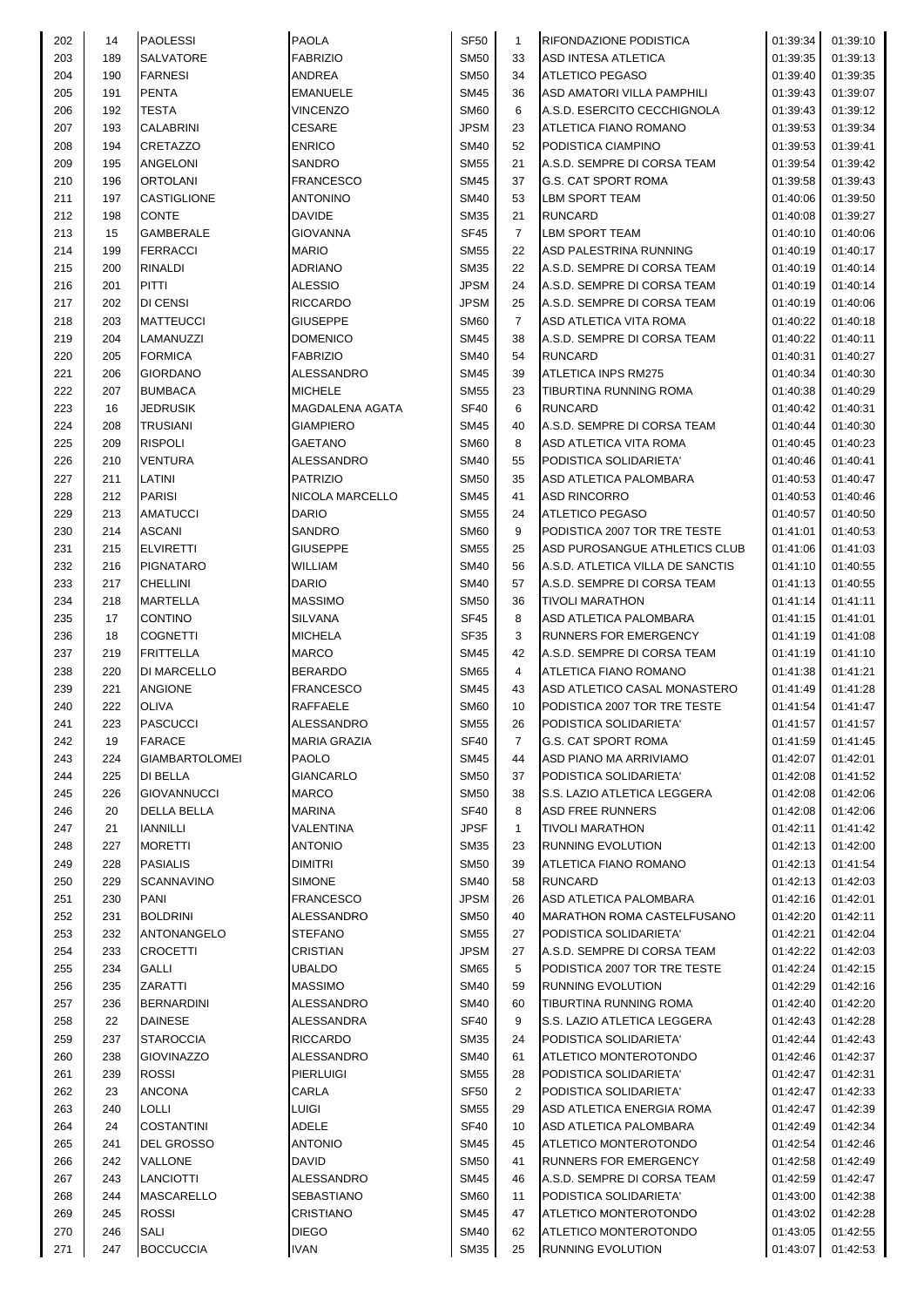| 202 | 14  | <b>PAOLESSI</b>       | <b>PAOLA</b>        | SF <sub>50</sub> | $\mathbf{1}$   | RIFONDAZIONE PODISTICA           | 01:39:34 | 01:39:10 |
|-----|-----|-----------------------|---------------------|------------------|----------------|----------------------------------|----------|----------|
| 203 | 189 | SALVATORE             | <b>FABRIZIO</b>     | <b>SM50</b>      | 33             | ASD INTESA ATLETICA              | 01:39:35 | 01:39:13 |
| 204 | 190 | <b>FARNESI</b>        | <b>ANDREA</b>       | <b>SM50</b>      | 34             | <b>ATLETICO PEGASO</b>           | 01:39:40 | 01:39:35 |
| 205 | 191 | <b>PENTA</b>          | <b>EMANUELE</b>     | <b>SM45</b>      | 36             | ASD AMATORI VILLA PAMPHILI       | 01:39:43 | 01:39:07 |
|     |     |                       |                     |                  |                |                                  |          |          |
| 206 | 192 | <b>TESTA</b>          | <b>VINCENZO</b>     | <b>SM60</b>      | 6              | A.S.D. ESERCITO CECCHIGNOLA      | 01:39:43 | 01:39:12 |
| 207 | 193 | <b>CALABRINI</b>      | <b>CESARE</b>       | <b>JPSM</b>      | 23             | ATLETICA FIANO ROMANO            | 01:39:53 | 01:39:34 |
| 208 | 194 | CRETAZZO              | <b>ENRICO</b>       | <b>SM40</b>      | 52             | PODISTICA CIAMPINO               | 01:39:53 | 01:39:41 |
| 209 | 195 | ANGELONI              | SANDRO              | <b>SM55</b>      | 21             | A.S.D. SEMPRE DI CORSA TEAM      | 01:39:54 | 01:39:42 |
| 210 | 196 | ORTOLANI              | <b>FRANCESCO</b>    | <b>SM45</b>      | 37             | <b>G.S. CAT SPORT ROMA</b>       | 01:39:58 | 01:39:43 |
| 211 | 197 | CASTIGLIONE           | <b>ANTONINO</b>     | <b>SM40</b>      | 53             | <b>LBM SPORT TEAM</b>            | 01:40:06 | 01:39:50 |
| 212 | 198 | <b>CONTE</b>          | <b>DAVIDE</b>       | <b>SM35</b>      | 21             | <b>RUNCARD</b>                   | 01:40:08 | 01:39:27 |
| 213 | 15  | <b>GAMBERALE</b>      | GIOVANNA            | <b>SF45</b>      | $\overline{7}$ | <b>LBM SPORT TEAM</b>            | 01:40:10 | 01:40:06 |
| 214 | 199 | <b>FERRACCI</b>       |                     |                  | 22             | ASD PALESTRINA RUNNING           |          |          |
|     |     |                       | <b>MARIO</b>        | <b>SM55</b>      |                |                                  | 01:40:19 | 01:40:17 |
| 215 | 200 | <b>RINALDI</b>        | <b>ADRIANO</b>      | <b>SM35</b>      | 22             | A.S.D. SEMPRE DI CORSA TEAM      | 01:40:19 | 01:40:14 |
| 216 | 201 | <b>PITTI</b>          | <b>ALESSIO</b>      | <b>JPSM</b>      | 24             | A.S.D. SEMPRE DI CORSA TEAM      | 01:40:19 | 01:40:14 |
| 217 | 202 | DI CENSI              | <b>RICCARDO</b>     | <b>JPSM</b>      | 25             | A.S.D. SEMPRE DI CORSA TEAM      | 01:40:19 | 01:40:06 |
| 218 | 203 | <b>MATTEUCCI</b>      | GIUSEPPE            | <b>SM60</b>      | $\overline{7}$ | ASD ATLETICA VITA ROMA           | 01:40:22 | 01:40:18 |
| 219 | 204 | LAMANUZZI             | <b>DOMENICO</b>     | <b>SM45</b>      | 38             | A.S.D. SEMPRE DI CORSA TEAM      | 01:40:22 | 01:40:11 |
| 220 | 205 | <b>FORMICA</b>        | <b>FABRIZIO</b>     | <b>SM40</b>      | 54             | <b>RUNCARD</b>                   | 01:40:31 | 01:40:27 |
| 221 | 206 | <b>GIORDANO</b>       | ALESSANDRO          | <b>SM45</b>      | 39             | <b>ATLETICA INPS RM275</b>       | 01:40:34 | 01:40:30 |
| 222 |     |                       | <b>MICHELE</b>      |                  |                | <b>TIBURTINA RUNNING ROMA</b>    |          |          |
|     | 207 | <b>BUMBACA</b>        |                     | <b>SM55</b>      | 23             |                                  | 01:40:38 | 01:40:29 |
| 223 | 16  | <b>JEDRUSIK</b>       | MAGDALENA AGATA     | <b>SF40</b>      | 6              | <b>RUNCARD</b>                   | 01:40:42 | 01:40:31 |
| 224 | 208 | <b>TRUSIANI</b>       | <b>GIAMPIERO</b>    | SM45             | 40             | A.S.D. SEMPRE DI CORSA TEAM      | 01:40:44 | 01:40:30 |
| 225 | 209 | <b>RISPOLI</b>        | GAETANO             | <b>SM60</b>      | 8              | ASD ATLETICA VITA ROMA           | 01:40:45 | 01:40:23 |
| 226 | 210 | <b>VENTURA</b>        | ALESSANDRO          | SM40             | 55             | PODISTICA SOLIDARIETA'           | 01:40:46 | 01:40:41 |
| 227 | 211 | LATINI                | <b>PATRIZIO</b>     | <b>SM50</b>      | 35             | ASD ATLETICA PALOMBARA           | 01:40:53 | 01:40:47 |
| 228 | 212 | <b>PARISI</b>         | NICOLA MARCELLO     | <b>SM45</b>      | 41             | <b>ASD RINCORRO</b>              | 01:40:53 | 01:40:46 |
| 229 | 213 | <b>AMATUCCI</b>       | <b>DARIO</b>        | <b>SM55</b>      | 24             | <b>ATLETICO PEGASO</b>           | 01:40:57 | 01:40:50 |
|     |     |                       |                     |                  |                |                                  |          |          |
| 230 | 214 | <b>ASCANI</b>         | SANDRO              | <b>SM60</b>      | 9              | PODISTICA 2007 TOR TRE TESTE     | 01:41:01 | 01:40:53 |
| 231 | 215 | <b>ELVIRETTI</b>      | <b>GIUSEPPE</b>     | <b>SM55</b>      | 25             | ASD PUROSANGUE ATHLETICS CLUB    | 01:41:06 | 01:41:03 |
| 232 | 216 | <b>PIGNATARO</b>      | <b>WILLIAM</b>      | <b>SM40</b>      | 56             | A.S.D. ATLETICA VILLA DE SANCTIS | 01:41:10 | 01:40:55 |
| 233 | 217 | <b>CHELLINI</b>       | <b>DARIO</b>        | <b>SM40</b>      | 57             | A.S.D. SEMPRE DI CORSA TEAM      | 01:41:13 | 01:40:55 |
| 234 | 218 | MARTELLA              | <b>MASSIMO</b>      | <b>SM50</b>      | 36             | <b>TIVOLI MARATHON</b>           | 01:41:14 | 01:41:11 |
| 235 | 17  | <b>CONTINO</b>        | SILVANA             | <b>SF45</b>      | 8              | ASD ATLETICA PALOMBARA           | 01:41:15 | 01:41:01 |
| 236 | 18  | <b>COGNETTI</b>       | <b>MICHELA</b>      | <b>SF35</b>      | 3              | <b>RUNNERS FOR EMERGENCY</b>     | 01:41:19 | 01:41:08 |
| 237 | 219 | <b>FRITTELLA</b>      | <b>MARCO</b>        | <b>SM45</b>      | 42             | A.S.D. SEMPRE DI CORSA TEAM      | 01:41:19 | 01:41:10 |
|     | 220 | <b>DI MARCELLO</b>    | <b>BERARDO</b>      | <b>SM65</b>      |                | ATLETICA FIANO ROMANO            | 01:41:38 |          |
| 238 |     |                       |                     |                  | 4              |                                  |          | 01:41:21 |
| 239 | 221 | <b>ANGIONE</b>        | <b>FRANCESCO</b>    | SM45             | 43             | ASD ATLETICO CASAL MONASTERO     | 01:41:49 | 01:41:28 |
| 240 | 222 | <b>OLIVA</b>          | <b>RAFFAELE</b>     | <b>SM60</b>      | 10             | PODISTICA 2007 TOR TRE TESTE     | 01:41:54 | 01:41:47 |
| 241 | 223 | <b>PASCUCCI</b>       | <b>ALESSANDRO</b>   | <b>SM55</b>      | 26             | PODISTICA SOLIDARIETA'           | 01:41:57 | 01:41:57 |
| 242 | 19  | <b>FARACE</b>         | <b>MARIA GRAZIA</b> | SF40             | $\overline{7}$ | <b>G.S. CAT SPORT ROMA</b>       | 01:41:59 | 01:41:45 |
| 243 | 224 | <b>GIAMBARTOLOMEI</b> | <b>PAOLO</b>        | SM45             | 44             | ASD PIANO MA ARRIVIAMO           | 01:42:07 | 01:42:01 |
| 244 | 225 | <b>DI BELLA</b>       | GIANCARLO           | <b>SM50</b>      | 37             | PODISTICA SOLIDARIETA'           | 01:42:08 | 01:41:52 |
| 245 | 226 | <b>GIOVANNUCCI</b>    | <b>MARCO</b>        | <b>SM50</b>      | 38             | S.S. LAZIO ATLETICA LEGGERA      | 01:42:08 | 01:42:06 |
| 246 | 20  | <b>DELLA BELLA</b>    | <b>MARINA</b>       | <b>SF40</b>      | 8              | <b>ASD FREE RUNNERS</b>          | 01:42:08 | 01:42:06 |
|     |     |                       |                     |                  |                |                                  |          |          |
| 247 | 21  | <b>IANNILLI</b>       | VALENTINA           | <b>JPSF</b>      | $\mathbf{1}$   | <b>TIVOLI MARATHON</b>           | 01:42:11 | 01:41:42 |
| 248 | 227 | <b>MORETTI</b>        | ANTONIO             | SM35             | 23             | <b>RUNNING EVOLUTION</b>         | 01:42:13 | 01:42:00 |
| 249 | 228 | <b>PASIALIS</b>       | DIMITRI             | SM50             | 39             | ATLETICA FIANO ROMANO            | 01:42:13 | 01:41:54 |
| 250 | 229 | <b>SCANNAVINO</b>     | <b>SIMONE</b>       | <b>SM40</b>      | 58             | <b>RUNCARD</b>                   | 01:42:13 | 01:42:03 |
| 251 | 230 | <b>PANI</b>           | <b>FRANCESCO</b>    | <b>JPSM</b>      | 26             | ASD ATLETICA PALOMBARA           | 01:42:16 | 01:42:01 |
| 252 | 231 | <b>BOLDRINI</b>       | ALESSANDRO          | <b>SM50</b>      | 40             | MARATHON ROMA CASTELFUSANO       | 01:42:20 | 01:42:11 |
| 253 | 232 | ANTONANGELO           | <b>STEFANO</b>      | <b>SM55</b>      | 27             | PODISTICA SOLIDARIETA'           | 01:42:21 | 01:42:04 |
| 254 | 233 | <b>CROCETTI</b>       | CRISTIAN            | <b>JPSM</b>      | 27             | A.S.D. SEMPRE DI CORSA TEAM      | 01:42:22 | 01:42:03 |
|     |     |                       |                     |                  |                |                                  |          |          |
| 255 | 234 | <b>GALLI</b>          | UBALDO              | <b>SM65</b>      | 5              | PODISTICA 2007 TOR TRE TESTE     | 01:42:24 | 01:42:15 |
| 256 | 235 | <b>ZARATTI</b>        | <b>MASSIMO</b>      | <b>SM40</b>      | 59             | <b>RUNNING EVOLUTION</b>         | 01:42:29 | 01:42:16 |
| 257 | 236 | <b>BERNARDINI</b>     | ALESSANDRO          | <b>SM40</b>      | 60             | TIBURTINA RUNNING ROMA           | 01:42:40 | 01:42:20 |
| 258 | 22  | <b>DAINESE</b>        | ALESSANDRA          | <b>SF40</b>      | 9              | S.S. LAZIO ATLETICA LEGGERA      | 01:42:43 | 01:42:28 |
| 259 | 237 | <b>STAROCCIA</b>      | <b>RICCARDO</b>     | <b>SM35</b>      | 24             | PODISTICA SOLIDARIETA'           | 01:42:44 | 01:42:43 |
| 260 | 238 | <b>GIOVINAZZO</b>     | ALESSANDRO          | <b>SM40</b>      | 61             | ATLETICO MONTEROTONDO            | 01:42:46 | 01:42:37 |
| 261 | 239 | <b>ROSSI</b>          | <b>PIERLUIGI</b>    | <b>SM55</b>      | 28             | PODISTICA SOLIDARIETA'           | 01:42:47 | 01:42:31 |
| 262 | 23  | <b>ANCONA</b>         | CARLA               | <b>SF50</b>      | $\overline{2}$ | PODISTICA SOLIDARIETA'           | 01:42:47 | 01:42:33 |
|     |     |                       |                     |                  |                |                                  |          |          |
| 263 | 240 | <b>LOLLI</b>          | LUIGI               | SM55             | 29             | ASD ATLETICA ENERGIA ROMA        | 01:42:47 | 01:42:39 |
| 264 | 24  | <b>COSTANTINI</b>     | ADELE               | <b>SF40</b>      | 10             | ASD ATLETICA PALOMBARA           | 01:42:49 | 01:42:34 |
| 265 | 241 | <b>DEL GROSSO</b>     | ANTONIO             | SM45             | 45             | ATLETICO MONTEROTONDO            | 01:42:54 | 01:42:46 |
| 266 | 242 | VALLONE               | <b>DAVID</b>        | <b>SM50</b>      | 41             | <b>RUNNERS FOR EMERGENCY</b>     | 01:42:58 | 01:42:49 |
| 267 | 243 | <b>LANCIOTTI</b>      | ALESSANDRO          | <b>SM45</b>      | 46             | A.S.D. SEMPRE DI CORSA TEAM      | 01:42:59 | 01:42:47 |
| 268 | 244 | <b>MASCARELLO</b>     | SEBASTIANO          | <b>SM60</b>      | 11             | PODISTICA SOLIDARIETA'           | 01:43:00 | 01:42:38 |
| 269 | 245 | <b>ROSSI</b>          | CRISTIANO           | <b>SM45</b>      | 47             | ATLETICO MONTEROTONDO            | 01:43:02 | 01:42:28 |
| 270 | 246 | <b>SALI</b>           | <b>DIEGO</b>        | <b>SM40</b>      | 62             | ATLETICO MONTEROTONDO            | 01:43:05 | 01:42:55 |
| 271 | 247 | <b>BOCCUCCIA</b>      |                     | <b>SM35</b>      | 25             | RUNNING EVOLUTION                | 01:43:07 |          |
|     |     |                       | <b>IVAN</b>         |                  |                |                                  |          | 01:42:53 |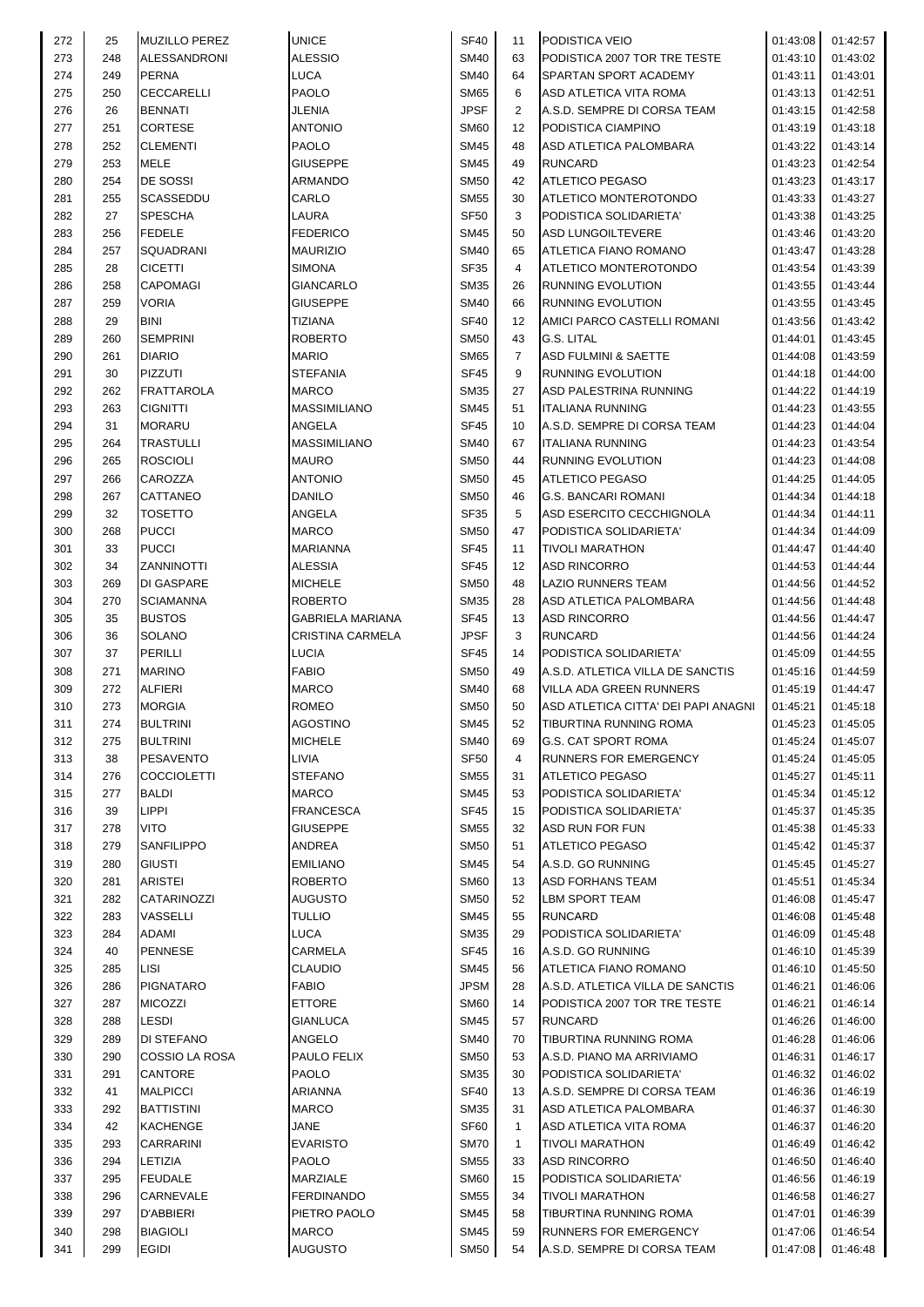| 272 | 25  | <b>MUZILLO PEREZ</b> | <b>UNICE</b>            | <b>SF40</b> | 11             | PODISTICA VEIO                      | 01:43:08 | 01:42:57          |
|-----|-----|----------------------|-------------------------|-------------|----------------|-------------------------------------|----------|-------------------|
| 273 | 248 | <b>ALESSANDRONI</b>  | <b>ALESSIO</b>          | <b>SM40</b> | 63             | PODISTICA 2007 TOR TRE TESTE        | 01:43:10 | 01:43:02          |
| 274 | 249 | <b>PERNA</b>         | <b>LUCA</b>             | <b>SM40</b> | 64             | SPARTAN SPORT ACADEMY               | 01:43:11 | 01:43:01          |
| 275 | 250 | <b>CECCARELLI</b>    | PAOLO                   | <b>SM65</b> | 6              | ASD ATLETICA VITA ROMA              | 01:43:13 | 01:42:51          |
| 276 | 26  | <b>BENNATI</b>       | <b>JLENIA</b>           | <b>JPSF</b> | $\overline{2}$ | A.S.D. SEMPRE DI CORSA TEAM         | 01:43:15 | 01:42:58          |
| 277 | 251 | <b>CORTESE</b>       | <b>ANTONIO</b>          | <b>SM60</b> | 12             | PODISTICA CIAMPINO                  |          | 01:43:18          |
|     |     |                      |                         |             |                |                                     | 01:43:19 |                   |
| 278 | 252 | <b>CLEMENTI</b>      | <b>PAOLO</b>            | <b>SM45</b> | 48             | <b>ASD ATLETICA PALOMBARA</b>       | 01:43:22 | 01:43:14          |
| 279 | 253 | MELE                 | GIUSEPPE                | <b>SM45</b> | 49             | <b>RUNCARD</b>                      | 01:43:23 | 01:42:54          |
| 280 | 254 | DE SOSSI             | ARMANDO                 | <b>SM50</b> | 42             | <b>ATLETICO PEGASO</b>              | 01:43:23 | 01:43:17          |
| 281 | 255 | SCASSEDDU            | CARLO                   | <b>SM55</b> | 30             | ATLETICO MONTEROTONDO               | 01:43:33 | 01:43:27          |
| 282 | 27  | <b>SPESCHA</b>       | LAURA                   | <b>SF50</b> | 3              | PODISTICA SOLIDARIETA'              | 01:43:38 | 01:43:25          |
| 283 | 256 | <b>FEDELE</b>        | <b>FEDERICO</b>         | <b>SM45</b> | 50             | <b>ASD LUNGOILTEVERE</b>            | 01:43:46 | 01:43:20          |
| 284 | 257 | SQUADRANI            | <b>MAURIZIO</b>         | <b>SM40</b> | 65             | <b>ATLETICA FIANO ROMANO</b>        | 01:43:47 | 01:43:28          |
| 285 | 28  | <b>CICETTI</b>       | <b>SIMONA</b>           | SF35        | 4              | ATLETICO MONTEROTONDO               | 01:43:54 | 01:43:39          |
| 286 | 258 | <b>CAPOMAGI</b>      | <b>GIANCARLO</b>        | <b>SM35</b> | 26             | <b>RUNNING EVOLUTION</b>            | 01:43:55 | 01:43:44          |
| 287 | 259 | VORIA                | <b>GIUSEPPE</b>         | <b>SM40</b> | 66             | <b>RUNNING EVOLUTION</b>            | 01:43:55 | 01:43:45          |
|     |     |                      |                         |             |                |                                     |          |                   |
| 288 | 29  | <b>BINI</b>          | <b>TIZIANA</b>          | <b>SF40</b> | 12             | AMICI PARCO CASTELLI ROMANI         | 01:43:56 | 01:43:42          |
| 289 | 260 | <b>SEMPRINI</b>      | <b>ROBERTO</b>          | <b>SM50</b> | 43             | <b>G.S. LITAL</b>                   | 01:44:01 | 01:43:45          |
| 290 | 261 | <b>DIARIO</b>        | <b>MARIO</b>            | <b>SM65</b> | $\overline{7}$ | <b>ASD FULMINI &amp; SAETTE</b>     | 01:44:08 | 01:43:59          |
| 291 | 30  | <b>PIZZUTI</b>       | <b>STEFANIA</b>         | <b>SF45</b> | 9              | RUNNING EVOLUTION                   | 01:44:18 | 01:44:00          |
| 292 | 262 | FRATTAROLA           | <b>MARCO</b>            | <b>SM35</b> | 27             | ASD PALESTRINA RUNNING              | 01:44:22 | 01:44:19          |
| 293 | 263 | <b>CIGNITTI</b>      | <b>MASSIMILIANO</b>     | <b>SM45</b> | 51             | <b>ITALIANA RUNNING</b>             | 01:44:23 | 01:43:55          |
| 294 | 31  | <b>MORARU</b>        | ANGELA                  | <b>SF45</b> | 10             | A.S.D. SEMPRE DI CORSA TEAM         | 01:44:23 | 01:44:04          |
| 295 | 264 | TRASTULLI            | <b>MASSIMILIANO</b>     | <b>SM40</b> | 67             | <b>ITALIANA RUNNING</b>             | 01:44:23 | 01:43:54          |
| 296 | 265 | <b>ROSCIOLI</b>      | <b>MAURO</b>            | <b>SM50</b> | 44             | RUNNING EVOLUTION                   | 01:44:23 | 01:44:08          |
|     |     |                      |                         |             |                |                                     |          |                   |
| 297 | 266 | CAROZZA              | <b>ANTONIO</b>          | <b>SM50</b> | 45             | <b>ATLETICO PEGASO</b>              | 01:44:25 | 01:44:05          |
| 298 | 267 | CATTANEO             | <b>DANILO</b>           | <b>SM50</b> | 46             | <b>G.S. BANCARI ROMANI</b>          | 01:44:34 | 01:44:18          |
| 299 | 32  | <b>TOSETTO</b>       | ANGELA                  | <b>SF35</b> | 5              | ASD ESERCITO CECCHIGNOLA            | 01:44:34 | 01:44:11          |
| 300 | 268 | <b>PUCCI</b>         | <b>MARCO</b>            | <b>SM50</b> | 47             | PODISTICA SOLIDARIETA'              | 01:44:34 | 01:44:09          |
| 301 | 33  | <b>PUCCI</b>         | <b>MARIANNA</b>         | <b>SF45</b> | 11             | <b>TIVOLI MARATHON</b>              | 01:44:47 | 01:44:40          |
| 302 | 34  | ZANNINOTTI           | <b>ALESSIA</b>          | SF45        | 12             | <b>ASD RINCORRO</b>                 | 01:44:53 | 01:44:44          |
| 303 | 269 | DI GASPARE           | <b>MICHELE</b>          | <b>SM50</b> | 48             | <b>LAZIO RUNNERS TEAM</b>           | 01:44:56 | 01:44:52          |
| 304 | 270 | <b>SCIAMANNA</b>     | <b>ROBERTO</b>          | <b>SM35</b> | 28             | ASD ATLETICA PALOMBARA              | 01:44:56 | 01:44:48          |
| 305 | 35  | <b>BUSTOS</b>        | GABRIELA MARIANA        | SF45        | 13             | <b>ASD RINCORRO</b>                 | 01:44:56 | 01:44:47          |
| 306 | 36  |                      | <b>CRISTINA CARMELA</b> | <b>JPSF</b> | 3              | <b>RUNCARD</b>                      |          |                   |
|     |     | SOLANO               |                         |             |                |                                     | 01:44:56 | 01:44:24          |
| 307 | 37  | <b>PERILLI</b>       | <b>LUCIA</b>            | <b>SF45</b> | 14             | PODISTICA SOLIDARIETA'              | 01:45:09 | 01:44:55          |
| 308 | 271 | <b>MARINO</b>        | <b>FABIO</b>            | <b>SM50</b> | 49             | A.S.D. ATLETICA VILLA DE SANCTIS    | 01:45:16 | 01:44:59          |
| 309 | 272 | <b>ALFIERI</b>       | <b>MARCO</b>            | <b>SM40</b> | 68             | VILLA ADA GREEN RUNNERS             | 01:45:19 | 01:44:47          |
| 310 | 273 | <b>MORGIA</b>        | <b>ROMEO</b>            | <b>SM50</b> | 50             | ASD ATLETICA CITTA' DEI PAPI ANAGNI | 01:45:21 | 01:45:18          |
| 311 | 274 | <b>BULTRINI</b>      | <b>AGOSTINO</b>         | <b>SM45</b> | 52             | TIBURTINA RUNNING ROMA              |          | 01:45:23 01:45:05 |
| 312 | 275 | <b>BULTRINI</b>      | <b>MICHELE</b>          | <b>SM40</b> | 69             | <b>G.S. CAT SPORT ROMA</b>          | 01:45:24 | 01:45:07          |
| 313 | 38  | <b>PESAVENTO</b>     | LIVIA                   | <b>SF50</b> | 4              | RUNNERS FOR EMERGENCY               | 01:45:24 | 01:45:05          |
| 314 | 276 | <b>COCCIOLETTI</b>   | <b>STEFANO</b>          | <b>SM55</b> | 31             | <b>ATLETICO PEGASO</b>              | 01:45:27 | 01:45:11          |
| 315 | 277 | <b>BALDI</b>         | <b>MARCO</b>            | <b>SM45</b> | 53             | PODISTICA SOLIDARIETA'              | 01:45:34 | 01:45:12          |
| 316 | 39  | <b>LIPPI</b>         | <b>FRANCESCA</b>        | SF45        | 15             |                                     | 01:45:37 | 01:45:35          |
|     |     |                      |                         |             |                | PODISTICA SOLIDARIETA'              |          |                   |
| 317 | 278 | VITO                 | <b>GIUSEPPE</b>         | <b>SM55</b> | 32             | <b>ASD RUN FOR FUN</b>              | 01:45:38 | 01:45:33          |
| 318 | 279 | SANFILIPPO           | ANDREA                  | <b>SM50</b> | 51             | <b>ATLETICO PEGASO</b>              | 01:45:42 | 01:45:37          |
| 319 | 280 | <b>GIUSTI</b>        | <b>EMILIANO</b>         | <b>SM45</b> | 54             | A.S.D. GO RUNNING                   | 01:45:45 | 01:45:27          |
| 320 | 281 | ARISTEI              | <b>ROBERTO</b>          | <b>SM60</b> | 13             | <b>ASD FORHANS TEAM</b>             | 01:45:51 | 01:45:34          |
| 321 | 282 | CATARINOZZI          | AUGUSTO                 | <b>SM50</b> | 52             | LBM SPORT TEAM                      | 01:46:08 | 01:45:47          |
| 322 | 283 | VASSELLI             | <b>TULLIO</b>           | <b>SM45</b> | 55             | <b>RUNCARD</b>                      | 01:46:08 | 01:45:48          |
| 323 | 284 | ADAMI                | <b>LUCA</b>             | <b>SM35</b> | 29             | PODISTICA SOLIDARIETA'              | 01:46:09 | 01:45:48          |
| 324 | 40  | <b>PENNESE</b>       | <b>CARMELA</b>          | SF45        | 16             | A.S.D. GO RUNNING                   | 01:46:10 | 01:45:39          |
| 325 | 285 | LISI                 | <b>CLAUDIO</b>          | <b>SM45</b> | 56             | ATLETICA FIANO ROMANO               | 01:46:10 | 01:45:50          |
|     |     | <b>PIGNATARO</b>     |                         | <b>JPSM</b> |                |                                     |          |                   |
| 326 | 286 |                      | <b>FABIO</b>            |             | 28             | A.S.D. ATLETICA VILLA DE SANCTIS    | 01:46:21 | 01:46:06          |
| 327 | 287 | <b>MICOZZI</b>       | <b>ETTORE</b>           | <b>SM60</b> | 14             | PODISTICA 2007 TOR TRE TESTE        | 01:46:21 | 01:46:14          |
| 328 | 288 | LESDI                | <b>GIANLUCA</b>         | <b>SM45</b> | 57             | <b>RUNCARD</b>                      | 01:46:26 | 01:46:00          |
| 329 | 289 | DI STEFANO           | ANGELO                  | <b>SM40</b> | 70             | TIBURTINA RUNNING ROMA              | 01:46:28 | 01:46:06          |
| 330 | 290 | COSSIO LA ROSA       | PAULO FELIX             | <b>SM50</b> | 53             | A.S.D. PIANO MA ARRIVIAMO           | 01:46:31 | 01:46:17          |
| 331 | 291 | <b>CANTORE</b>       | <b>PAOLO</b>            | <b>SM35</b> | 30             | PODISTICA SOLIDARIETA'              | 01:46:32 | 01:46:02          |
| 332 | 41  | <b>MALPICCI</b>      | ARIANNA                 | <b>SF40</b> | 13             | A.S.D. SEMPRE DI CORSA TEAM         | 01:46:36 | 01:46:19          |
| 333 | 292 | <b>BATTISTINI</b>    | <b>MARCO</b>            | <b>SM35</b> | 31             | ASD ATLETICA PALOMBARA              | 01:46:37 | 01:46:30          |
| 334 | 42  | <b>KACHENGE</b>      | <b>JANE</b>             | SF60        | $\mathbf{1}$   | ASD ATLETICA VITA ROMA              | 01:46:37 | 01:46:20          |
| 335 | 293 | <b>CARRARINI</b>     | <b>EVARISTO</b>         | <b>SM70</b> | $\mathbf{1}$   | <b>TIVOLI MARATHON</b>              | 01:46:49 | 01:46:42          |
|     |     |                      |                         |             |                |                                     |          |                   |
| 336 | 294 | LETIZIA              | <b>PAOLO</b>            | <b>SM55</b> | 33             | <b>ASD RINCORRO</b>                 | 01:46:50 | 01:46:40          |
| 337 | 295 | <b>FEUDALE</b>       | MARZIALE                | <b>SM60</b> | 15             | PODISTICA SOLIDARIETA'              | 01:46:56 | 01:46:19          |
| 338 | 296 | CARNEVALE            | <b>FERDINANDO</b>       | <b>SM55</b> | 34             | <b>TIVOLI MARATHON</b>              | 01:46:58 | 01:46:27          |
| 339 | 297 | D'ABBIERI            | PIETRO PAOLO            | <b>SM45</b> | 58             | TIBURTINA RUNNING ROMA              | 01:47:01 | 01:46:39          |
|     |     |                      |                         |             |                |                                     |          |                   |
| 340 | 298 | <b>BIAGIOLI</b>      | <b>MARCO</b>            | <b>SM45</b> | 59             | RUNNERS FOR EMERGENCY               | 01:47:06 | 01:46:54          |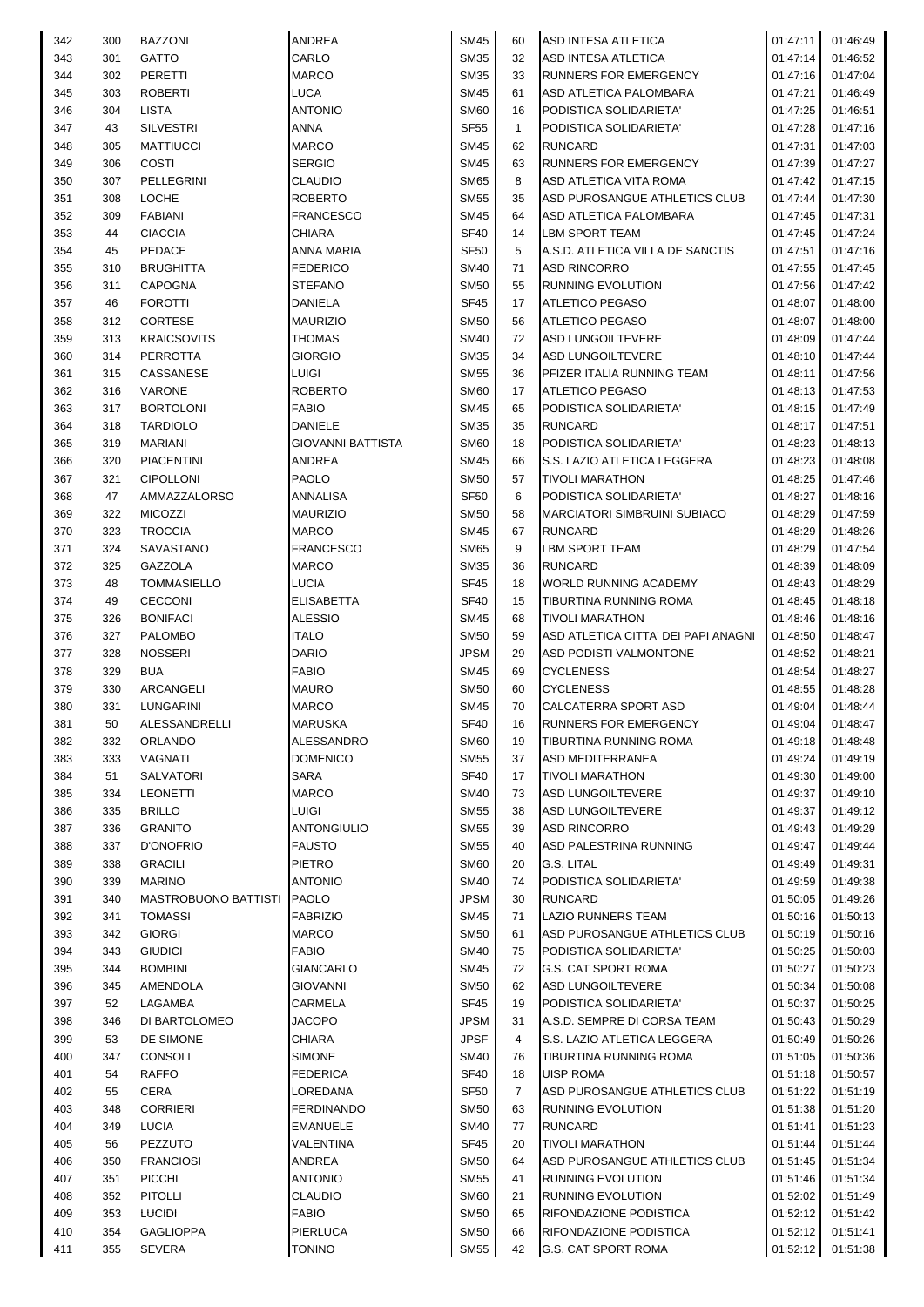| 342 | 300 | <b>BAZZONI</b>              | ANDREA                   | <b>SM45</b> | 60             | ASD INTESA ATLETICA                 | 01:47:11 | 01:46:49 |
|-----|-----|-----------------------------|--------------------------|-------------|----------------|-------------------------------------|----------|----------|
| 343 | 301 | <b>GATTO</b>                | CARLO                    | <b>SM35</b> | 32             | ASD INTESA ATLETICA                 | 01:47:14 | 01:46:52 |
| 344 | 302 | <b>PERETTI</b>              | <b>MARCO</b>             | <b>SM35</b> | 33             | <b>RUNNERS FOR EMERGENCY</b>        | 01:47:16 | 01:47:04 |
| 345 | 303 | <b>ROBERTI</b>              | LUCA                     | <b>SM45</b> | 61             | ASD ATLETICA PALOMBARA              | 01:47:21 | 01:46:49 |
| 346 | 304 | <b>LISTA</b>                | <b>ANTONIO</b>           | <b>SM60</b> | 16             | PODISTICA SOLIDARIETA'              | 01:47:25 | 01:46:51 |
| 347 | 43  | <b>SILVESTRI</b>            | ANNA                     | <b>SF55</b> | $\mathbf{1}$   | PODISTICA SOLIDARIETA'              | 01:47:28 | 01:47:16 |
| 348 | 305 | <b>MATTIUCCI</b>            | <b>MARCO</b>             | <b>SM45</b> | 62             | <b>RUNCARD</b>                      | 01:47:31 | 01:47:03 |
| 349 | 306 | COSTI                       | <b>SERGIO</b>            | <b>SM45</b> | 63             | RUNNERS FOR EMERGENCY               | 01:47:39 | 01:47:27 |
| 350 | 307 | PELLEGRINI                  | <b>CLAUDIO</b>           | <b>SM65</b> | 8              | ASD ATLETICA VITA ROMA              | 01:47:42 | 01:47:15 |
| 351 | 308 | <b>LOCHE</b>                | <b>ROBERTO</b>           | <b>SM55</b> | 35             | ASD PUROSANGUE ATHLETICS CLUB       | 01:47:44 | 01:47:30 |
| 352 | 309 | <b>FABIANI</b>              | <b>FRANCESCO</b>         | <b>SM45</b> | 64             | ASD ATLETICA PALOMBARA              | 01:47:45 | 01:47:31 |
| 353 | 44  | <b>CIACCIA</b>              | CHIARA                   | <b>SF40</b> | 14             | <b>LBM SPORT TEAM</b>               | 01:47:45 |          |
|     |     | <b>PEDACE</b>               | <b>ANNA MARIA</b>        |             |                |                                     |          | 01:47:24 |
| 354 | 45  |                             |                          | <b>SF50</b> | 5              | A.S.D. ATLETICA VILLA DE SANCTIS    | 01:47:51 | 01:47:16 |
| 355 | 310 | <b>BRUGHITTA</b>            | <b>FEDERICO</b>          | <b>SM40</b> | 71             | <b>ASD RINCORRO</b>                 | 01:47:55 | 01:47:45 |
| 356 | 311 | CAPOGNA                     | <b>STEFANO</b>           | <b>SM50</b> | 55             | <b>RUNNING EVOLUTION</b>            | 01:47:56 | 01:47:42 |
| 357 | 46  | <b>FOROTTI</b>              | DANIELA                  | <b>SF45</b> | 17             | <b>ATLETICO PEGASO</b>              | 01:48:07 | 01:48:00 |
| 358 | 312 | CORTESE                     | <b>MAURIZIO</b>          | SM50        | 56             | <b>ATLETICO PEGASO</b>              | 01:48:07 | 01:48:00 |
| 359 | 313 | <b>KRAICSOVITS</b>          | <b>THOMAS</b>            | <b>SM40</b> | 72             | ASD LUNGOILTEVERE                   | 01:48:09 | 01:47:44 |
| 360 | 314 | <b>PERROTTA</b>             | GIORGIO                  | <b>SM35</b> | 34             | <b>ASD LUNGOILTEVERE</b>            | 01:48:10 | 01:47:44 |
| 361 | 315 | CASSANESE                   | LUIGI                    | <b>SM55</b> | 36             | PFIZER ITALIA RUNNING TEAM          | 01:48:11 | 01:47:56 |
| 362 | 316 | <b>VARONE</b>               | <b>ROBERTO</b>           | <b>SM60</b> | 17             | <b>ATLETICO PEGASO</b>              | 01:48:13 | 01:47:53 |
| 363 | 317 | <b>BORTOLONI</b>            | <b>FABIO</b>             | <b>SM45</b> | 65             | PODISTICA SOLIDARIETA'              | 01:48:15 | 01:47:49 |
| 364 | 318 | <b>TARDIOLO</b>             | <b>DANIELE</b>           | <b>SM35</b> | 35             | <b>RUNCARD</b>                      | 01:48:17 | 01:47:51 |
| 365 | 319 | <b>MARIANI</b>              | <b>GIOVANNI BATTISTA</b> | <b>SM60</b> | 18             | PODISTICA SOLIDARIETA'              | 01:48:23 | 01:48:13 |
| 366 | 320 | <b>PIACENTINI</b>           | ANDREA                   | SM45        | 66             | S.S. LAZIO ATLETICA LEGGERA         | 01:48:23 | 01:48:08 |
| 367 | 321 | <b>CIPOLLONI</b>            | <b>PAOLO</b>             | <b>SM50</b> | 57             | <b>TIVOLI MARATHON</b>              | 01:48:25 | 01:47:46 |
| 368 | 47  | AMMAZZALORSO                | ANNALISA                 | <b>SF50</b> | 6              | PODISTICA SOLIDARIETA'              | 01:48:27 | 01:48:16 |
| 369 | 322 | <b>MICOZZI</b>              | <b>MAURIZIO</b>          | <b>SM50</b> | 58             | <b>MARCIATORI SIMBRUINI SUBIACO</b> | 01:48:29 | 01:47:59 |
| 370 | 323 | <b>TROCCIA</b>              | <b>MARCO</b>             | SM45        | 67             | <b>RUNCARD</b>                      | 01:48:29 | 01:48:26 |
| 371 | 324 | SAVASTANO                   | <b>FRANCESCO</b>         | <b>SM65</b> | 9              | <b>LBM SPORT TEAM</b>               | 01:48:29 | 01:47:54 |
| 372 | 325 | GAZZOLA                     | <b>MARCO</b>             | <b>SM35</b> | 36             | <b>RUNCARD</b>                      | 01:48:39 | 01:48:09 |
| 373 | 48  | <b>TOMMASIELLO</b>          | LUCIA                    | <b>SF45</b> | 18             | <b>WORLD RUNNING ACADEMY</b>        | 01:48:43 | 01:48:29 |
| 374 | 49  | <b>CECCONI</b>              | <b>ELISABETTA</b>        | <b>SF40</b> | 15             | TIBURTINA RUNNING ROMA              | 01:48:45 | 01:48:18 |
| 375 | 326 | <b>BONIFACI</b>             | <b>ALESSIO</b>           | <b>SM45</b> | 68             | <b>TIVOLI MARATHON</b>              | 01:48:46 | 01:48:16 |
|     | 327 | <b>PALOMBO</b>              | <b>ITALO</b>             |             |                |                                     |          |          |
| 376 |     |                             | <b>DARIO</b>             | <b>SM50</b> | 59             | ASD ATLETICA CITTA' DEI PAPI ANAGNI | 01:48:50 | 01:48:47 |
| 377 | 328 | <b>NOSSERI</b>              |                          | <b>JPSM</b> | 29             | ASD PODISTI VALMONTONE              | 01:48:52 | 01:48:21 |
| 378 | 329 | <b>BUA</b>                  | <b>FABIO</b>             | <b>SM45</b> | 69             | <b>CYCLENESS</b>                    | 01:48:54 | 01:48:27 |
| 379 | 330 | <b>ARCANGELI</b>            | <b>MAURO</b>             | SM50        | 60             | <b>CYCLENESS</b>                    | 01:48:55 | 01:48:28 |
| 380 | 331 | <b>LUNGARINI</b>            | <b>MARCO</b>             | SM45        | 70             | <b>CALCATERRA SPORT ASD</b>         | 01:49:04 | 01:48:44 |
| 381 | 50  | <b>ALESSANDRELLI</b>        | <b>MARUSKA</b>           | SF40        | 16             | <b>RUNNERS FOR EMERGENCY</b>        | 01:49:04 | 01:48:47 |
| 382 | 332 | ORLANDO                     | ALESSANDRO               | <b>SM60</b> | 19             | TIBURTINA RUNNING ROMA              | 01:49:18 | 01:48:48 |
| 383 | 333 | VAGNATI                     | <b>DOMENICO</b>          | SM55        | 37             | <b>ASD MEDITERRANEA</b>             | 01:49:24 | 01:49:19 |
| 384 | 51  | <b>SALVATORI</b>            | SARA                     | <b>SF40</b> | 17             | <b>TIVOLI MARATHON</b>              | 01:49:30 | 01:49:00 |
| 385 | 334 | <b>LEONETTI</b>             | MARCO                    | <b>SM40</b> | 73             | ASD LUNGOILTEVERE                   | 01:49:37 | 01:49:10 |
| 386 | 335 | <b>BRILLO</b>               | LUIGI                    | <b>SM55</b> | 38             | <b>ASD LUNGOILTEVERE</b>            | 01:49:37 | 01:49:12 |
| 387 | 336 | <b>GRANITO</b>              | <b>ANTONGIULIO</b>       | SM55        | 39             | <b>ASD RINCORRO</b>                 | 01:49:43 | 01:49:29 |
| 388 | 337 | <b>D'ONOFRIO</b>            | <b>FAUSTO</b>            | <b>SM55</b> | 40             | ASD PALESTRINA RUNNING              | 01:49:47 | 01:49:44 |
| 389 | 338 | <b>GRACILI</b>              | <b>PIETRO</b>            | <b>SM60</b> | 20             | G.S. LITAL                          | 01:49:49 | 01:49:31 |
| 390 | 339 | <b>MARINO</b>               | <b>ANTONIO</b>           | <b>SM40</b> | 74             | PODISTICA SOLIDARIETA'              | 01:49:59 | 01:49:38 |
| 391 | 340 | <b>MASTROBUONO BATTISTI</b> | <b>PAOLO</b>             | <b>JPSM</b> | 30             | <b>RUNCARD</b>                      | 01:50:05 | 01:49:26 |
| 392 | 341 | <b>TOMASSI</b>              | <b>FABRIZIO</b>          | <b>SM45</b> | 71             | <b>LAZIO RUNNERS TEAM</b>           | 01:50:16 | 01:50:13 |
| 393 | 342 | <b>GIORGI</b>               | <b>MARCO</b>             | <b>SM50</b> | 61             | ASD PUROSANGUE ATHLETICS CLUB       | 01:50:19 | 01:50:16 |
| 394 | 343 | <b>GIUDICI</b>              | <b>FABIO</b>             | <b>SM40</b> | 75             | PODISTICA SOLIDARIETA'              | 01:50:25 | 01:50:03 |
| 395 | 344 | <b>BOMBINI</b>              | GIANCARLO                | <b>SM45</b> | 72             | <b>G.S. CAT SPORT ROMA</b>          | 01:50:27 | 01:50:23 |
| 396 | 345 | <b>AMENDOLA</b>             | <b>GIOVANNI</b>          | <b>SM50</b> | 62             | <b>ASD LUNGOILTEVERE</b>            | 01:50:34 | 01:50:08 |
| 397 | 52  | LAGAMBA                     | CARMELA                  | <b>SF45</b> | 19             | PODISTICA SOLIDARIETA'              | 01:50:37 | 01:50:25 |
| 398 | 346 | DI BARTOLOMEO               | JACOPO                   | <b>JPSM</b> | 31             | A.S.D. SEMPRE DI CORSA TEAM         | 01:50:43 | 01:50:29 |
|     |     |                             |                          | <b>JPSF</b> |                |                                     |          |          |
| 399 | 53  | DE SIMONE                   | CHIARA                   |             | 4              | S.S. LAZIO ATLETICA LEGGERA         | 01:50:49 | 01:50:26 |
| 400 | 347 | <b>CONSOLI</b>              | <b>SIMONE</b>            | <b>SM40</b> | 76             | TIBURTINA RUNNING ROMA              | 01:51:05 | 01:50:36 |
| 401 | 54  | <b>RAFFO</b>                | FEDERICA                 | <b>SF40</b> | 18             | <b>UISP ROMA</b>                    | 01:51:18 | 01:50:57 |
| 402 | 55  | CERA                        | LOREDANA                 | <b>SF50</b> | $\overline{7}$ | ASD PUROSANGUE ATHLETICS CLUB       | 01:51:22 | 01:51:19 |
| 403 | 348 | <b>CORRIERI</b>             | <b>FERDINANDO</b>        | <b>SM50</b> | 63             | <b>RUNNING EVOLUTION</b>            | 01:51:38 | 01:51:20 |
| 404 | 349 | <b>LUCIA</b>                | <b>EMANUELE</b>          | SM40        | 77             | <b>RUNCARD</b>                      | 01:51:41 | 01:51:23 |
| 405 | 56  | PEZZUTO                     | VALENTINA                | <b>SF45</b> | 20             | <b>TIVOLI MARATHON</b>              | 01:51:44 | 01:51:44 |
| 406 | 350 | <b>FRANCIOSI</b>            | ANDREA                   | <b>SM50</b> | 64             | ASD PUROSANGUE ATHLETICS CLUB       | 01:51:45 | 01:51:34 |
| 407 | 351 | <b>PICCHI</b>               | <b>ANTONIO</b>           | <b>SM55</b> | 41             | RUNNING EVOLUTION                   | 01:51:46 | 01:51:34 |
| 408 | 352 | <b>PITOLLI</b>              | CLAUDIO                  | <b>SM60</b> | 21             | <b>RUNNING EVOLUTION</b>            | 01:52:02 | 01:51:49 |
| 409 | 353 | <b>LUCIDI</b>               | <b>FABIO</b>             | <b>SM50</b> | 65             | RIFONDAZIONE PODISTICA              | 01:52:12 | 01:51:42 |
| 410 | 354 | <b>GAGLIOPPA</b>            | PIERLUCA                 | <b>SM50</b> | 66             | RIFONDAZIONE PODISTICA              | 01:52:12 | 01:51:41 |
| 411 | 355 | <b>SEVERA</b>               | <b>TONINO</b>            | <b>SM55</b> | 42             | <b>G.S. CAT SPORT ROMA</b>          | 01:52:12 | 01:51:38 |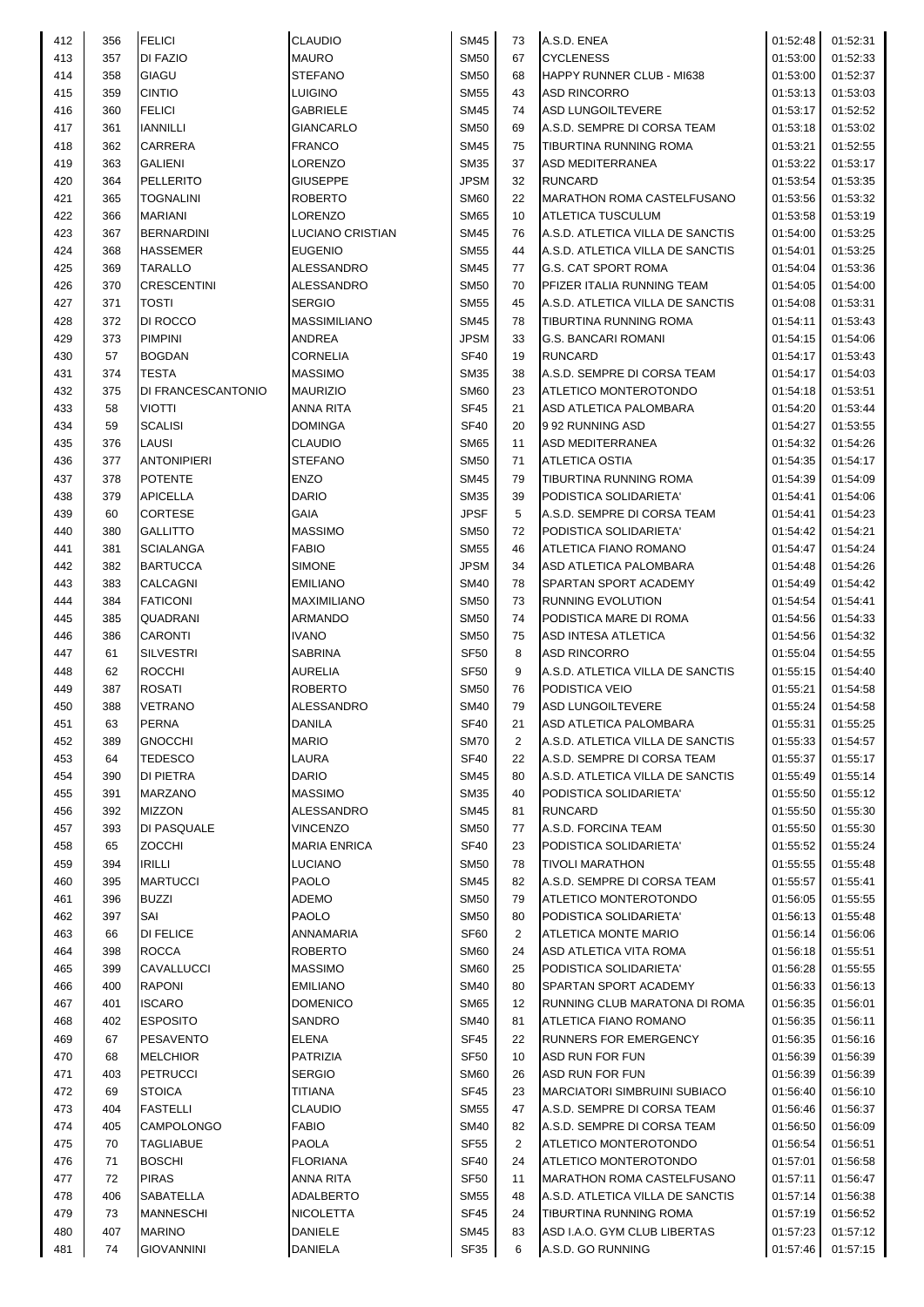| 413<br><b>MAURO</b><br>357<br><b>DI FAZIO</b><br><b>STEFANO</b><br>414<br>GIAGU<br>358<br><b>CINTIO</b><br>415<br>359<br><b>LUIGINO</b><br>416<br>360<br><b>FELICI</b><br><b>GABRIELE</b><br>417<br>361<br>IANNILLI<br><b>GIANCARLO</b><br>418<br>362<br>CARRERA<br><b>FRANCO</b><br>419<br>363<br>LORENZO<br>GALIENI<br>420<br>364<br>PELLERITO<br><b>GIUSEPPE</b><br>421<br>365<br><b>TOGNALINI</b><br><b>ROBERTO</b><br>422<br>366<br><b>MARIANI</b><br>LORENZO<br>423<br>367<br><b>BERNARDINI</b><br>LUCIANO CRISTIAN<br>424<br>368<br><b>HASSEMER</b><br><b>EUGENIO</b><br>425<br><b>TARALLO</b><br>ALESSANDRO<br>369<br>426<br>370<br><b>CRESCENTINI</b><br>ALESSANDRO<br>427<br>371<br>TOSTI<br><b>SERGIO</b><br>428<br>372<br>DI ROCCO<br><b>MASSIMILIANO</b><br><b>PIMPINI</b><br>429<br>373<br>ANDREA<br>430<br>57<br><b>BOGDAN</b><br><b>CORNELIA</b><br>431<br>374<br><b>TESTA</b><br><b>MASSIMO</b><br>432<br>375<br>DI FRANCESCANTONIO<br><b>MAURIZIO</b><br>433<br>VIOTTI<br>ANNA RITA<br>58<br>434<br>59<br><b>SCALISI</b><br><b>DOMINGA</b><br>435<br>376<br>LAUSI<br>CLAUDIO<br>436<br>377<br><b>ANTONIPIERI</b><br><b>STEFANO</b><br>437<br>378<br><b>POTENTE</b><br><b>ENZO</b><br><b>DARIO</b><br>438<br>379<br><b>APICELLA</b><br>GAIA<br>439<br>60<br><b>CORTESE</b><br><b>MASSIMO</b><br>440<br>380<br><b>GALLITTO</b><br><b>FABIO</b><br>441<br>381<br><b>SCIALANGA</b><br>442<br>382<br><b>BARTUCCA</b><br><b>SIMONE</b><br>443<br>383<br>CALCAGNI<br><b>EMILIANO</b><br>444<br>384<br><b>FATICONI</b><br>MAXIMILIANO<br>445<br>385<br>QUADRANI<br>ARMANDO | <b>SM50</b><br><b>SM50</b><br><b>SM55</b><br><b>SM45</b><br><b>SM50</b><br><b>SM45</b><br>SM35<br><b>JPSM</b><br><b>SM60</b><br><b>SM65</b><br><b>SM45</b><br><b>SM55</b><br>SM45<br><b>SM50</b><br>SM55<br><b>SM45</b><br><b>JPSM</b><br><b>SF40</b><br>SM35<br><b>SM60</b><br><b>SF45</b><br><b>SF40</b><br><b>SM65</b><br><b>SM50</b><br><b>SM45</b><br><b>SM35</b><br><b>JPSF</b><br><b>SM50</b><br><b>SM55</b> | 67<br>68<br>43<br>74<br>69<br>75<br>37<br>32<br>22<br>10<br>76<br>44<br>77<br>70<br>45<br>78<br>33<br>19<br>38<br>23<br>21<br>20<br>11<br>71<br>79<br>39<br>5<br>72 | <b>CYCLENESS</b><br>HAPPY RUNNER CLUB - MI638<br><b>ASD RINCORRO</b><br><b>ASD LUNGOILTEVERE</b><br>A.S.D. SEMPRE DI CORSA TEAM<br>TIBURTINA RUNNING ROMA<br>ASD MEDITERRANEA<br><b>RUNCARD</b><br><b>MARATHON ROMA CASTELFUSANO</b><br><b>ATLETICA TUSCULUM</b><br>A.S.D. ATLETICA VILLA DE SANCTIS<br>A.S.D. ATLETICA VILLA DE SANCTIS<br><b>G.S. CAT SPORT ROMA</b><br>PFIZER ITALIA RUNNING TEAM<br>A.S.D. ATLETICA VILLA DE SANCTIS<br>TIBURTINA RUNNING ROMA<br><b>G.S. BANCARI ROMANI</b><br><b>RUNCARD</b><br>A.S.D. SEMPRE DI CORSA TEAM<br>ATLETICO MONTEROTONDO<br>ASD ATLETICA PALOMBARA<br>9 92 RUNNING ASD<br>ASD MEDITERRANEA<br>ATLETICA OSTIA<br>TIBURTINA RUNNING ROMA<br>PODISTICA SOLIDARIETA'<br>A.S.D. SEMPRE DI CORSA TEAM | 01:53:00<br>01:53:00<br>01:53:13<br>01:53:17<br>01:53:18<br>01:53:21<br>01:53:22<br>01:53:54<br>01:53:56<br>01:53:58<br>01:54:00<br>01:54:01<br>01:54:04<br>01:54:05<br>01:54:08<br>01:54:11<br>01:54:15<br>01:54:17<br>01:54:17<br>01:54:18<br>01:54:20<br>01:54:27<br>01:54:32<br>01:54:35<br>01:54:39 | 01:52:33<br>01:52:37<br>01:53:03<br>01:52:52<br>01:53:02<br>01:52:55<br>01:53:17<br>01:53:35<br>01:53:32<br>01:53:19<br>01:53:25<br>01:53:25<br>01:53:36<br>01:54:00<br>01:53:31<br>01:53:43<br>01:54:06<br>01:53:43<br>01:54:03<br>01:53:51<br>01:53:44<br>01:53:55<br>01:54:26<br>01:54:17 |
|--------------------------------------------------------------------------------------------------------------------------------------------------------------------------------------------------------------------------------------------------------------------------------------------------------------------------------------------------------------------------------------------------------------------------------------------------------------------------------------------------------------------------------------------------------------------------------------------------------------------------------------------------------------------------------------------------------------------------------------------------------------------------------------------------------------------------------------------------------------------------------------------------------------------------------------------------------------------------------------------------------------------------------------------------------------------------------------------------------------------------------------------------------------------------------------------------------------------------------------------------------------------------------------------------------------------------------------------------------------------------------------------------------------------------------------------------------------------------------------------------------------------------------------------------------------------------------------|---------------------------------------------------------------------------------------------------------------------------------------------------------------------------------------------------------------------------------------------------------------------------------------------------------------------------------------------------------------------------------------------------------------------|---------------------------------------------------------------------------------------------------------------------------------------------------------------------|---------------------------------------------------------------------------------------------------------------------------------------------------------------------------------------------------------------------------------------------------------------------------------------------------------------------------------------------------------------------------------------------------------------------------------------------------------------------------------------------------------------------------------------------------------------------------------------------------------------------------------------------------------------------------------------------------------------------------------------------------|----------------------------------------------------------------------------------------------------------------------------------------------------------------------------------------------------------------------------------------------------------------------------------------------------------|----------------------------------------------------------------------------------------------------------------------------------------------------------------------------------------------------------------------------------------------------------------------------------------------|
|                                                                                                                                                                                                                                                                                                                                                                                                                                                                                                                                                                                                                                                                                                                                                                                                                                                                                                                                                                                                                                                                                                                                                                                                                                                                                                                                                                                                                                                                                                                                                                                      |                                                                                                                                                                                                                                                                                                                                                                                                                     |                                                                                                                                                                     |                                                                                                                                                                                                                                                                                                                                                                                                                                                                                                                                                                                                                                                                                                                                                   |                                                                                                                                                                                                                                                                                                          |                                                                                                                                                                                                                                                                                              |
|                                                                                                                                                                                                                                                                                                                                                                                                                                                                                                                                                                                                                                                                                                                                                                                                                                                                                                                                                                                                                                                                                                                                                                                                                                                                                                                                                                                                                                                                                                                                                                                      |                                                                                                                                                                                                                                                                                                                                                                                                                     |                                                                                                                                                                     |                                                                                                                                                                                                                                                                                                                                                                                                                                                                                                                                                                                                                                                                                                                                                   |                                                                                                                                                                                                                                                                                                          |                                                                                                                                                                                                                                                                                              |
|                                                                                                                                                                                                                                                                                                                                                                                                                                                                                                                                                                                                                                                                                                                                                                                                                                                                                                                                                                                                                                                                                                                                                                                                                                                                                                                                                                                                                                                                                                                                                                                      |                                                                                                                                                                                                                                                                                                                                                                                                                     |                                                                                                                                                                     |                                                                                                                                                                                                                                                                                                                                                                                                                                                                                                                                                                                                                                                                                                                                                   |                                                                                                                                                                                                                                                                                                          |                                                                                                                                                                                                                                                                                              |
|                                                                                                                                                                                                                                                                                                                                                                                                                                                                                                                                                                                                                                                                                                                                                                                                                                                                                                                                                                                                                                                                                                                                                                                                                                                                                                                                                                                                                                                                                                                                                                                      |                                                                                                                                                                                                                                                                                                                                                                                                                     |                                                                                                                                                                     |                                                                                                                                                                                                                                                                                                                                                                                                                                                                                                                                                                                                                                                                                                                                                   |                                                                                                                                                                                                                                                                                                          |                                                                                                                                                                                                                                                                                              |
|                                                                                                                                                                                                                                                                                                                                                                                                                                                                                                                                                                                                                                                                                                                                                                                                                                                                                                                                                                                                                                                                                                                                                                                                                                                                                                                                                                                                                                                                                                                                                                                      |                                                                                                                                                                                                                                                                                                                                                                                                                     |                                                                                                                                                                     |                                                                                                                                                                                                                                                                                                                                                                                                                                                                                                                                                                                                                                                                                                                                                   |                                                                                                                                                                                                                                                                                                          |                                                                                                                                                                                                                                                                                              |
|                                                                                                                                                                                                                                                                                                                                                                                                                                                                                                                                                                                                                                                                                                                                                                                                                                                                                                                                                                                                                                                                                                                                                                                                                                                                                                                                                                                                                                                                                                                                                                                      |                                                                                                                                                                                                                                                                                                                                                                                                                     |                                                                                                                                                                     |                                                                                                                                                                                                                                                                                                                                                                                                                                                                                                                                                                                                                                                                                                                                                   |                                                                                                                                                                                                                                                                                                          |                                                                                                                                                                                                                                                                                              |
|                                                                                                                                                                                                                                                                                                                                                                                                                                                                                                                                                                                                                                                                                                                                                                                                                                                                                                                                                                                                                                                                                                                                                                                                                                                                                                                                                                                                                                                                                                                                                                                      |                                                                                                                                                                                                                                                                                                                                                                                                                     |                                                                                                                                                                     |                                                                                                                                                                                                                                                                                                                                                                                                                                                                                                                                                                                                                                                                                                                                                   |                                                                                                                                                                                                                                                                                                          |                                                                                                                                                                                                                                                                                              |
|                                                                                                                                                                                                                                                                                                                                                                                                                                                                                                                                                                                                                                                                                                                                                                                                                                                                                                                                                                                                                                                                                                                                                                                                                                                                                                                                                                                                                                                                                                                                                                                      |                                                                                                                                                                                                                                                                                                                                                                                                                     |                                                                                                                                                                     |                                                                                                                                                                                                                                                                                                                                                                                                                                                                                                                                                                                                                                                                                                                                                   |                                                                                                                                                                                                                                                                                                          |                                                                                                                                                                                                                                                                                              |
|                                                                                                                                                                                                                                                                                                                                                                                                                                                                                                                                                                                                                                                                                                                                                                                                                                                                                                                                                                                                                                                                                                                                                                                                                                                                                                                                                                                                                                                                                                                                                                                      |                                                                                                                                                                                                                                                                                                                                                                                                                     |                                                                                                                                                                     |                                                                                                                                                                                                                                                                                                                                                                                                                                                                                                                                                                                                                                                                                                                                                   |                                                                                                                                                                                                                                                                                                          |                                                                                                                                                                                                                                                                                              |
|                                                                                                                                                                                                                                                                                                                                                                                                                                                                                                                                                                                                                                                                                                                                                                                                                                                                                                                                                                                                                                                                                                                                                                                                                                                                                                                                                                                                                                                                                                                                                                                      |                                                                                                                                                                                                                                                                                                                                                                                                                     |                                                                                                                                                                     |                                                                                                                                                                                                                                                                                                                                                                                                                                                                                                                                                                                                                                                                                                                                                   |                                                                                                                                                                                                                                                                                                          |                                                                                                                                                                                                                                                                                              |
|                                                                                                                                                                                                                                                                                                                                                                                                                                                                                                                                                                                                                                                                                                                                                                                                                                                                                                                                                                                                                                                                                                                                                                                                                                                                                                                                                                                                                                                                                                                                                                                      |                                                                                                                                                                                                                                                                                                                                                                                                                     |                                                                                                                                                                     |                                                                                                                                                                                                                                                                                                                                                                                                                                                                                                                                                                                                                                                                                                                                                   |                                                                                                                                                                                                                                                                                                          |                                                                                                                                                                                                                                                                                              |
|                                                                                                                                                                                                                                                                                                                                                                                                                                                                                                                                                                                                                                                                                                                                                                                                                                                                                                                                                                                                                                                                                                                                                                                                                                                                                                                                                                                                                                                                                                                                                                                      |                                                                                                                                                                                                                                                                                                                                                                                                                     |                                                                                                                                                                     |                                                                                                                                                                                                                                                                                                                                                                                                                                                                                                                                                                                                                                                                                                                                                   |                                                                                                                                                                                                                                                                                                          |                                                                                                                                                                                                                                                                                              |
|                                                                                                                                                                                                                                                                                                                                                                                                                                                                                                                                                                                                                                                                                                                                                                                                                                                                                                                                                                                                                                                                                                                                                                                                                                                                                                                                                                                                                                                                                                                                                                                      |                                                                                                                                                                                                                                                                                                                                                                                                                     |                                                                                                                                                                     |                                                                                                                                                                                                                                                                                                                                                                                                                                                                                                                                                                                                                                                                                                                                                   |                                                                                                                                                                                                                                                                                                          |                                                                                                                                                                                                                                                                                              |
|                                                                                                                                                                                                                                                                                                                                                                                                                                                                                                                                                                                                                                                                                                                                                                                                                                                                                                                                                                                                                                                                                                                                                                                                                                                                                                                                                                                                                                                                                                                                                                                      |                                                                                                                                                                                                                                                                                                                                                                                                                     |                                                                                                                                                                     |                                                                                                                                                                                                                                                                                                                                                                                                                                                                                                                                                                                                                                                                                                                                                   |                                                                                                                                                                                                                                                                                                          |                                                                                                                                                                                                                                                                                              |
|                                                                                                                                                                                                                                                                                                                                                                                                                                                                                                                                                                                                                                                                                                                                                                                                                                                                                                                                                                                                                                                                                                                                                                                                                                                                                                                                                                                                                                                                                                                                                                                      |                                                                                                                                                                                                                                                                                                                                                                                                                     |                                                                                                                                                                     |                                                                                                                                                                                                                                                                                                                                                                                                                                                                                                                                                                                                                                                                                                                                                   |                                                                                                                                                                                                                                                                                                          |                                                                                                                                                                                                                                                                                              |
|                                                                                                                                                                                                                                                                                                                                                                                                                                                                                                                                                                                                                                                                                                                                                                                                                                                                                                                                                                                                                                                                                                                                                                                                                                                                                                                                                                                                                                                                                                                                                                                      |                                                                                                                                                                                                                                                                                                                                                                                                                     |                                                                                                                                                                     |                                                                                                                                                                                                                                                                                                                                                                                                                                                                                                                                                                                                                                                                                                                                                   |                                                                                                                                                                                                                                                                                                          |                                                                                                                                                                                                                                                                                              |
|                                                                                                                                                                                                                                                                                                                                                                                                                                                                                                                                                                                                                                                                                                                                                                                                                                                                                                                                                                                                                                                                                                                                                                                                                                                                                                                                                                                                                                                                                                                                                                                      |                                                                                                                                                                                                                                                                                                                                                                                                                     |                                                                                                                                                                     |                                                                                                                                                                                                                                                                                                                                                                                                                                                                                                                                                                                                                                                                                                                                                   |                                                                                                                                                                                                                                                                                                          |                                                                                                                                                                                                                                                                                              |
|                                                                                                                                                                                                                                                                                                                                                                                                                                                                                                                                                                                                                                                                                                                                                                                                                                                                                                                                                                                                                                                                                                                                                                                                                                                                                                                                                                                                                                                                                                                                                                                      |                                                                                                                                                                                                                                                                                                                                                                                                                     |                                                                                                                                                                     |                                                                                                                                                                                                                                                                                                                                                                                                                                                                                                                                                                                                                                                                                                                                                   |                                                                                                                                                                                                                                                                                                          |                                                                                                                                                                                                                                                                                              |
|                                                                                                                                                                                                                                                                                                                                                                                                                                                                                                                                                                                                                                                                                                                                                                                                                                                                                                                                                                                                                                                                                                                                                                                                                                                                                                                                                                                                                                                                                                                                                                                      |                                                                                                                                                                                                                                                                                                                                                                                                                     |                                                                                                                                                                     |                                                                                                                                                                                                                                                                                                                                                                                                                                                                                                                                                                                                                                                                                                                                                   |                                                                                                                                                                                                                                                                                                          |                                                                                                                                                                                                                                                                                              |
|                                                                                                                                                                                                                                                                                                                                                                                                                                                                                                                                                                                                                                                                                                                                                                                                                                                                                                                                                                                                                                                                                                                                                                                                                                                                                                                                                                                                                                                                                                                                                                                      |                                                                                                                                                                                                                                                                                                                                                                                                                     |                                                                                                                                                                     |                                                                                                                                                                                                                                                                                                                                                                                                                                                                                                                                                                                                                                                                                                                                                   |                                                                                                                                                                                                                                                                                                          |                                                                                                                                                                                                                                                                                              |
|                                                                                                                                                                                                                                                                                                                                                                                                                                                                                                                                                                                                                                                                                                                                                                                                                                                                                                                                                                                                                                                                                                                                                                                                                                                                                                                                                                                                                                                                                                                                                                                      |                                                                                                                                                                                                                                                                                                                                                                                                                     |                                                                                                                                                                     |                                                                                                                                                                                                                                                                                                                                                                                                                                                                                                                                                                                                                                                                                                                                                   |                                                                                                                                                                                                                                                                                                          |                                                                                                                                                                                                                                                                                              |
|                                                                                                                                                                                                                                                                                                                                                                                                                                                                                                                                                                                                                                                                                                                                                                                                                                                                                                                                                                                                                                                                                                                                                                                                                                                                                                                                                                                                                                                                                                                                                                                      |                                                                                                                                                                                                                                                                                                                                                                                                                     |                                                                                                                                                                     |                                                                                                                                                                                                                                                                                                                                                                                                                                                                                                                                                                                                                                                                                                                                                   |                                                                                                                                                                                                                                                                                                          |                                                                                                                                                                                                                                                                                              |
|                                                                                                                                                                                                                                                                                                                                                                                                                                                                                                                                                                                                                                                                                                                                                                                                                                                                                                                                                                                                                                                                                                                                                                                                                                                                                                                                                                                                                                                                                                                                                                                      |                                                                                                                                                                                                                                                                                                                                                                                                                     |                                                                                                                                                                     |                                                                                                                                                                                                                                                                                                                                                                                                                                                                                                                                                                                                                                                                                                                                                   |                                                                                                                                                                                                                                                                                                          |                                                                                                                                                                                                                                                                                              |
|                                                                                                                                                                                                                                                                                                                                                                                                                                                                                                                                                                                                                                                                                                                                                                                                                                                                                                                                                                                                                                                                                                                                                                                                                                                                                                                                                                                                                                                                                                                                                                                      |                                                                                                                                                                                                                                                                                                                                                                                                                     |                                                                                                                                                                     |                                                                                                                                                                                                                                                                                                                                                                                                                                                                                                                                                                                                                                                                                                                                                   |                                                                                                                                                                                                                                                                                                          |                                                                                                                                                                                                                                                                                              |
|                                                                                                                                                                                                                                                                                                                                                                                                                                                                                                                                                                                                                                                                                                                                                                                                                                                                                                                                                                                                                                                                                                                                                                                                                                                                                                                                                                                                                                                                                                                                                                                      |                                                                                                                                                                                                                                                                                                                                                                                                                     |                                                                                                                                                                     |                                                                                                                                                                                                                                                                                                                                                                                                                                                                                                                                                                                                                                                                                                                                                   |                                                                                                                                                                                                                                                                                                          |                                                                                                                                                                                                                                                                                              |
|                                                                                                                                                                                                                                                                                                                                                                                                                                                                                                                                                                                                                                                                                                                                                                                                                                                                                                                                                                                                                                                                                                                                                                                                                                                                                                                                                                                                                                                                                                                                                                                      |                                                                                                                                                                                                                                                                                                                                                                                                                     |                                                                                                                                                                     |                                                                                                                                                                                                                                                                                                                                                                                                                                                                                                                                                                                                                                                                                                                                                   |                                                                                                                                                                                                                                                                                                          |                                                                                                                                                                                                                                                                                              |
|                                                                                                                                                                                                                                                                                                                                                                                                                                                                                                                                                                                                                                                                                                                                                                                                                                                                                                                                                                                                                                                                                                                                                                                                                                                                                                                                                                                                                                                                                                                                                                                      |                                                                                                                                                                                                                                                                                                                                                                                                                     |                                                                                                                                                                     |                                                                                                                                                                                                                                                                                                                                                                                                                                                                                                                                                                                                                                                                                                                                                   |                                                                                                                                                                                                                                                                                                          |                                                                                                                                                                                                                                                                                              |
|                                                                                                                                                                                                                                                                                                                                                                                                                                                                                                                                                                                                                                                                                                                                                                                                                                                                                                                                                                                                                                                                                                                                                                                                                                                                                                                                                                                                                                                                                                                                                                                      |                                                                                                                                                                                                                                                                                                                                                                                                                     |                                                                                                                                                                     |                                                                                                                                                                                                                                                                                                                                                                                                                                                                                                                                                                                                                                                                                                                                                   |                                                                                                                                                                                                                                                                                                          |                                                                                                                                                                                                                                                                                              |
|                                                                                                                                                                                                                                                                                                                                                                                                                                                                                                                                                                                                                                                                                                                                                                                                                                                                                                                                                                                                                                                                                                                                                                                                                                                                                                                                                                                                                                                                                                                                                                                      |                                                                                                                                                                                                                                                                                                                                                                                                                     |                                                                                                                                                                     |                                                                                                                                                                                                                                                                                                                                                                                                                                                                                                                                                                                                                                                                                                                                                   |                                                                                                                                                                                                                                                                                                          |                                                                                                                                                                                                                                                                                              |
|                                                                                                                                                                                                                                                                                                                                                                                                                                                                                                                                                                                                                                                                                                                                                                                                                                                                                                                                                                                                                                                                                                                                                                                                                                                                                                                                                                                                                                                                                                                                                                                      |                                                                                                                                                                                                                                                                                                                                                                                                                     |                                                                                                                                                                     |                                                                                                                                                                                                                                                                                                                                                                                                                                                                                                                                                                                                                                                                                                                                                   |                                                                                                                                                                                                                                                                                                          |                                                                                                                                                                                                                                                                                              |
|                                                                                                                                                                                                                                                                                                                                                                                                                                                                                                                                                                                                                                                                                                                                                                                                                                                                                                                                                                                                                                                                                                                                                                                                                                                                                                                                                                                                                                                                                                                                                                                      |                                                                                                                                                                                                                                                                                                                                                                                                                     |                                                                                                                                                                     |                                                                                                                                                                                                                                                                                                                                                                                                                                                                                                                                                                                                                                                                                                                                                   |                                                                                                                                                                                                                                                                                                          | 01:54:09                                                                                                                                                                                                                                                                                     |
|                                                                                                                                                                                                                                                                                                                                                                                                                                                                                                                                                                                                                                                                                                                                                                                                                                                                                                                                                                                                                                                                                                                                                                                                                                                                                                                                                                                                                                                                                                                                                                                      |                                                                                                                                                                                                                                                                                                                                                                                                                     |                                                                                                                                                                     |                                                                                                                                                                                                                                                                                                                                                                                                                                                                                                                                                                                                                                                                                                                                                   | 01:54:41                                                                                                                                                                                                                                                                                                 | 01:54:06                                                                                                                                                                                                                                                                                     |
|                                                                                                                                                                                                                                                                                                                                                                                                                                                                                                                                                                                                                                                                                                                                                                                                                                                                                                                                                                                                                                                                                                                                                                                                                                                                                                                                                                                                                                                                                                                                                                                      |                                                                                                                                                                                                                                                                                                                                                                                                                     |                                                                                                                                                                     |                                                                                                                                                                                                                                                                                                                                                                                                                                                                                                                                                                                                                                                                                                                                                   | 01:54:41                                                                                                                                                                                                                                                                                                 | 01:54:23                                                                                                                                                                                                                                                                                     |
|                                                                                                                                                                                                                                                                                                                                                                                                                                                                                                                                                                                                                                                                                                                                                                                                                                                                                                                                                                                                                                                                                                                                                                                                                                                                                                                                                                                                                                                                                                                                                                                      |                                                                                                                                                                                                                                                                                                                                                                                                                     |                                                                                                                                                                     | PODISTICA SOLIDARIETA'                                                                                                                                                                                                                                                                                                                                                                                                                                                                                                                                                                                                                                                                                                                            | 01:54:42                                                                                                                                                                                                                                                                                                 | 01:54:21                                                                                                                                                                                                                                                                                     |
|                                                                                                                                                                                                                                                                                                                                                                                                                                                                                                                                                                                                                                                                                                                                                                                                                                                                                                                                                                                                                                                                                                                                                                                                                                                                                                                                                                                                                                                                                                                                                                                      |                                                                                                                                                                                                                                                                                                                                                                                                                     | 46                                                                                                                                                                  | ATLETICA FIANO ROMANO                                                                                                                                                                                                                                                                                                                                                                                                                                                                                                                                                                                                                                                                                                                             | 01:54:47                                                                                                                                                                                                                                                                                                 | 01:54:24                                                                                                                                                                                                                                                                                     |
|                                                                                                                                                                                                                                                                                                                                                                                                                                                                                                                                                                                                                                                                                                                                                                                                                                                                                                                                                                                                                                                                                                                                                                                                                                                                                                                                                                                                                                                                                                                                                                                      |                                                                                                                                                                                                                                                                                                                                                                                                                     |                                                                                                                                                                     |                                                                                                                                                                                                                                                                                                                                                                                                                                                                                                                                                                                                                                                                                                                                                   |                                                                                                                                                                                                                                                                                                          |                                                                                                                                                                                                                                                                                              |
|                                                                                                                                                                                                                                                                                                                                                                                                                                                                                                                                                                                                                                                                                                                                                                                                                                                                                                                                                                                                                                                                                                                                                                                                                                                                                                                                                                                                                                                                                                                                                                                      | <b>JPSM</b>                                                                                                                                                                                                                                                                                                                                                                                                         | 34                                                                                                                                                                  | ASD ATLETICA PALOMBARA                                                                                                                                                                                                                                                                                                                                                                                                                                                                                                                                                                                                                                                                                                                            | 01:54:48                                                                                                                                                                                                                                                                                                 | 01:54:26                                                                                                                                                                                                                                                                                     |
|                                                                                                                                                                                                                                                                                                                                                                                                                                                                                                                                                                                                                                                                                                                                                                                                                                                                                                                                                                                                                                                                                                                                                                                                                                                                                                                                                                                                                                                                                                                                                                                      | <b>SM40</b>                                                                                                                                                                                                                                                                                                                                                                                                         | 78                                                                                                                                                                  | SPARTAN SPORT ACADEMY                                                                                                                                                                                                                                                                                                                                                                                                                                                                                                                                                                                                                                                                                                                             | 01:54:49                                                                                                                                                                                                                                                                                                 | 01:54:42                                                                                                                                                                                                                                                                                     |
|                                                                                                                                                                                                                                                                                                                                                                                                                                                                                                                                                                                                                                                                                                                                                                                                                                                                                                                                                                                                                                                                                                                                                                                                                                                                                                                                                                                                                                                                                                                                                                                      | SM50                                                                                                                                                                                                                                                                                                                                                                                                                | 73                                                                                                                                                                  | RUNNING EVOLUTION                                                                                                                                                                                                                                                                                                                                                                                                                                                                                                                                                                                                                                                                                                                                 | 01:54:54                                                                                                                                                                                                                                                                                                 | 01:54:41                                                                                                                                                                                                                                                                                     |
|                                                                                                                                                                                                                                                                                                                                                                                                                                                                                                                                                                                                                                                                                                                                                                                                                                                                                                                                                                                                                                                                                                                                                                                                                                                                                                                                                                                                                                                                                                                                                                                      | <b>SM50</b>                                                                                                                                                                                                                                                                                                                                                                                                         | 74                                                                                                                                                                  | PODISTICA MARE DI ROMA                                                                                                                                                                                                                                                                                                                                                                                                                                                                                                                                                                                                                                                                                                                            | 01:54:56                                                                                                                                                                                                                                                                                                 | 01:54:33                                                                                                                                                                                                                                                                                     |
| 446<br>386<br><b>CARONTI</b><br><b>IVANO</b>                                                                                                                                                                                                                                                                                                                                                                                                                                                                                                                                                                                                                                                                                                                                                                                                                                                                                                                                                                                                                                                                                                                                                                                                                                                                                                                                                                                                                                                                                                                                         | <b>SM50</b>                                                                                                                                                                                                                                                                                                                                                                                                         | 75                                                                                                                                                                  | ASD INTESA ATLETICA                                                                                                                                                                                                                                                                                                                                                                                                                                                                                                                                                                                                                                                                                                                               | 01:54:56                                                                                                                                                                                                                                                                                                 | 01:54:32                                                                                                                                                                                                                                                                                     |
|                                                                                                                                                                                                                                                                                                                                                                                                                                                                                                                                                                                                                                                                                                                                                                                                                                                                                                                                                                                                                                                                                                                                                                                                                                                                                                                                                                                                                                                                                                                                                                                      |                                                                                                                                                                                                                                                                                                                                                                                                                     |                                                                                                                                                                     |                                                                                                                                                                                                                                                                                                                                                                                                                                                                                                                                                                                                                                                                                                                                                   |                                                                                                                                                                                                                                                                                                          |                                                                                                                                                                                                                                                                                              |
| 447<br>61<br><b>SILVESTRI</b><br><b>SABRINA</b>                                                                                                                                                                                                                                                                                                                                                                                                                                                                                                                                                                                                                                                                                                                                                                                                                                                                                                                                                                                                                                                                                                                                                                                                                                                                                                                                                                                                                                                                                                                                      | <b>SF50</b>                                                                                                                                                                                                                                                                                                                                                                                                         | 8                                                                                                                                                                   | <b>ASD RINCORRO</b>                                                                                                                                                                                                                                                                                                                                                                                                                                                                                                                                                                                                                                                                                                                               | 01:55:04                                                                                                                                                                                                                                                                                                 | 01:54:55                                                                                                                                                                                                                                                                                     |
| <b>AURELIA</b><br>448<br>62<br><b>ROCCHI</b>                                                                                                                                                                                                                                                                                                                                                                                                                                                                                                                                                                                                                                                                                                                                                                                                                                                                                                                                                                                                                                                                                                                                                                                                                                                                                                                                                                                                                                                                                                                                         | <b>SF50</b>                                                                                                                                                                                                                                                                                                                                                                                                         | 9                                                                                                                                                                   | A.S.D. ATLETICA VILLA DE SANCTIS                                                                                                                                                                                                                                                                                                                                                                                                                                                                                                                                                                                                                                                                                                                  | 01:55:15                                                                                                                                                                                                                                                                                                 | 01:54:40                                                                                                                                                                                                                                                                                     |
| 449<br>387<br><b>ROSATI</b><br><b>ROBERTO</b>                                                                                                                                                                                                                                                                                                                                                                                                                                                                                                                                                                                                                                                                                                                                                                                                                                                                                                                                                                                                                                                                                                                                                                                                                                                                                                                                                                                                                                                                                                                                        | <b>SM50</b>                                                                                                                                                                                                                                                                                                                                                                                                         | 76                                                                                                                                                                  | PODISTICA VEIO                                                                                                                                                                                                                                                                                                                                                                                                                                                                                                                                                                                                                                                                                                                                    | 01:55:21                                                                                                                                                                                                                                                                                                 | 01:54:58                                                                                                                                                                                                                                                                                     |
| 450<br>388<br><b>VETRANO</b><br>ALESSANDRO                                                                                                                                                                                                                                                                                                                                                                                                                                                                                                                                                                                                                                                                                                                                                                                                                                                                                                                                                                                                                                                                                                                                                                                                                                                                                                                                                                                                                                                                                                                                           | <b>SM40</b>                                                                                                                                                                                                                                                                                                                                                                                                         | 79                                                                                                                                                                  | <b>ASD LUNGOILTEVERE</b>                                                                                                                                                                                                                                                                                                                                                                                                                                                                                                                                                                                                                                                                                                                          | 01:55:24                                                                                                                                                                                                                                                                                                 | 01:54:58                                                                                                                                                                                                                                                                                     |
|                                                                                                                                                                                                                                                                                                                                                                                                                                                                                                                                                                                                                                                                                                                                                                                                                                                                                                                                                                                                                                                                                                                                                                                                                                                                                                                                                                                                                                                                                                                                                                                      |                                                                                                                                                                                                                                                                                                                                                                                                                     |                                                                                                                                                                     |                                                                                                                                                                                                                                                                                                                                                                                                                                                                                                                                                                                                                                                                                                                                                   |                                                                                                                                                                                                                                                                                                          |                                                                                                                                                                                                                                                                                              |
| 451<br>63<br><b>PERNA</b><br><b>DANILA</b>                                                                                                                                                                                                                                                                                                                                                                                                                                                                                                                                                                                                                                                                                                                                                                                                                                                                                                                                                                                                                                                                                                                                                                                                                                                                                                                                                                                                                                                                                                                                           | SF40                                                                                                                                                                                                                                                                                                                                                                                                                | 21                                                                                                                                                                  | ASD ATLETICA PALOMBARA                                                                                                                                                                                                                                                                                                                                                                                                                                                                                                                                                                                                                                                                                                                            |                                                                                                                                                                                                                                                                                                          | 01:55:31 01:55:25                                                                                                                                                                                                                                                                            |
| 452<br><b>GNOCCHI</b><br><b>MARIO</b><br>389                                                                                                                                                                                                                                                                                                                                                                                                                                                                                                                                                                                                                                                                                                                                                                                                                                                                                                                                                                                                                                                                                                                                                                                                                                                                                                                                                                                                                                                                                                                                         | <b>SM70</b>                                                                                                                                                                                                                                                                                                                                                                                                         | $\overline{c}$                                                                                                                                                      | A.S.D. ATLETICA VILLA DE SANCTIS                                                                                                                                                                                                                                                                                                                                                                                                                                                                                                                                                                                                                                                                                                                  | 01:55:33                                                                                                                                                                                                                                                                                                 | 01:54:57                                                                                                                                                                                                                                                                                     |
| 453<br>TEDESCO<br>LAURA<br>64                                                                                                                                                                                                                                                                                                                                                                                                                                                                                                                                                                                                                                                                                                                                                                                                                                                                                                                                                                                                                                                                                                                                                                                                                                                                                                                                                                                                                                                                                                                                                        | <b>SF40</b>                                                                                                                                                                                                                                                                                                                                                                                                         | 22                                                                                                                                                                  | A.S.D. SEMPRE DI CORSA TEAM                                                                                                                                                                                                                                                                                                                                                                                                                                                                                                                                                                                                                                                                                                                       | 01:55:37                                                                                                                                                                                                                                                                                                 | 01:55:17                                                                                                                                                                                                                                                                                     |
| 454<br>DARIO<br>390<br>DI PIETRA                                                                                                                                                                                                                                                                                                                                                                                                                                                                                                                                                                                                                                                                                                                                                                                                                                                                                                                                                                                                                                                                                                                                                                                                                                                                                                                                                                                                                                                                                                                                                     | <b>SM45</b>                                                                                                                                                                                                                                                                                                                                                                                                         | 80                                                                                                                                                                  | A.S.D. ATLETICA VILLA DE SANCTIS                                                                                                                                                                                                                                                                                                                                                                                                                                                                                                                                                                                                                                                                                                                  | 01:55:49                                                                                                                                                                                                                                                                                                 | 01:55:14                                                                                                                                                                                                                                                                                     |
| 455<br>391<br><b>MARZANO</b><br><b>MASSIMO</b>                                                                                                                                                                                                                                                                                                                                                                                                                                                                                                                                                                                                                                                                                                                                                                                                                                                                                                                                                                                                                                                                                                                                                                                                                                                                                                                                                                                                                                                                                                                                       | <b>SM35</b>                                                                                                                                                                                                                                                                                                                                                                                                         | 40                                                                                                                                                                  | PODISTICA SOLIDARIETA'                                                                                                                                                                                                                                                                                                                                                                                                                                                                                                                                                                                                                                                                                                                            | 01:55:50                                                                                                                                                                                                                                                                                                 | 01:55:12                                                                                                                                                                                                                                                                                     |
|                                                                                                                                                                                                                                                                                                                                                                                                                                                                                                                                                                                                                                                                                                                                                                                                                                                                                                                                                                                                                                                                                                                                                                                                                                                                                                                                                                                                                                                                                                                                                                                      |                                                                                                                                                                                                                                                                                                                                                                                                                     |                                                                                                                                                                     |                                                                                                                                                                                                                                                                                                                                                                                                                                                                                                                                                                                                                                                                                                                                                   |                                                                                                                                                                                                                                                                                                          |                                                                                                                                                                                                                                                                                              |
| ALESSANDRO<br>456<br>392<br><b>MIZZON</b>                                                                                                                                                                                                                                                                                                                                                                                                                                                                                                                                                                                                                                                                                                                                                                                                                                                                                                                                                                                                                                                                                                                                                                                                                                                                                                                                                                                                                                                                                                                                            | <b>SM45</b>                                                                                                                                                                                                                                                                                                                                                                                                         | 81                                                                                                                                                                  | <b>RUNCARD</b>                                                                                                                                                                                                                                                                                                                                                                                                                                                                                                                                                                                                                                                                                                                                    | 01:55:50                                                                                                                                                                                                                                                                                                 | 01:55:30                                                                                                                                                                                                                                                                                     |
| 457<br>393<br>DI PASQUALE<br><b>VINCENZO</b>                                                                                                                                                                                                                                                                                                                                                                                                                                                                                                                                                                                                                                                                                                                                                                                                                                                                                                                                                                                                                                                                                                                                                                                                                                                                                                                                                                                                                                                                                                                                         | <b>SM50</b>                                                                                                                                                                                                                                                                                                                                                                                                         | 77                                                                                                                                                                  | A.S.D. FORCINA TEAM                                                                                                                                                                                                                                                                                                                                                                                                                                                                                                                                                                                                                                                                                                                               | 01:55:50                                                                                                                                                                                                                                                                                                 | 01:55:30                                                                                                                                                                                                                                                                                     |
| <b>ZOCCHI</b><br><b>MARIA ENRICA</b><br>458<br>65                                                                                                                                                                                                                                                                                                                                                                                                                                                                                                                                                                                                                                                                                                                                                                                                                                                                                                                                                                                                                                                                                                                                                                                                                                                                                                                                                                                                                                                                                                                                    | <b>SF40</b>                                                                                                                                                                                                                                                                                                                                                                                                         | 23                                                                                                                                                                  | PODISTICA SOLIDARIETA'                                                                                                                                                                                                                                                                                                                                                                                                                                                                                                                                                                                                                                                                                                                            | 01:55:52                                                                                                                                                                                                                                                                                                 | 01:55:24                                                                                                                                                                                                                                                                                     |
| 459<br>394<br><b>IRILLI</b><br>LUCIANO                                                                                                                                                                                                                                                                                                                                                                                                                                                                                                                                                                                                                                                                                                                                                                                                                                                                                                                                                                                                                                                                                                                                                                                                                                                                                                                                                                                                                                                                                                                                               | <b>SM50</b>                                                                                                                                                                                                                                                                                                                                                                                                         | 78                                                                                                                                                                  | <b>TIVOLI MARATHON</b>                                                                                                                                                                                                                                                                                                                                                                                                                                                                                                                                                                                                                                                                                                                            | 01:55:55                                                                                                                                                                                                                                                                                                 | 01:55:48                                                                                                                                                                                                                                                                                     |
|                                                                                                                                                                                                                                                                                                                                                                                                                                                                                                                                                                                                                                                                                                                                                                                                                                                                                                                                                                                                                                                                                                                                                                                                                                                                                                                                                                                                                                                                                                                                                                                      |                                                                                                                                                                                                                                                                                                                                                                                                                     |                                                                                                                                                                     |                                                                                                                                                                                                                                                                                                                                                                                                                                                                                                                                                                                                                                                                                                                                                   |                                                                                                                                                                                                                                                                                                          |                                                                                                                                                                                                                                                                                              |
| 395<br><b>MARTUCCI</b><br><b>PAOLO</b><br>460                                                                                                                                                                                                                                                                                                                                                                                                                                                                                                                                                                                                                                                                                                                                                                                                                                                                                                                                                                                                                                                                                                                                                                                                                                                                                                                                                                                                                                                                                                                                        | <b>SM45</b>                                                                                                                                                                                                                                                                                                                                                                                                         | 82                                                                                                                                                                  | A.S.D. SEMPRE DI CORSA TEAM                                                                                                                                                                                                                                                                                                                                                                                                                                                                                                                                                                                                                                                                                                                       | 01:55:57                                                                                                                                                                                                                                                                                                 | 01:55:41                                                                                                                                                                                                                                                                                     |
| ADEMO<br>461<br>396<br>BUZZI                                                                                                                                                                                                                                                                                                                                                                                                                                                                                                                                                                                                                                                                                                                                                                                                                                                                                                                                                                                                                                                                                                                                                                                                                                                                                                                                                                                                                                                                                                                                                         | SM50                                                                                                                                                                                                                                                                                                                                                                                                                | 79                                                                                                                                                                  | ATLETICO MONTEROTONDO                                                                                                                                                                                                                                                                                                                                                                                                                                                                                                                                                                                                                                                                                                                             | 01:56:05                                                                                                                                                                                                                                                                                                 | 01:55:55                                                                                                                                                                                                                                                                                     |
| 397<br>SAI<br>PAOLO<br>462                                                                                                                                                                                                                                                                                                                                                                                                                                                                                                                                                                                                                                                                                                                                                                                                                                                                                                                                                                                                                                                                                                                                                                                                                                                                                                                                                                                                                                                                                                                                                           | <b>SM50</b>                                                                                                                                                                                                                                                                                                                                                                                                         | 80                                                                                                                                                                  | PODISTICA SOLIDARIETA'                                                                                                                                                                                                                                                                                                                                                                                                                                                                                                                                                                                                                                                                                                                            | 01:56:13                                                                                                                                                                                                                                                                                                 | 01:55:48                                                                                                                                                                                                                                                                                     |
|                                                                                                                                                                                                                                                                                                                                                                                                                                                                                                                                                                                                                                                                                                                                                                                                                                                                                                                                                                                                                                                                                                                                                                                                                                                                                                                                                                                                                                                                                                                                                                                      |                                                                                                                                                                                                                                                                                                                                                                                                                     |                                                                                                                                                                     | ATLETICA MONTE MARIO                                                                                                                                                                                                                                                                                                                                                                                                                                                                                                                                                                                                                                                                                                                              | 01:56:14                                                                                                                                                                                                                                                                                                 | 01:56:06                                                                                                                                                                                                                                                                                     |
|                                                                                                                                                                                                                                                                                                                                                                                                                                                                                                                                                                                                                                                                                                                                                                                                                                                                                                                                                                                                                                                                                                                                                                                                                                                                                                                                                                                                                                                                                                                                                                                      |                                                                                                                                                                                                                                                                                                                                                                                                                     |                                                                                                                                                                     |                                                                                                                                                                                                                                                                                                                                                                                                                                                                                                                                                                                                                                                                                                                                                   |                                                                                                                                                                                                                                                                                                          |                                                                                                                                                                                                                                                                                              |
| DI FELICE<br>463<br>66<br>ANNAMARIA                                                                                                                                                                                                                                                                                                                                                                                                                                                                                                                                                                                                                                                                                                                                                                                                                                                                                                                                                                                                                                                                                                                                                                                                                                                                                                                                                                                                                                                                                                                                                  | SF60                                                                                                                                                                                                                                                                                                                                                                                                                | $\overline{2}$                                                                                                                                                      |                                                                                                                                                                                                                                                                                                                                                                                                                                                                                                                                                                                                                                                                                                                                                   |                                                                                                                                                                                                                                                                                                          |                                                                                                                                                                                                                                                                                              |
| <b>ROBERTO</b><br>464<br>398<br><b>ROCCA</b>                                                                                                                                                                                                                                                                                                                                                                                                                                                                                                                                                                                                                                                                                                                                                                                                                                                                                                                                                                                                                                                                                                                                                                                                                                                                                                                                                                                                                                                                                                                                         | <b>SM60</b>                                                                                                                                                                                                                                                                                                                                                                                                         | 24                                                                                                                                                                  | ASD ATLETICA VITA ROMA                                                                                                                                                                                                                                                                                                                                                                                                                                                                                                                                                                                                                                                                                                                            | 01:56:18                                                                                                                                                                                                                                                                                                 | 01:55:51                                                                                                                                                                                                                                                                                     |
| <b>MASSIMO</b><br>465<br>399<br>CAVALLUCCI                                                                                                                                                                                                                                                                                                                                                                                                                                                                                                                                                                                                                                                                                                                                                                                                                                                                                                                                                                                                                                                                                                                                                                                                                                                                                                                                                                                                                                                                                                                                           | <b>SM60</b>                                                                                                                                                                                                                                                                                                                                                                                                         | 25                                                                                                                                                                  | PODISTICA SOLIDARIETA'                                                                                                                                                                                                                                                                                                                                                                                                                                                                                                                                                                                                                                                                                                                            | 01:56:28                                                                                                                                                                                                                                                                                                 | 01:55:55                                                                                                                                                                                                                                                                                     |
| <b>RAPONI</b><br><b>EMILIANO</b><br>466<br>400                                                                                                                                                                                                                                                                                                                                                                                                                                                                                                                                                                                                                                                                                                                                                                                                                                                                                                                                                                                                                                                                                                                                                                                                                                                                                                                                                                                                                                                                                                                                       | <b>SM40</b>                                                                                                                                                                                                                                                                                                                                                                                                         | 80                                                                                                                                                                  | SPARTAN SPORT ACADEMY                                                                                                                                                                                                                                                                                                                                                                                                                                                                                                                                                                                                                                                                                                                             | 01:56:33                                                                                                                                                                                                                                                                                                 | 01:56:13                                                                                                                                                                                                                                                                                     |
| 467<br>ISCARO<br><b>DOMENICO</b><br>401                                                                                                                                                                                                                                                                                                                                                                                                                                                                                                                                                                                                                                                                                                                                                                                                                                                                                                                                                                                                                                                                                                                                                                                                                                                                                                                                                                                                                                                                                                                                              | <b>SM65</b>                                                                                                                                                                                                                                                                                                                                                                                                         | 12                                                                                                                                                                  | RUNNING CLUB MARATONA DI ROMA                                                                                                                                                                                                                                                                                                                                                                                                                                                                                                                                                                                                                                                                                                                     | 01:56:35                                                                                                                                                                                                                                                                                                 | 01:56:01                                                                                                                                                                                                                                                                                     |
|                                                                                                                                                                                                                                                                                                                                                                                                                                                                                                                                                                                                                                                                                                                                                                                                                                                                                                                                                                                                                                                                                                                                                                                                                                                                                                                                                                                                                                                                                                                                                                                      |                                                                                                                                                                                                                                                                                                                                                                                                                     |                                                                                                                                                                     |                                                                                                                                                                                                                                                                                                                                                                                                                                                                                                                                                                                                                                                                                                                                                   |                                                                                                                                                                                                                                                                                                          |                                                                                                                                                                                                                                                                                              |
| 468<br><b>ESPOSITO</b><br>402<br>SANDRO                                                                                                                                                                                                                                                                                                                                                                                                                                                                                                                                                                                                                                                                                                                                                                                                                                                                                                                                                                                                                                                                                                                                                                                                                                                                                                                                                                                                                                                                                                                                              | <b>SM40</b>                                                                                                                                                                                                                                                                                                                                                                                                         | 81                                                                                                                                                                  | ATLETICA FIANO ROMANO                                                                                                                                                                                                                                                                                                                                                                                                                                                                                                                                                                                                                                                                                                                             | 01:56:35                                                                                                                                                                                                                                                                                                 | 01:56:11                                                                                                                                                                                                                                                                                     |
| ELENA<br>469<br>67<br><b>PESAVENTO</b>                                                                                                                                                                                                                                                                                                                                                                                                                                                                                                                                                                                                                                                                                                                                                                                                                                                                                                                                                                                                                                                                                                                                                                                                                                                                                                                                                                                                                                                                                                                                               | <b>SF45</b>                                                                                                                                                                                                                                                                                                                                                                                                         | 22                                                                                                                                                                  | <b>RUNNERS FOR EMERGENCY</b>                                                                                                                                                                                                                                                                                                                                                                                                                                                                                                                                                                                                                                                                                                                      | 01:56:35                                                                                                                                                                                                                                                                                                 | 01:56:16                                                                                                                                                                                                                                                                                     |
| 470<br>PATRIZIA<br>68<br><b>MELCHIOR</b>                                                                                                                                                                                                                                                                                                                                                                                                                                                                                                                                                                                                                                                                                                                                                                                                                                                                                                                                                                                                                                                                                                                                                                                                                                                                                                                                                                                                                                                                                                                                             | <b>SF50</b>                                                                                                                                                                                                                                                                                                                                                                                                         | 10                                                                                                                                                                  | ASD RUN FOR FUN                                                                                                                                                                                                                                                                                                                                                                                                                                                                                                                                                                                                                                                                                                                                   | 01:56:39                                                                                                                                                                                                                                                                                                 | 01:56:39                                                                                                                                                                                                                                                                                     |
| 471<br><b>PETRUCCI</b><br><b>SERGIO</b><br>403                                                                                                                                                                                                                                                                                                                                                                                                                                                                                                                                                                                                                                                                                                                                                                                                                                                                                                                                                                                                                                                                                                                                                                                                                                                                                                                                                                                                                                                                                                                                       | <b>SM60</b>                                                                                                                                                                                                                                                                                                                                                                                                         | 26                                                                                                                                                                  | ASD RUN FOR FUN                                                                                                                                                                                                                                                                                                                                                                                                                                                                                                                                                                                                                                                                                                                                   | 01:56:39                                                                                                                                                                                                                                                                                                 | 01:56:39                                                                                                                                                                                                                                                                                     |
| 69                                                                                                                                                                                                                                                                                                                                                                                                                                                                                                                                                                                                                                                                                                                                                                                                                                                                                                                                                                                                                                                                                                                                                                                                                                                                                                                                                                                                                                                                                                                                                                                   |                                                                                                                                                                                                                                                                                                                                                                                                                     |                                                                                                                                                                     |                                                                                                                                                                                                                                                                                                                                                                                                                                                                                                                                                                                                                                                                                                                                                   |                                                                                                                                                                                                                                                                                                          |                                                                                                                                                                                                                                                                                              |
| <b>TITIANA</b><br>472<br><b>STOICA</b>                                                                                                                                                                                                                                                                                                                                                                                                                                                                                                                                                                                                                                                                                                                                                                                                                                                                                                                                                                                                                                                                                                                                                                                                                                                                                                                                                                                                                                                                                                                                               | <b>SF45</b>                                                                                                                                                                                                                                                                                                                                                                                                         | 23                                                                                                                                                                  | <b>MARCIATORI SIMBRUINI SUBIACO</b>                                                                                                                                                                                                                                                                                                                                                                                                                                                                                                                                                                                                                                                                                                               | 01:56:40                                                                                                                                                                                                                                                                                                 | 01:56:10                                                                                                                                                                                                                                                                                     |
| 473<br><b>CLAUDIO</b><br>404<br><b>FASTELLI</b>                                                                                                                                                                                                                                                                                                                                                                                                                                                                                                                                                                                                                                                                                                                                                                                                                                                                                                                                                                                                                                                                                                                                                                                                                                                                                                                                                                                                                                                                                                                                      | SM55                                                                                                                                                                                                                                                                                                                                                                                                                | 47                                                                                                                                                                  | A.S.D. SEMPRE DI CORSA TEAM                                                                                                                                                                                                                                                                                                                                                                                                                                                                                                                                                                                                                                                                                                                       | 01:56:46                                                                                                                                                                                                                                                                                                 | 01:56:37                                                                                                                                                                                                                                                                                     |
| <b>FABIO</b><br>474<br><b>CAMPOLONGO</b><br>405                                                                                                                                                                                                                                                                                                                                                                                                                                                                                                                                                                                                                                                                                                                                                                                                                                                                                                                                                                                                                                                                                                                                                                                                                                                                                                                                                                                                                                                                                                                                      | <b>SM40</b>                                                                                                                                                                                                                                                                                                                                                                                                         | 82                                                                                                                                                                  | A.S.D. SEMPRE DI CORSA TEAM                                                                                                                                                                                                                                                                                                                                                                                                                                                                                                                                                                                                                                                                                                                       | 01:56:50                                                                                                                                                                                                                                                                                                 | 01:56:09                                                                                                                                                                                                                                                                                     |
| 475<br><b>PAOLA</b><br>70<br>TAGLIABUE                                                                                                                                                                                                                                                                                                                                                                                                                                                                                                                                                                                                                                                                                                                                                                                                                                                                                                                                                                                                                                                                                                                                                                                                                                                                                                                                                                                                                                                                                                                                               | <b>SF55</b>                                                                                                                                                                                                                                                                                                                                                                                                         | $\overline{2}$                                                                                                                                                      | ATLETICO MONTEROTONDO                                                                                                                                                                                                                                                                                                                                                                                                                                                                                                                                                                                                                                                                                                                             | 01:56:54                                                                                                                                                                                                                                                                                                 | 01:56:51                                                                                                                                                                                                                                                                                     |
| 476<br>71<br><b>BOSCHI</b><br><b>FLORIANA</b>                                                                                                                                                                                                                                                                                                                                                                                                                                                                                                                                                                                                                                                                                                                                                                                                                                                                                                                                                                                                                                                                                                                                                                                                                                                                                                                                                                                                                                                                                                                                        | <b>SF40</b>                                                                                                                                                                                                                                                                                                                                                                                                         | 24                                                                                                                                                                  | ATLETICO MONTEROTONDO                                                                                                                                                                                                                                                                                                                                                                                                                                                                                                                                                                                                                                                                                                                             | 01:57:01                                                                                                                                                                                                                                                                                                 | 01:56:58                                                                                                                                                                                                                                                                                     |
|                                                                                                                                                                                                                                                                                                                                                                                                                                                                                                                                                                                                                                                                                                                                                                                                                                                                                                                                                                                                                                                                                                                                                                                                                                                                                                                                                                                                                                                                                                                                                                                      |                                                                                                                                                                                                                                                                                                                                                                                                                     |                                                                                                                                                                     |                                                                                                                                                                                                                                                                                                                                                                                                                                                                                                                                                                                                                                                                                                                                                   |                                                                                                                                                                                                                                                                                                          |                                                                                                                                                                                                                                                                                              |
| 477<br>72<br>PIRAS<br>ANNA RITA                                                                                                                                                                                                                                                                                                                                                                                                                                                                                                                                                                                                                                                                                                                                                                                                                                                                                                                                                                                                                                                                                                                                                                                                                                                                                                                                                                                                                                                                                                                                                      | <b>SF50</b>                                                                                                                                                                                                                                                                                                                                                                                                         | 11                                                                                                                                                                  | <b>MARATHON ROMA CASTELFUSANO</b>                                                                                                                                                                                                                                                                                                                                                                                                                                                                                                                                                                                                                                                                                                                 | 01:57:11                                                                                                                                                                                                                                                                                                 | 01:56:47                                                                                                                                                                                                                                                                                     |
| 478<br>406<br>SABATELLA<br>ADALBERTO                                                                                                                                                                                                                                                                                                                                                                                                                                                                                                                                                                                                                                                                                                                                                                                                                                                                                                                                                                                                                                                                                                                                                                                                                                                                                                                                                                                                                                                                                                                                                 | <b>SM55</b>                                                                                                                                                                                                                                                                                                                                                                                                         | 48                                                                                                                                                                  | A.S.D. ATLETICA VILLA DE SANCTIS                                                                                                                                                                                                                                                                                                                                                                                                                                                                                                                                                                                                                                                                                                                  | 01:57:14                                                                                                                                                                                                                                                                                                 | 01:56:38                                                                                                                                                                                                                                                                                     |
| 479<br>73<br>NICOLETTA<br><b>MANNESCHI</b>                                                                                                                                                                                                                                                                                                                                                                                                                                                                                                                                                                                                                                                                                                                                                                                                                                                                                                                                                                                                                                                                                                                                                                                                                                                                                                                                                                                                                                                                                                                                           | <b>SF45</b>                                                                                                                                                                                                                                                                                                                                                                                                         | 24                                                                                                                                                                  | TIBURTINA RUNNING ROMA                                                                                                                                                                                                                                                                                                                                                                                                                                                                                                                                                                                                                                                                                                                            | 01:57:19                                                                                                                                                                                                                                                                                                 | 01:56:52                                                                                                                                                                                                                                                                                     |
| 480<br>407<br><b>MARINO</b><br><b>DANIELE</b>                                                                                                                                                                                                                                                                                                                                                                                                                                                                                                                                                                                                                                                                                                                                                                                                                                                                                                                                                                                                                                                                                                                                                                                                                                                                                                                                                                                                                                                                                                                                        | <b>SM45</b>                                                                                                                                                                                                                                                                                                                                                                                                         | 83                                                                                                                                                                  | ASD I.A.O. GYM CLUB LIBERTAS                                                                                                                                                                                                                                                                                                                                                                                                                                                                                                                                                                                                                                                                                                                      | 01:57:23                                                                                                                                                                                                                                                                                                 | 01:57:12                                                                                                                                                                                                                                                                                     |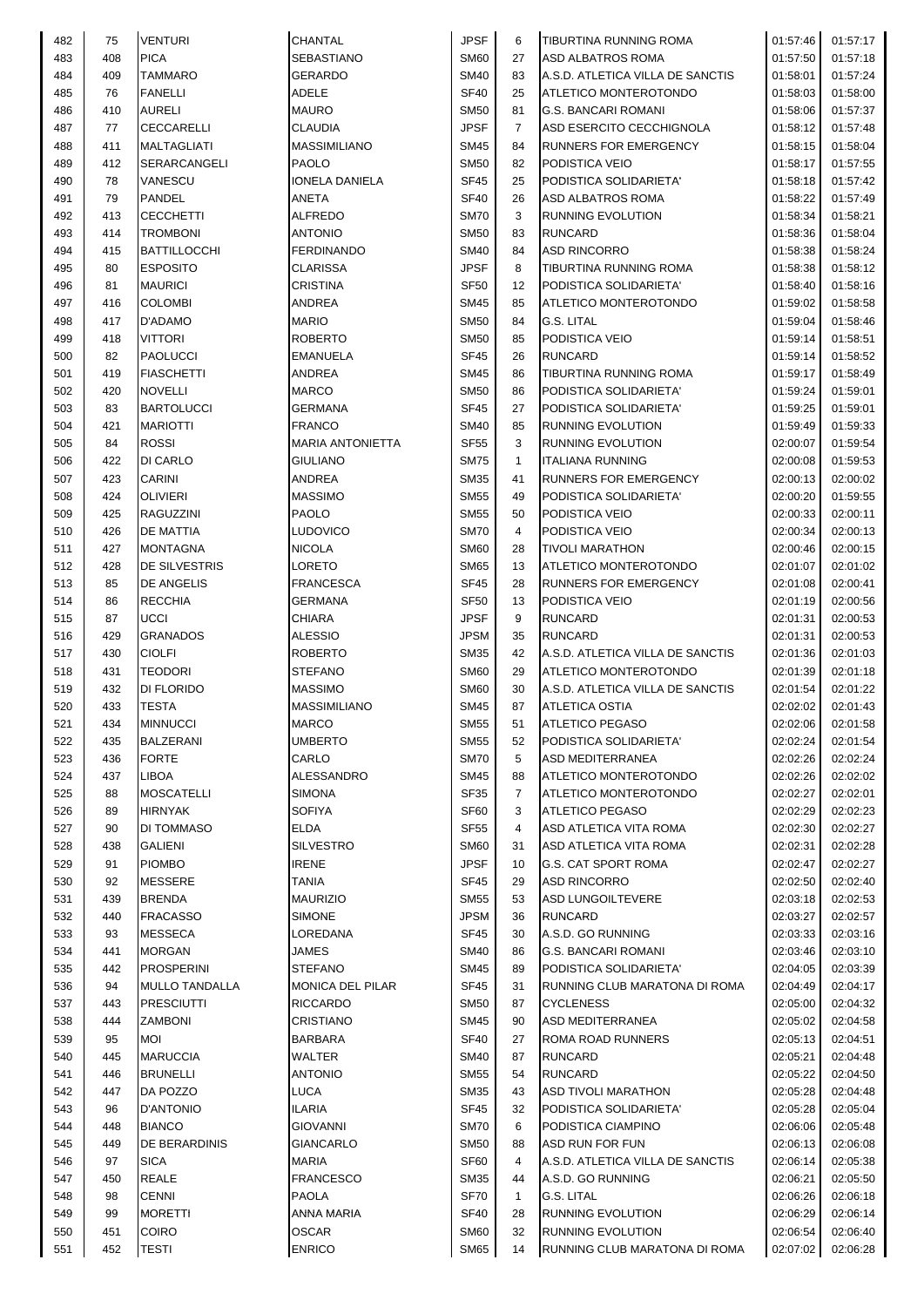| 482 | 75  | <b>VENTURI</b>        | <b>CHANTAL</b>          | <b>JPSF</b>      | 6              | <b>TIBURTINA RUNNING ROMA</b>    | 01:57:46 | 01:57:17 |
|-----|-----|-----------------------|-------------------------|------------------|----------------|----------------------------------|----------|----------|
| 483 | 408 | <b>PICA</b>           | <b>SEBASTIANO</b>       | <b>SM60</b>      | 27             | <b>ASD ALBATROS ROMA</b>         | 01:57:50 | 01:57:18 |
| 484 | 409 | <b>TAMMARO</b>        | <b>GERARDO</b>          | <b>SM40</b>      | 83             | A.S.D. ATLETICA VILLA DE SANCTIS | 01:58:01 | 01:57:24 |
| 485 | 76  | <b>FANELLI</b>        | ADELE                   | <b>SF40</b>      | 25             | ATLETICO MONTEROTONDO            | 01:58:03 | 01:58:00 |
| 486 | 410 | <b>AURELI</b>         | <b>MAURO</b>            | <b>SM50</b>      | 81             | <b>G.S. BANCARI ROMANI</b>       | 01:58:06 | 01:57:37 |
| 487 | 77  | <b>CECCARELLI</b>     | <b>CLAUDIA</b>          | <b>JPSF</b>      | $\overline{7}$ | ASD ESERCITO CECCHIGNOLA         | 01:58:12 | 01:57:48 |
|     |     |                       |                         |                  |                |                                  |          |          |
| 488 | 411 | <b>MALTAGLIATI</b>    | <b>MASSIMILIANO</b>     | <b>SM45</b>      | 84             | RUNNERS FOR EMERGENCY            | 01:58:15 | 01:58:04 |
| 489 | 412 | <b>SERARCANGELI</b>   | <b>PAOLO</b>            | <b>SM50</b>      | 82             | PODISTICA VEIO                   | 01:58:17 | 01:57:55 |
| 490 | 78  | <b>VANESCU</b>        | IONELA DANIELA          | <b>SF45</b>      | 25             | PODISTICA SOLIDARIETA'           | 01:58:18 | 01:57:42 |
| 491 | 79  | <b>PANDEL</b>         | ANETA                   | <b>SF40</b>      | 26             | ASD ALBATROS ROMA                | 01:58:22 | 01:57:49 |
| 492 | 413 | <b>CECCHETTI</b>      | <b>ALFREDO</b>          | <b>SM70</b>      | 3              | RUNNING EVOLUTION                | 01:58:34 | 01:58:21 |
| 493 | 414 | <b>TROMBONI</b>       | <b>ANTONIO</b>          | <b>SM50</b>      | 83             | <b>RUNCARD</b>                   | 01:58:36 | 01:58:04 |
| 494 | 415 | <b>BATTILLOCCHI</b>   | <b>FERDINANDO</b>       | <b>SM40</b>      | 84             | <b>ASD RINCORRO</b>              | 01:58:38 | 01:58:24 |
| 495 | 80  | <b>ESPOSITO</b>       | CLARISSA                | <b>JPSF</b>      | 8              | TIBURTINA RUNNING ROMA           | 01:58:38 | 01:58:12 |
| 496 | 81  | <b>MAURICI</b>        | <b>CRISTINA</b>         | <b>SF50</b>      | 12             | PODISTICA SOLIDARIETA'           | 01:58:40 | 01:58:16 |
| 497 | 416 | <b>COLOMBI</b>        | ANDREA                  | <b>SM45</b>      | 85             | ATLETICO MONTEROTONDO            | 01:59:02 | 01:58:58 |
| 498 | 417 | D'ADAMO               | <b>MARIO</b>            | <b>SM50</b>      | 84             | G.S. LITAL                       | 01:59:04 | 01:58:46 |
| 499 | 418 | <b>VITTORI</b>        | <b>ROBERTO</b>          | <b>SM50</b>      | 85             | PODISTICA VEIO                   | 01:59:14 |          |
|     |     |                       |                         |                  |                |                                  |          | 01:58:51 |
| 500 | 82  | <b>PAOLUCCI</b>       | <b>EMANUELA</b>         | <b>SF45</b>      | 26             | <b>RUNCARD</b>                   | 01:59:14 | 01:58:52 |
| 501 | 419 | <b>FIASCHETTI</b>     | <b>ANDREA</b>           | <b>SM45</b>      | 86             | TIBURTINA RUNNING ROMA           | 01:59:17 | 01:58:49 |
| 502 | 420 | <b>NOVELLI</b>        | <b>MARCO</b>            | <b>SM50</b>      | 86             | PODISTICA SOLIDARIETA'           | 01:59:24 | 01:59:01 |
| 503 | 83  | <b>BARTOLUCCI</b>     | <b>GERMANA</b>          | <b>SF45</b>      | 27             | PODISTICA SOLIDARIETA'           | 01:59:25 | 01:59:01 |
| 504 | 421 | <b>MARIOTTI</b>       | <b>FRANCO</b>           | <b>SM40</b>      | 85             | RUNNING EVOLUTION                | 01:59:49 | 01:59:33 |
| 505 | 84  | <b>ROSSI</b>          | <b>MARIA ANTONIETTA</b> | <b>SF55</b>      | 3              | RUNNING EVOLUTION                | 02:00:07 | 01:59:54 |
| 506 | 422 | DI CARLO              | <b>GIULIANO</b>         | <b>SM75</b>      | $\mathbf{1}$   | <b>ITALIANA RUNNING</b>          | 02:00:08 | 01:59:53 |
| 507 | 423 | <b>CARINI</b>         | ANDREA                  | <b>SM35</b>      | 41             | RUNNERS FOR EMERGENCY            | 02:00:13 | 02:00:02 |
| 508 | 424 | <b>OLIVIERI</b>       | <b>MASSIMO</b>          | <b>SM55</b>      | 49             | PODISTICA SOLIDARIETA'           | 02:00:20 | 01:59:55 |
| 509 | 425 | <b>RAGUZZINI</b>      | <b>PAOLO</b>            | <b>SM55</b>      | 50             | PODISTICA VEIO                   | 02:00:33 | 02:00:11 |
| 510 | 426 | <b>DE MATTIA</b>      | LUDOVICO                | <b>SM70</b>      | 4              | PODISTICA VEIO                   | 02:00:34 | 02:00:13 |
| 511 | 427 | <b>MONTAGNA</b>       | <b>NICOLA</b>           | <b>SM60</b>      | 28             | <b>TIVOLI MARATHON</b>           | 02:00:46 | 02:00:15 |
|     |     |                       |                         |                  |                |                                  |          |          |
| 512 | 428 | <b>DE SILVESTRIS</b>  | LORETO                  | <b>SM65</b>      | 13             | ATLETICO MONTEROTONDO            | 02:01:07 | 02:01:02 |
| 513 | 85  | <b>DE ANGELIS</b>     | <b>FRANCESCA</b>        | SF45             | 28             | RUNNERS FOR EMERGENCY            | 02:01:08 | 02:00:41 |
| 514 | 86  | <b>RECCHIA</b>        | GERMANA                 | <b>SF50</b>      | 13             | PODISTICA VEIO                   | 02:01:19 | 02:00:56 |
| 515 | 87  | <b>UCCI</b>           | CHIARA                  | <b>JPSF</b>      | 9              | <b>RUNCARD</b>                   | 02:01:31 | 02:00:53 |
| 516 | 429 | <b>GRANADOS</b>       | <b>ALESSIO</b>          | <b>JPSM</b>      | 35             | <b>RUNCARD</b>                   | 02:01:31 | 02:00:53 |
| 517 | 430 | <b>CIOLFI</b>         | <b>ROBERTO</b>          | <b>SM35</b>      | 42             | A.S.D. ATLETICA VILLA DE SANCTIS | 02:01:36 | 02:01:03 |
| 518 | 431 | <b>TEODORI</b>        | <b>STEFANO</b>          | <b>SM60</b>      | 29             | ATLETICO MONTEROTONDO            | 02:01:39 | 02:01:18 |
| 519 | 432 | <b>DI FLORIDO</b>     | <b>MASSIMO</b>          | <b>SM60</b>      | 30             | A.S.D. ATLETICA VILLA DE SANCTIS | 02:01:54 | 02:01:22 |
| 520 | 433 | <b>TESTA</b>          | <b>MASSIMILIANO</b>     | <b>SM45</b>      | 87             | <b>ATLETICA OSTIA</b>            | 02:02:02 | 02:01:43 |
| 521 | 434 | <b>MINNUCCI</b>       | <b>MARCO</b>            | <b>SM55</b>      | 51             | <b>ATLETICO PEGASO</b>           | 02:02:06 | 02:01:58 |
| 522 | 435 | <b>BALZERANI</b>      | UMBERTO                 | <b>SM55</b>      | 52             | PODISTICA SOLIDARIETA'           | 02:02:24 | 02:01:54 |
| 523 | 436 | <b>FORTE</b>          | CARLO                   | <b>SM70</b>      | 5              | <b>ASD MEDITERRANEA</b>          | 02:02:26 | 02:02:24 |
| 524 | 437 | LIBOA                 | ALESSANDRO              | <b>SM45</b>      | 88             | ATLETICO MONTEROTONDO            | 02:02:26 | 02:02:02 |
| 525 | 88  | <b>MOSCATELLI</b>     | <b>SIMONA</b>           | <b>SF35</b>      | $\overline{7}$ | ATLETICO MONTEROTONDO            | 02:02:27 | 02:02:01 |
|     |     |                       |                         |                  |                |                                  |          |          |
| 526 | 89  | <b>HIRNYAK</b>        | <b>SOFIYA</b>           | SF60             | 3              | <b>ATLETICO PEGASO</b>           | 02:02:29 | 02:02:23 |
| 527 | 90  | DI TOMMASO            | <b>ELDA</b>             | <b>SF55</b>      | 4              | ASD ATLETICA VITA ROMA           | 02:02:30 | 02:02:27 |
| 528 | 438 | <b>GALIENI</b>        | <b>SILVESTRO</b>        | <b>SM60</b>      | 31             | ASD ATLETICA VITA ROMA           | 02:02:31 | 02:02:28 |
| 529 | 91  | <b>PIOMBO</b>         | <b>IRENE</b>            | <b>JPSF</b>      | 10             | <b>G.S. CAT SPORT ROMA</b>       | 02:02:47 | 02:02:27 |
| 530 | 92  | <b>MESSERE</b>        | <b>TANIA</b>            | <b>SF45</b>      | 29             | <b>ASD RINCORRO</b>              | 02:02:50 | 02:02:40 |
| 531 | 439 | <b>BRENDA</b>         | <b>MAURIZIO</b>         | <b>SM55</b>      | 53             | <b>ASD LUNGOILTEVERE</b>         | 02:03:18 | 02:02:53 |
| 532 | 440 | <b>FRACASSO</b>       | <b>SIMONE</b>           | <b>JPSM</b>      | 36             | <b>RUNCARD</b>                   | 02:03:27 | 02:02:57 |
| 533 | 93  | <b>MESSECA</b>        | LOREDANA                | <b>SF45</b>      | 30             | A.S.D. GO RUNNING                | 02:03:33 | 02:03:16 |
| 534 | 441 | <b>MORGAN</b>         | JAMES                   | <b>SM40</b>      | 86             | <b>G.S. BANCARI ROMANI</b>       | 02:03:46 | 02:03:10 |
| 535 | 442 | <b>PROSPERINI</b>     | <b>STEFANO</b>          | <b>SM45</b>      | 89             | PODISTICA SOLIDARIETA'           | 02:04:05 | 02:03:39 |
| 536 | 94  | <b>MULLO TANDALLA</b> | MONICA DEL PILAR        | SF45             | 31             | RUNNING CLUB MARATONA DI ROMA    | 02:04:49 | 02:04:17 |
| 537 | 443 | <b>PRESCIUTTI</b>     | <b>RICCARDO</b>         | <b>SM50</b>      | 87             | <b>CYCLENESS</b>                 | 02:05:00 | 02:04:32 |
| 538 | 444 | <b>ZAMBONI</b>        | <b>CRISTIANO</b>        | <b>SM45</b>      | 90             | ASD MEDITERRANEA                 | 02:05:02 | 02:04:58 |
|     |     |                       |                         |                  |                |                                  |          |          |
| 539 | 95  | <b>MOI</b>            | BARBARA                 | SF <sub>40</sub> | 27             | ROMA ROAD RUNNERS                | 02:05:13 | 02:04:51 |
| 540 | 445 | <b>MARUCCIA</b>       | WALTER                  | <b>SM40</b>      | 87             | <b>RUNCARD</b>                   | 02:05:21 | 02:04:48 |
| 541 | 446 | <b>BRUNELLI</b>       | <b>ANTONIO</b>          | <b>SM55</b>      | 54             | <b>RUNCARD</b>                   | 02:05:22 | 02:04:50 |
| 542 | 447 | DA POZZO              | <b>LUCA</b>             | <b>SM35</b>      | 43             | <b>ASD TIVOLI MARATHON</b>       | 02:05:28 | 02:04:48 |
| 543 | 96  | <b>D'ANTONIO</b>      | ILARIA                  | <b>SF45</b>      | 32             | PODISTICA SOLIDARIETA'           | 02:05:28 | 02:05:04 |
| 544 | 448 | <b>BIANCO</b>         | <b>GIOVANNI</b>         | <b>SM70</b>      | 6              | PODISTICA CIAMPINO               | 02:06:06 | 02:05:48 |
| 545 | 449 | <b>DE BERARDINIS</b>  | <b>GIANCARLO</b>        | <b>SM50</b>      | 88             | ASD RUN FOR FUN                  | 02:06:13 | 02:06:08 |
| 546 | 97  | <b>SICA</b>           | MARIA                   | SF60             | 4              | A.S.D. ATLETICA VILLA DE SANCTIS | 02:06:14 | 02:05:38 |
| 547 | 450 | <b>REALE</b>          | <b>FRANCESCO</b>        | <b>SM35</b>      | 44             | A.S.D. GO RUNNING                | 02:06:21 | 02:05:50 |
| 548 | 98  | <b>CENNI</b>          | <b>PAOLA</b>            | <b>SF70</b>      | $\mathbf{1}$   | G.S. LITAL                       | 02:06:26 | 02:06:18 |
| 549 | 99  | <b>MORETTI</b>        | ANNA MARIA              | <b>SF40</b>      | 28             | <b>RUNNING EVOLUTION</b>         | 02:06:29 | 02:06:14 |
| 550 | 451 | COIRO                 | <b>OSCAR</b>            | <b>SM60</b>      | 32             | <b>RUNNING EVOLUTION</b>         | 02:06:54 | 02:06:40 |
| 551 | 452 | <b>TESTI</b>          | <b>ENRICO</b>           | <b>SM65</b>      | 14             | RUNNING CLUB MARATONA DI ROMA    | 02:07:02 | 02:06:28 |
|     |     |                       |                         |                  |                |                                  |          |          |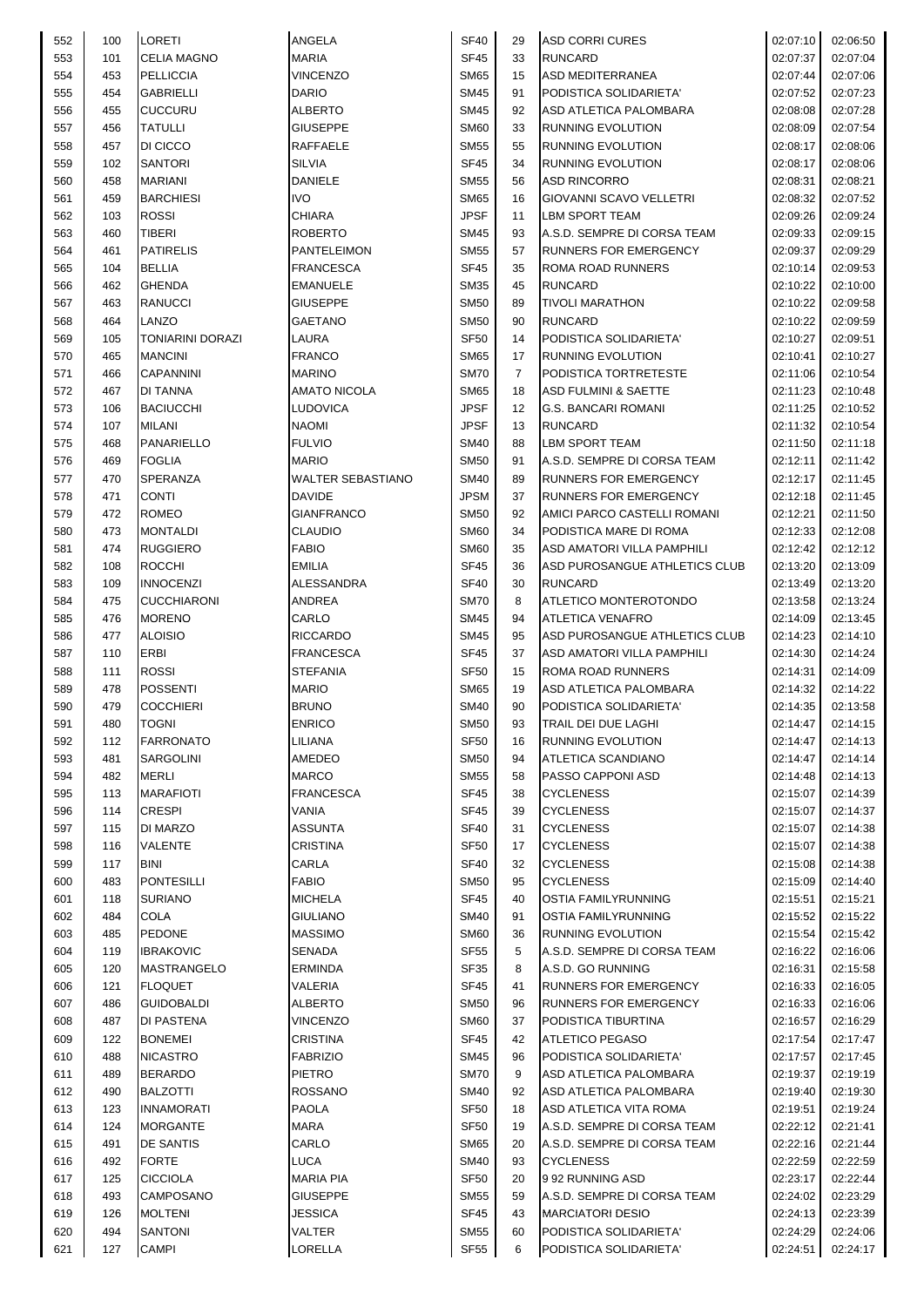| 552 | 100 | LORETI             | ANGELA                   | SF40             | 29             | <b>ASD CORRI CURES</b>          | 02:07:10 | 02:06:50 |
|-----|-----|--------------------|--------------------------|------------------|----------------|---------------------------------|----------|----------|
| 553 | 101 | <b>CELIA MAGNO</b> | <b>MARIA</b>             | <b>SF45</b>      | 33             | <b>RUNCARD</b>                  | 02:07:37 | 02:07:04 |
| 554 | 453 | <b>PELLICCIA</b>   | <b>VINCENZO</b>          | <b>SM65</b>      | 15             | <b>ASD MEDITERRANEA</b>         | 02:07:44 | 02:07:06 |
| 555 | 454 | <b>GABRIELLI</b>   | <b>DARIO</b>             | <b>SM45</b>      | 91             | PODISTICA SOLIDARIETA'          | 02:07:52 | 02:07:23 |
| 556 | 455 | <b>CUCCURU</b>     | <b>ALBERTO</b>           | <b>SM45</b>      | 92             | <b>ASD ATLETICA PALOMBARA</b>   | 02:08:08 | 02:07:28 |
| 557 | 456 | <b>TATULLI</b>     | <b>GIUSEPPE</b>          | <b>SM60</b>      | 33             | <b>RUNNING EVOLUTION</b>        | 02:08:09 | 02:07:54 |
| 558 | 457 | DI CICCO           | <b>RAFFAELE</b>          | <b>SM55</b>      | 55             | RUNNING EVOLUTION               | 02:08:17 | 02:08:06 |
| 559 | 102 | <b>SANTORI</b>     | <b>SILVIA</b>            | <b>SF45</b>      | 34             | <b>RUNNING EVOLUTION</b>        | 02:08:17 | 02:08:06 |
| 560 | 458 | <b>MARIANI</b>     | DANIELE                  | <b>SM55</b>      | 56             | <b>ASD RINCORRO</b>             | 02:08:31 | 02:08:21 |
| 561 | 459 | <b>BARCHIESI</b>   | <b>IVO</b>               | <b>SM65</b>      | 16             | GIOVANNI SCAVO VELLETRI         | 02:08:32 | 02:07:52 |
| 562 | 103 | <b>ROSSI</b>       | <b>CHIARA</b>            | <b>JPSF</b>      | 11             | <b>LBM SPORT TEAM</b>           | 02:09:26 | 02:09:24 |
| 563 | 460 | TIBERI             | <b>ROBERTO</b>           | <b>SM45</b>      | 93             | A.S.D. SEMPRE DI CORSA TEAM     | 02:09:33 | 02:09:15 |
| 564 | 461 | <b>PATIRELIS</b>   | <b>PANTELEIMON</b>       | <b>SM55</b>      | 57             | RUNNERS FOR EMERGENCY           | 02:09:37 | 02:09:29 |
| 565 | 104 | <b>BELLIA</b>      | <b>FRANCESCA</b>         | <b>SF45</b>      | 35             | ROMA ROAD RUNNERS               | 02:10:14 | 02:09:53 |
| 566 | 462 | <b>GHENDA</b>      | EMANUELE                 | <b>SM35</b>      | 45             | <b>RUNCARD</b>                  | 02:10:22 | 02:10:00 |
| 567 | 463 | <b>RANUCCI</b>     | <b>GIUSEPPE</b>          | <b>SM50</b>      | 89             | <b>TIVOLI MARATHON</b>          | 02:10:22 | 02:09:58 |
| 568 | 464 | LANZO              | <b>GAETANO</b>           | <b>SM50</b>      | 90             | <b>RUNCARD</b>                  | 02:10:22 | 02:09:59 |
| 569 | 105 | TONIARINI DORAZI   | LAURA                    | <b>SF50</b>      | 14             | PODISTICA SOLIDARIETA'          | 02:10:27 | 02:09:51 |
| 570 | 465 | <b>MANCINI</b>     | <b>FRANCO</b>            | <b>SM65</b>      | 17             | RUNNING EVOLUTION               | 02:10:41 | 02:10:27 |
| 571 | 466 | <b>CAPANNINI</b>   | <b>MARINO</b>            | <b>SM70</b>      | $\overline{7}$ | PODISTICA TORTRETESTE           | 02:11:06 | 02:10:54 |
| 572 | 467 | <b>DI TANNA</b>    | <b>AMATO NICOLA</b>      | <b>SM65</b>      | 18             | <b>ASD FULMINI &amp; SAETTE</b> | 02:11:23 | 02:10:48 |
| 573 | 106 | <b>BACIUCCHI</b>   | LUDOVICA                 | <b>JPSF</b>      | 12             | <b>G.S. BANCARI ROMANI</b>      | 02:11:25 | 02:10:52 |
| 574 | 107 | <b>MILANI</b>      | <b>NAOMI</b>             | <b>JPSF</b>      | 13             | <b>RUNCARD</b>                  | 02:11:32 | 02:10:54 |
| 575 | 468 | <b>PANARIELLO</b>  | <b>FULVIO</b>            | <b>SM40</b>      | 88             | <b>LBM SPORT TEAM</b>           | 02:11:50 | 02:11:18 |
| 576 | 469 | <b>FOGLIA</b>      | <b>MARIO</b>             | <b>SM50</b>      | 91             | A.S.D. SEMPRE DI CORSA TEAM     | 02:12:11 | 02:11:42 |
| 577 | 470 | SPERANZA           | <b>WALTER SEBASTIANO</b> | <b>SM40</b>      | 89             | <b>RUNNERS FOR EMERGENCY</b>    | 02:12:17 | 02:11:45 |
| 578 | 471 | <b>CONTI</b>       | <b>DAVIDE</b>            | <b>JPSM</b>      | 37             | RUNNERS FOR EMERGENCY           | 02:12:18 | 02:11:45 |
| 579 | 472 | <b>ROMEO</b>       | <b>GIANFRANCO</b>        | <b>SM50</b>      | 92             | AMICI PARCO CASTELLI ROMANI     | 02:12:21 | 02:11:50 |
| 580 | 473 | <b>MONTALDI</b>    | <b>CLAUDIO</b>           | <b>SM60</b>      | 34             | PODISTICA MARE DI ROMA          | 02:12:33 | 02:12:08 |
| 581 | 474 | <b>RUGGIERO</b>    | <b>FABIO</b>             | <b>SM60</b>      | 35             | ASD AMATORI VILLA PAMPHILI      | 02:12:42 | 02:12:12 |
| 582 | 108 | <b>ROCCHI</b>      | <b>EMILIA</b>            | <b>SF45</b>      | 36             | ASD PUROSANGUE ATHLETICS CLUB   | 02:13:20 | 02:13:09 |
| 583 | 109 | <b>INNOCENZI</b>   | <b>ALESSANDRA</b>        | <b>SF40</b>      | 30             | <b>RUNCARD</b>                  | 02:13:49 | 02:13:20 |
| 584 | 475 | <b>CUCCHIARONI</b> | <b>ANDREA</b>            | <b>SM70</b>      | 8              | ATLETICO MONTEROTONDO           | 02:13:58 | 02:13:24 |
| 585 | 476 | <b>MORENO</b>      | CARLO                    | <b>SM45</b>      | 94             | <b>ATLETICA VENAFRO</b>         | 02:14:09 | 02:13:45 |
| 586 | 477 | <b>ALOISIO</b>     | <b>RICCARDO</b>          | <b>SM45</b>      | 95             | ASD PUROSANGUE ATHLETICS CLUB   | 02:14:23 | 02:14:10 |
| 587 | 110 | <b>ERBI</b>        | <b>FRANCESCA</b>         | <b>SF45</b>      | 37             | ASD AMATORI VILLA PAMPHILI      | 02:14:30 | 02:14:24 |
| 588 | 111 | <b>ROSSI</b>       | <b>STEFANIA</b>          | <b>SF50</b>      | 15             | ROMA ROAD RUNNERS               | 02:14:31 | 02:14:09 |
| 589 | 478 | <b>POSSENTI</b>    | <b>MARIO</b>             | <b>SM65</b>      | 19             | ASD ATLETICA PALOMBARA          | 02:14:32 | 02:14:22 |
| 590 | 479 | <b>COCCHIERI</b>   | <b>BRUNO</b>             | SM40             | 90             | PODISTICA SOLIDARIETA'          | 02:14:35 | 02:13:58 |
| 591 | 480 | <b>TOGNI</b>       | <b>ENRICO</b>            | <b>SM50</b>      | 93             | TRAIL DEI DUE LAGHI             | 02:14:47 | 02:14:15 |
| 592 | 112 | <b>FARRONATO</b>   | LILIANA                  | SF <sub>50</sub> | 16             | <b>RUNNING EVOLUTION</b>        | 02:14:47 | 02:14:13 |
| 593 | 481 | SARGOLINI          | AMEDEO                   | <b>SM50</b>      | 94             | ATLETICA SCANDIANO              | 02:14:47 | 02:14:14 |
| 594 | 482 | <b>MERLI</b>       | <b>MARCO</b>             | <b>SM55</b>      | 58             | PASSO CAPPONI ASD               | 02:14:48 | 02:14:13 |
| 595 | 113 | <b>MARAFIOTI</b>   | <b>FRANCESCA</b>         | SF45             | 38             | <b>CYCLENESS</b>                | 02:15:07 | 02:14:39 |
| 596 | 114 | <b>CRESPI</b>      | VANIA                    | <b>SF45</b>      | 39             | <b>CYCLENESS</b>                | 02:15:07 | 02:14:37 |
| 597 | 115 | DI MARZO           | <b>ASSUNTA</b>           | <b>SF40</b>      | 31             | <b>CYCLENESS</b>                | 02:15:07 | 02:14:38 |
| 598 | 116 | VALENTE            | CRISTINA                 | <b>SF50</b>      | 17             | <b>CYCLENESS</b>                | 02:15:07 | 02:14:38 |
| 599 | 117 | BINI               | CARLA                    | SF40             | 32             | <b>CYCLENESS</b>                | 02:15:08 | 02:14:38 |
| 600 | 483 | <b>PONTESILLI</b>  | <b>FABIO</b>             | <b>SM50</b>      | 95             | <b>CYCLENESS</b>                | 02:15:09 | 02:14:40 |
| 601 | 118 | <b>SURIANO</b>     | <b>MICHELA</b>           | SF45             | 40             | <b>OSTIA FAMILYRUNNING</b>      | 02:15:51 | 02:15:21 |
| 602 | 484 | COLA               | <b>GIULIANO</b>          | SM40             | 91             | <b>OSTIA FAMILYRUNNING</b>      | 02:15:52 | 02:15:22 |
| 603 | 485 | <b>PEDONE</b>      | <b>MASSIMO</b>           | <b>SM60</b>      | 36             | RUNNING EVOLUTION               | 02:15:54 | 02:15:42 |
| 604 | 119 | <b>IBRAKOVIC</b>   | SENADA                   | SF <sub>55</sub> | 5              | A.S.D. SEMPRE DI CORSA TEAM     | 02:16:22 | 02:16:06 |
| 605 | 120 | <b>MASTRANGELO</b> | ERMINDA                  | SF35             | 8              | A.S.D. GO RUNNING               | 02:16:31 | 02:15:58 |
| 606 | 121 | <b>FLOQUET</b>     | VALERIA                  | SF45             | 41             | <b>RUNNERS FOR EMERGENCY</b>    | 02:16:33 | 02:16:05 |
| 607 | 486 | GUIDOBALDI         | ALBERTO                  | SM50             | 96             | RUNNERS FOR EMERGENCY           | 02:16:33 | 02:16:06 |
| 608 | 487 | DI PASTENA         | <b>VINCENZO</b>          | SM60             | 37             | PODISTICA TIBURTINA             | 02:16:57 | 02:16:29 |
| 609 | 122 | <b>BONEMEI</b>     | <b>CRISTINA</b>          | SF45             | 42             | ATLETICO PEGASO                 | 02:17:54 | 02:17:47 |
| 610 | 488 | <b>NICASTRO</b>    | <b>FABRIZIO</b>          | SM45             | 96             | PODISTICA SOLIDARIETA'          | 02:17:57 | 02:17:45 |
| 611 | 489 | <b>BERARDO</b>     | PIETRO                   | <b>SM70</b>      | 9              | ASD ATLETICA PALOMBARA          | 02:19:37 | 02:19:19 |
| 612 | 490 | <b>BALZOTTI</b>    | <b>ROSSANO</b>           | <b>SM40</b>      | 92             | ASD ATLETICA PALOMBARA          | 02:19:40 | 02:19:30 |
| 613 | 123 | <b>INNAMORATI</b>  | <b>PAOLA</b>             | <b>SF50</b>      | 18             | ASD ATLETICA VITA ROMA          | 02:19:51 | 02:19:24 |
| 614 | 124 | <b>MORGANTE</b>    | <b>MARA</b>              | SF <sub>50</sub> | 19             | A.S.D. SEMPRE DI CORSA TEAM     | 02:22:12 | 02:21:41 |
| 615 | 491 | DE SANTIS          | CARLO                    | SM65             | 20             | A.S.D. SEMPRE DI CORSA TEAM     | 02:22:16 | 02:21:44 |
| 616 | 492 | <b>FORTE</b>       | <b>LUCA</b>              | SM40             | 93             | <b>CYCLENESS</b>                | 02:22:59 | 02:22:59 |
| 617 | 125 | <b>CICCIOLA</b>    | <b>MARIA PIA</b>         | SF <sub>50</sub> | 20             | 992 RUNNING ASD                 | 02:23:17 | 02:22:44 |
| 618 | 493 | CAMPOSANO          | <b>GIUSEPPE</b>          | SM55             | 59             | A.S.D. SEMPRE DI CORSA TEAM     | 02:24:02 | 02:23:29 |
| 619 | 126 | <b>MOLTENI</b>     | JESSICA                  | SF45             | 43             | <b>MARCIATORI DESIO</b>         | 02:24:13 | 02:23:39 |
| 620 | 494 | SANTONI            | VALTER                   | <b>SM55</b>      | 60             | PODISTICA SOLIDARIETA'          | 02:24:29 | 02:24:06 |
| 621 | 127 | CAMPI              | LORELLA                  | SF <sub>55</sub> | 6              | PODISTICA SOLIDARIETA'          | 02:24:51 | 02:24:17 |
|     |     |                    |                          |                  |                |                                 |          |          |